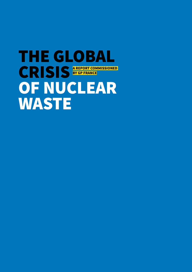## THE GLOBAL CRISIS<sup>AREPORT COMMISSIONED</sup> OF NUCLEAR **WASTE BY GP FRANCE**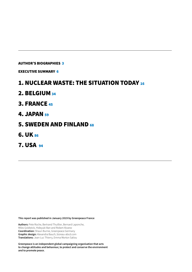#### AUTHOR'S BIOGRAPHIES 3

EXECUTIVE SUMMARY 6

### 1. NUCLEAR WASTE: THE SITUATION TODAY <sup>16</sup>

- 2. BELGIUM 34
- 3. FRANCE 45
- 4. JAPAN 59
- 5. SWEDEN AND FINLAND 68
- 6. UK 86
- 7. USA 94

**This report was published in January 2019 by Greenpeace France**

**Authors:** Pete Roche, Bertrand Thuillier, Bernard Laponche, Miles Goldstick, Hideyuki Ban and Robert Alvarez **Coordination:** Shaun Burnie, Greenpeace Germany **Graphic design:** Alexandra Bauch, büreau-abcd.com **Translations:** Jean-Luc Thierry, Emma Morton Saliou

**Greenpeace is an independent global campaigning organisation that acts to change attitudes and behaviour, to protect and conserve the environment and to promote peace.**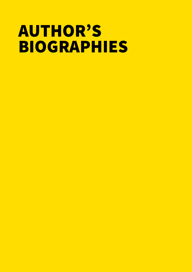# AUTHOR'S BIOGRAPHIES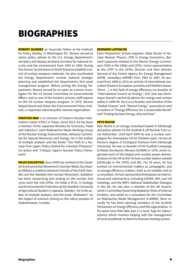### BIOGRAPHIES

**ROBERT ALVAREZ** an Associate Fellow at the Institute for Policy Studies, in Washington DC. Alvarez served as senior policy adviser to the U.S. Energy Department's secretary and deputy assistant secretary for national security and the environment from 1993 to 1999. During this tenure, he led teams in North Korea to establish control of nuclear weapons materials. He also coordinated the Energy Department's nuclear material strategic planning and established the department's first asset management program. Before joining the Energy Department, Alvarez served for six years as a senior investigator for the US Senate Committee on Governmental Affairs, and as one of the Senate's primary staff experts on the US nuclear weapons program. In 1975, Alvarez helped found and direct the Environmental Policy Institute, a respected national public interest organization.

**HIDEYUKI BAN** is Co-Director of Citizen's Nuclear Information Center (CNIC) in Tokyo. Since 2013, he has been a member of the Japanese Ministry for Economy, Trade and Industry's Joint Radioactive Waste Working Group of the Nuclear Energy Subcommittee, Advisory Committee for Natural Resources and Energy. He is the author of multiple analysis and the books "Our Path to a Nuclear-Free Japan: Policy Outline for a Nuclear Phaseout" (co-autor) and "Critique Japan's Nuclear Policy Framework".

**MILES GOLDSTICK** since 2008 has worked at the Swedish Environmental Movement's Nuclear Waste Secretariat (Milkas) a coalition between Friends of the Earth Sweden and the Swedish Anti-nuclear Movement. Goldstick has been researching and writing on the nuclear fuel cycle since the mid-1970s. He holds a Ph.D. in Ecology and Environmental Protection at the Swedish University of Agricultural Studies in Uppsala, Sweden. He is the author of multiple analysis, and the book "Wollaston" on the impact of uranium mining on the native peoples of Saskatchewan, Canada.

#### **BERNARD LAPONCHE**

Paris Polytechnic School engineer, State Doctor in Nuclear Reactor Physics, PhD in Energy Economics, Bernard Laponche worked at the Atomic Energy Commission (CEA) in the 1960s and 1970s. Union representative at the CFDT in the 1970s, Director and then Director General of the French Agency for Energy Management (AFME, nowadays ADEME) from 1982 to 1987, he pursued from 1988 to 2012 an activity of international consultant (Eastern European countries and Mediterranean, China ...) in the field of energy efficiency (co-founder of "International Council on Energy", ICE) and was Dominique Voynet's technical advisor for energy and nuclear safety in 1998-99. He is a co-founder and member of the "Global Chance" and "Shared Energy" associations and co-author of "Energy Efficiency for a Sustainable World" and "Ending Nuclear Energy; why and how".

#### **PETE ROCHE**

Pete Roche is an energy consultant based in Edinburgh and policy adviser to the Scottish & UK Nuclear Free Local Authorities. Until April 2004 he was a nuclear campaigner for Greenpeace UK for thirteen years. He has an honours degree in Ecological Sciences from Edinburgh University. He was co-founder of the Scottish Campaign to Resist the Atomic Menace (SCRAM) in 1976, which organised some of the largest anti-nuclear power demonstrations in the UK at the Torness nuclear station outside Edinburgh in the 1970s and 80s. For 30 years, he has worked on environmental matters as campaigner, and on energy efficiency matters, both as an installer and as a consultant. He has represented Greenpeace at international and national fora, including OSPAR, IMO, and UN meetings, and the BNFL National Stakeholder Dialogue in the UK. He was also a member of the UK Government's Committee Examining Radiation Risks of Internal Emitters, and acted as a consultant for the Committee on Radioactive Waste Management (CoRWM). More recently he has been advising members of the Scottish Parliament on Energy Efficiency and Microgeneration. In his spare time Pete take part in a local 'logs for labour' scheme which involves helping with the management of local woodlands to feed his biomass heating system.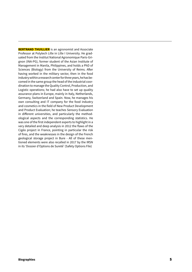**BERTRAND THUILLIER** is an agronomist and Associate Professor at Polytech Lille in Lille I University. He graduated from the Institut National Agronomique Paris-Grignon (INA-PG), former student of the Asian Institute of Management in Manila, Philippines, and holds a PhD of Sciences (Biology) from the University of Reims. After having worked in the military sector, then in the food industry within a research center for three years, he has becomed in the same group the head of the industrial coordination to manage the Quality Control, Production, and Logistic operations; he had also have to set up quality assurance plans in Europe, mainly in Italy, Netherlands, Germany, Switzerland and Spain. Now, he manages his own consulting and IT company for the food industry and cosmetics in the field of New Product Development and Product Evaluation; he teaches Sensory Evaluation in different universities, and particularly the methodological aspects and the corresponding statistics. He was one of the first independent experts to highlight in a very detailed and deep analysis in 2012 the flaws of the Cigéo project in France, pointing in particular the risk of fires, and the weaknesses in the design of the French geological storage project in Bure - All of these mentioned elements were also recalled in 2017 by the IRSN in its 'Dossier d'Options de Sureté' (Safety Options File)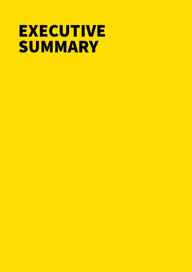## **EXECUTIVE SUMMARY**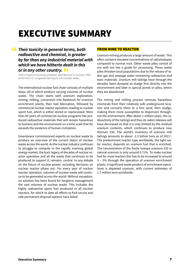### EXECUTIVE SUMMARY

#### *Their toxicity in general terms, both*  " *radioactive and chemical, is greater by far than any industrial material with which we have hitherto dealt in this or in any other country.* or in any other country. 33<br>Johns Hopkins University professor Abel Wolman in January 1959

at the first U.S. congressional inquiry into nuclear waste..

The international nuclear fuel chain consists of multiple steps, all of which produce varying volumes of nuclear waste. The chain starts with uranium exploration, mining, milling, conversion into feedstock for uranium enrichment plants, then fuel fabrication, followed by commercial nuclear reactor operation, leading to nuclear spent fuel, which is either stored or reprocessed. More than 60 years of commercial nuclear programs has produced radioactive materials that will remain hazardous to humans and the environment on a time scale that far exceeds the existence of human civilization.

Greenpeace commissioned experts on nuclear waste to produce an overview of the current status of nuclear waste across the world. As the nuclear industry continues to struggle to compete in the rapidly evolving global energy market, the toxic legacy of decades of nuclear reactor operation and all the waste that continues to be produced to support it, remains central to any debate on the future of nuclear power, including decisions on nuclear reactor phase out. For every year of nuclear reactor operation, volumes of nuclear waste will continue to be generated across the world. Without exception, no solution has been found for longterm management the vast volumes of nuclear waste. This includes the highly radioactive spent fuel produced in all nuclear reactors, for which to date all efforts to find secure and safe permanent disposal options have failed.

#### FROM MINE TO REACTOR

Uranium mining produces a large amount of waste. This often contains elevated concentrations of radioisotopes compared to normal rock. Other waste piles consist of ore with too low a grade for processing. These waste piles threaten local populations due to the release of radon gas and seepage water containing radioactive and toxic materials. Uranium mill tailings have through the decades been dumped as sludge first directly into the environment and later in special ponds or piles, where they are abandoned.

The mining and milling process removes hazardous chemicals from their relatively safe underground location and converts them to a fine sand, then sludge, making them more susceptible to dispersion throughout the environment. After about 1 million years, the radioactivity of the tailings and thus its radon releases will have decreased so that it is only limited by the residual uranium contents, which continues to produce new thorium 230. The world's inventory of uranium mill tailings amounts to about 2.3 billion tons as of  $2011<sup>1</sup>$ . The predominant reactor type worldwide, the light water reactor, depends on uranium fuel that is enriched. The concentration of the fissile isotope uranium-235 in natural uranium is only around 0.71%. To make nuclear fuel for most reactors this has to be increased to around 3 – 5% through the operation of uranium enrichment plants. A significant waste product of enrichment operations is depleted uranium, with current estimates of 1.7 million tons worldwide.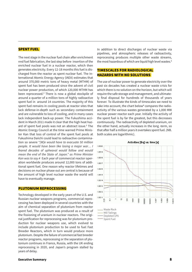#### SPENT FUEL

The next stage in the nuclear fuel chain after enrichment nnd fuel fabrication, the last step before insertion of the enriched nuclear fuel in a nuclear reactor, which then generates electricity. Every 12-18 months this fuel is discharged from the reactor as spent nuclear fuel. The International Atomic Energy Agency (IAEA) estimates that around 370,000 metric tons of heavy metal (MTHM) of spent fuel has been produced since the advent of civil nuclear power production, of which 120,000 MTHM has been reprocessed.<sup>2</sup> There is now a global stockpile of around a quarter of a million tons of highly radioactive spent fuel in around 14 countries. The majority of this spent fuel remains in cooling pools at reactor sites that lack defense-in-depth such as secondary containment and are vulnerable to loss of cooling, and in many cases lack independent back-up power. The Fukushima accident in March 2011 made it clear that the high heat hazard of spent fuel pools was not an abstract issue.<sup>3</sup> The Atomic Energy Council at the time warned Prime Minister Kan that loss of control of the spent fuel pools at Fukushima Daiichi could lead to radioactive contamination so severe "*[W]e would have to evacuate 50 million people. It would have been like losing a major war… I feared decades of upheaval would follow and would mean the end of the State of Japan." as Prime Minister Kan was to say.4* Each year of commercial reactor operation worldwide produces around 12,000 tons of additional spent fuel. One reason why reactor lifetimes and decisions on nuclear phase out are central is because of the amount of high level nuclear waste the world will have to eventually manage.

#### PLUTONIUM REPROCESSING

Technology developed in the early years of the U.S. and Russian nuclear weapons programs, commercial reprocessing has been deployed in several countries with the aim of chemical separation of plutonium from reactor spent fuel. The plutonium was produced as a result of the fissioning of uranium in nuclear reactors. The original justification for reprocessing was for plutonium production for nuclear weapons use, which evolved to include plutonium production to be used to fuel Fast Breeder Reactors, which in turn would produce more plutonium. Despite the failure of commercial fast breeder reactor programs, reprocessing or the separation of plutonium continues in France, Russia, with the UK ending reprocessing in 2020, and Japan's program stalled by years of delay.

In addition to direct discharges of nuclear waste via pipelines, and atmospheric releases of radioactivity, reprocessing produces multiple other waste streams, the most hazardous of which are liquid high level wastes.<sup>5</sup>

#### TIMESCALES FOR RADIOLOGICAL HAZARDS WITH NO SOLUTIONS

The use of nuclear power to generate electricity over the past six decades has created a nuclear waste crisis for which there is no solution on the horizon, but which will require the safe storage and management, and ultimately final disposal for hundreds of thousands of years forever. To illustrate the kinds of timescales we need to take into account, the chart below<sup>6</sup> compares the radioactivity of the various wastes generated by a 1,000 MW nuclear power reactor each year. Initially the activity of the spent fuel is by far the greatest, but this decreases continuously. The radioactivity of depleted uranium, on the other hand, actually increases in the long -term, so that after half a million years it overtakes spent fuel. (NB. both scales are logarithmic).



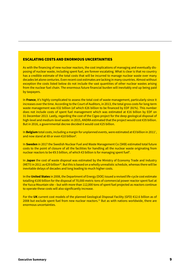#### ESCALATING COSTS AND ENORMOUS UNCERTAINTIES

As with the financing of new nuclear reactors, the cost implications of managing and eventually disposing of nuclear waste, including spent fuel, are forever escalating. What is clear is that no country has a credible estimate of the total costs that will be incurred to manage nuclear waste over many decades let alone centuries. Even recent cost estimates are lacking in many countries. Almost without exception the costs listed below do not include the vast quantities of other nuclear wastes arising from the nuclear fuel chain. The enormous future financial burden will inevitably end up being paid by taxpayers.

In **France**, it's highly complicated to assess the total cost of waste management, particularly since it increases over the time. According to the Court of Auditors, in 2013, the total gross costs for long-term waste management was €32 billion (of which €26 billion to be financed by EDF (81%). This number does not include costs of spent fuel management which was estimated at €16 billion by EDF on 31 December 2013. Lastly, regarding the cost of the Cigeo project for the deep geological disposal of high-level and medium-level waste: in 2015, ANDRA estimated that the project would cost €35 billion. But in 2016, a governmental decree decided it would cost €25 billion.

In **Belgium** total costs, including a margin for unplanned events, were estimated at €3 billion in 20117 , and now stand at €8 or even €10 billion<sup>8</sup>.

In **Sweden** in 2017 the Swedish Nuclear Fuel and Waste Management Co (SKB) estimated total future costs to the point of closure of all the facilities for handling all the nuclear waste originating from nuclear reactors to be €9.5 billion, of which €3 billion is for managing spent fuel<sup>9</sup>.

In **Japan** the cost of waste disposal was estimated by the Ministry of Economy Trade and Industry (METI) in 2011 as  $\epsilon$ 29 billion<sup>10</sup>. But this is based on a wholly unrealistic schedule, whereas there will be inevitable delays of decades and long leading to much higher costs.

In the **United States** in 2008, the Department of Energy (DOE) issued a revised life-cycle cost estimate totalling €100 billion for the disposal of 70,000 metric tons of commercial power reactor spent fuel at the Yucca Mountain site – but with more than 112,000 tons of spent fuel projected as reactors continue to operate these costs will also significantly increase.

For the **UK** current cost models of the planned Geological Disposal Facility (GFD) €12.6 billion as of 2008 but exclude spent fuel from new nuclear reactors.<sup>11</sup> But as with nations worldwide, there are enormous uncertainties.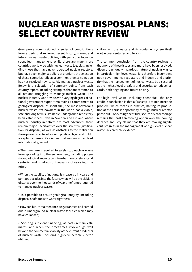### NUCLEAR WASTE DISPOSAL PLANS: SELECT COUNTRY REVIEW

Greenpeace commissioned a series of contributions from experts that reviewed recent history, current and future nuclear waste policies, with particular focus on spent fuel management. While there are many more countries worldwide with nuclear waste legacies, including those that have never operated nuclear reactors, but have been major suppliers of uranium, the selection of these countries reflects a common theme: no nation has yet resolved how to safely manage nuclear waste. Below is a selecttion of summary points from each country report, including examples that are common to all nations struggling to manage nuclear waste. The nuclear industry world-wide, with varying degrees of national government support,maintains a commitment to geological disposal of spent fuel, the most hazardous nuclear waste. Yet nowhere in the world has a viable, safe and long term sustainable underground repository been established. Even in Sweden and Finland where nuclear industry initiatives are most advanced, there remain major uncertainties over the scientific justification for disposal, as well as obstacles to the realization these projects centered around political, legal and public acceptance issues. Key issues that remain unresolved internationally, includ:

**•** The timeframes required to safely stop nuclear waste from spreading into the environment, including potential radiological impacts on future human society, extend centuries and hundreds of thousands of years into the future;

**•** When the stability of nations, is measured in years and perhaps decades into the future, what will be the viability of states over the thousands of year timeframes required to manage nuclear waste;

**•** Is it possible to ensure geological integrity, including disposal shaft and site water-tightness;

**•** How can future maintenance be guaranteed and carried out in underground nuclear waste facilities which may have collapsed;

**•** Securing sufficient financing, as costs remain estimates, and when the timeframes involved go well beyond the commercial viability of the current producers of nuclear waste, including highly vulnerable electric utilities;

**•** How will the waste and its container system itself evolve over centuries and beyond.

The common conclusion from the country reviews is that none of these issues and more have been resolved. Given the uniquely hazardous nature of nuclear waste, in particular high level waste, it is therefore incumbent upon governments, regulators and industry and a priority that the management of nuclear waste be a secured at the highest level of safety and security, to reduce hazards, both ongoing and future arising.

For high level waste, including spent fuel, the only credible conclusion is that a first step is to minimize the problem, which means in practice, halting its production at the earliest opportunity through nuclear reactor phase out. For existing spent fuel, secure dry cask storage remains the least threatening option over the coming decades. Industry claims that they are making significant progress in the management of high level nuclear waste lack credible evidence.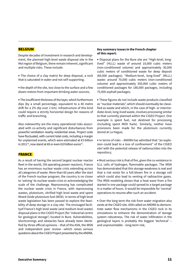#### **BELGIUM**

Despite decades of investment in research and development, the planned high-level waste disposal site in the Mol region of Belgium, there remain inherent, significant and multiple risks. These include:

**•** The choice of a clay matrix for deep disposal, a rock that is saturated in water and not self-supporting;

**•** the depth of the site, too close to the surface and a few dozen metres from important drinking water sources;

**•** The insufficient thickness of the layer, which furthermore dips (by a small percentage, equivalent to a 40 metre drift for a 2% dip over 2 km). Infrastructure of this kind could require a strictly horizontal design for reasons of traffic and branching.

Also noteworthy are the many operational risks associated with co-activity and significant disturbances from powerful ventilation nearby residential areas. Project costs have fluctuated, with current total costs, including a margin for unplanned events, which were estimated at €3 billion in 2011<sup>12</sup>, now stand at €8 or even €10 billion euros<sup>13</sup>.

#### FRANCE

As a result of having the second largest nuclear reactor fleet in the world, (58 operating power reactors), France has an enormous nuclear waste crisis extending across all categories of waste. More than 60 years after the start of the French nuclear program, the country is no closer to 'solving' its nuclear waste crisis or acknowledging the scale of the challenge. Reprocessing has complicated the nuclear waste crisis in France, with reprocessing wastes, plutonium, vitrified high level waste and spent Mixed Oxide plutonium fuel (MOX). In terms of high level waste legislation has been passed to explore the feasibility of deep storage in a clay site. The envisaged facilityof France's high level waste (and medium level waste) disposal plans is the CIGEO Project (for 'industrial centre for geological storage') located in Bure. Vulnerabilities, shortcomings and obstacles have already been identified by three official opinions – that of the ASN, the IRSN and independent peer review –which raises serious questions about the CIGEO Project presented by the ANDRA.

#### **Key summary issues in the French chapter of this report:**

**•** Disposal plans for the Bure site are "High-level, longlived" (HLLL) waste of around 10,000 cubic meters (non-conditioned volume) and approximately 30,000 cubic meters of conditioned waste for deep deposit (60,000 packages); "Medium-level, long-lived" (MLLL) waste: around 70,000 cubic meters (non-conditioned volume) and approximately 350,000 cubic meters of conditioned packages for 180,000 packages, including 75,000 asphalt packages;

**•** These figures do not include waste products classified as "nuclear materials", which should eventually be classified as waste and which, in the case of high- or intermediate-level, long-lived waste, involves processing similar to that currently planned within the CIGEO Project. One example is spent fuel, not destined for processing (including spent MOX fuels). Similarly, neither have provisions been made for the plutonium currently stored at La Hague;

**•** In terms of risks – ANDRA has admitted that "an explosion could lead to a loss of confinement" of the CIGEO site<sup>3</sup> with the potential release of radionuclides into the repository;

**•** Most serious risk is that of fire, given the co-existence in ILLL cells of hydrogen, flammable packages. The IRSN has demonstrated that this storage weakness is real and that a risk exists for a full-blown fire in a storage cell which could also lead to venting of radioactive gases. The IRSN modeling shows that a heat wave from a fire started in one package could spread to a target package in a matter of hours. It would be impossible for 'normal' operations to resume after such an accident.

**•** Over the long term the risk from water migration also exists at the CIGEO site. ASN called on ANDRA to demonstrate water flow mechanisms in the CIGEO rock in its simulations to enhance the demonstration of storage system robustness. The risk of water infiltration in the geological layers is probably the biggest 'technical' – and unpreventable – long-term risk;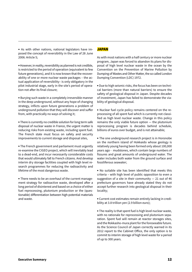**•** As with other nations, national legislators have imposed the concept of reversibility in the Law of 28 June 2006: Article 5;

**•** However, in reality, reversibility as planned is not credible, is restricted to the period of operation (equivalent to few future generations), and it is now known that the recoverability of one or more nuclear waste packages – the actual application of reversibility– is only obligatory in the pilot industrial stage, early in the site's period of operation not after its final closure;

**•** Burying such waste in a completely irreversible manner in the deep underground, without any hope of changing strategy, inflicts upon future generations a problem of underground pollution that they will discover and suffer from, with practically no ways of solving it;

**•** There is currently no credible solution for long term safe disposal of nuclear waste in France, the urgent matter is reducing risks from existing waste, including spent fuel. The French state must focus on safety and security improvements to current storage and disposal sites,

**•** The French government and parliament must urgently re-examine the CIGEO project, which will inevitably lead to a dead-end, and incur necessarily considerable costs that would ultimately fall to French citizens. And develop interim dry storage facilities coupled with high level research programmes for reducing the radioactivity and lifetime of the most dangerous waste.

**•** There needs to be an overhaul of the current management strategy for radioactive waste, developed after a long period of disinterest and based on a choice of either fuel reprocessing, plutonium production or the (questionable) differentiation between high-potential materials and waste.

#### **JAPAN**

As with most nations with a half century or more nuclear program, Japan was forced to abandon its plans for disposal of high level nuclear waste in the ocean by the Convention on the Prevention of Marine Pollution by Dumping of Wastes and Other Matter, the so called London Dumping Convention (LDC) 1972.

**•** Due to high seismic risks, the focus has been on technical barriers (more than natural barriers) to ensure the safety of geological disposal in Japan. Despite decades of investment, Japan has failed to demonstrate the viability of geological disposal.

**•** Nuclear fuel cycle policy remains centered on the reprocessing of all spent fuel which is currently not classified as high level nuclear waste. Change in this policy remains the only viable future option — the plutonium reprocessing program is decades behind schedule, billions of euros over budget, and is not attainable;

**•** The one underground research project is in Horonobe on the northern island of Hokkaido whose geology is relatively young having been formed only about 100,000 years ago - mudstones, which contain large numbers of fissures and great amounts of underground water. The water includes both water from the ground surface and fossiliferous seawater;

**•** No suitable site has been identified that meets this criteria – with high level of public opposition to even a suggestion of a site in their community  $-21$  out of 46 prefecture governors have already stated they do not accept further research into geological disposal in their locality;

**•** Current cost estimates remain entirely lacking in credibility at 3.8 trillion yen (2.9 billion euro);

**•** The reality is that spent fuel is high level nuclear waste, with no rationale for reprocessing and plutonium separation. Spent fuel will remain at reactor storages sites, and the Rokkasho-mura plant for the foreseeable future. As the Science Council of Japan correctly warned in its 2012 report to the Cabinet Office, the only option is to commit to interim storage of high level waste for a period of up to 300 years.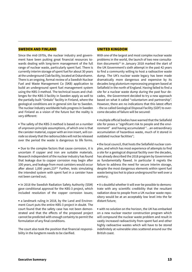#### SWEDEN AND FINLAND

Since the mid-1970s, the nuclear industry and government have been putting great financial resources towards dealing with long-term management of the full range of nuclear waste, particularly spent fuel. There is currently interim storage of spent fuel for about 30 years at the underground Clab facility, located at Oskarshamn. There is an ongoing, formal review of a Swedish Nuclear Fuel and Waste Management Co (SKB) application to build an underground spent fuel management system using the KBS-3 method. The technical issues and challenges for the KBS-3 facility in Sweden apply as well to the partially built "Onkalo" facility in Finland, where the geological conditions are in general sim ilar to Sweden. The nuclear industry worldwide hails progress in Sweden and Finland as a vision of the future but the reality is very different:

**•** The safety of the KBS-3 method is based on a number of unproven principle assumptions, of which one is that the canister material, copper with an iron insert, will corrode so slowly that the radionuclides will not be released over the period the waste is dangerous to life forms.

**•** Due to the complex factors that cause corrosion, it is uncertain if copper and iron are suitable materials. Research independent of the nuclear industry has found that leakage due to copper corrosion may begin after 100 years, and leakage from most canisters would occur after about  $1,000$  years. $21F<sup>14</sup>$  Further, tests simulating the intended system with spent fuel in a canister have not been carried out;

**•** In 2018 the Swedish Radiation Safety Authority (SSM) gave conditional approval for the KBS-3 project, which included resolution of the copper corrosion issues;

**•** a landmark ruling in 2018, by the Land and Environment Court puts the entire KBS-3 project in doubt. The court found that the safety case has not been demonstrated and that the effects of the proposed project cannot be predicted with enough certainty to permit the formulation of any final conditions.

The court also took the position that financial responsibility in the longterm needs to be clarified.

#### UNITED KINGDOM

With one of the largest and most complex nuclear waste problems in the world, the launch of two new consultation documents<sup>15</sup> in January 2018 marked the start of the UK Government's sixth attempt in the past 42 years to find a community willing to host a radioactive waste dump. The UK's nuclear waste legacy has been made dramatically more dangerous and expensive by its decades long plutonium reprocessing program based at Sellafield in the north of England. Having failed to find a site for a nuclear waste dump during the past four decades, the Government decided to try a new approach based on what it called "voluntarism and partnership". However, there are no indications that this latest effort – the so called Geological Disposal Facility (GDF) to overcome decades of failure will be secured:

**•** multiple official bodies have warned that the Sellafield site for poses a "significant risk to people and the environment" and having accumulated "…an extraordinary accumulation of hazardous waste, much of it stored in outdated nuclear facilities";

**•** the local council, that hosts the Sellafield nuclear complex, and which has most experience of attempts to find a site for a geological disposal facility over the decades, has already described the 2018 program by Government as fundamentally flawed. In particular it regrets the failure to address the need for secure interim storage, despite the most dangerous elements within spent fuel waste being too hot to place underground for well over a century;

**•** it s doubtful whether it will ever be possible to demonstrate with any scientific credibility that the resultant radiation dose to people from a UK nuclear waste repository would be at an acceptably low level into the far distant future;

**•** with no solution on the horizon, the UK has embarked on a new nuclear reactor construction program which will compound the nuclear waste problem and result in vastly increased radioactivity from spent fuel and other highly radioactive wastes which will have to be stored indefinitely at vulnerable sites scattered around our the British coast.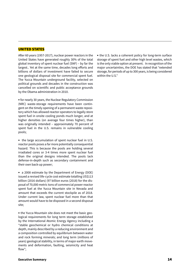#### UNITED STATES

After 60 years (1957-2017), nuclear power reactors in the United States have generated roughly 30% of the total global inventory of spent nuclear fuel (SNF) – by far the largest.. Yet at the same time, decades long efforts and billions of dollars of investment have failed to secure one geological disposal site for commercial spent fuel. The Yucca Mountain underground facility, selected on political grounds and decades in the construction was cancelled on scientific and public acceptance grounds by the Obama administration in 2010.

**•** for nearly 30 years, the Nuclear Regulatory Commission (NRC) waste-storage requirements have been contingent on the timely opening of a permanent waste repository which has allowed reactor operators to legally store spent fuel in onsite cooling ponds much longer, and at higher densities (on average four times higher), than was originally intended – approximately 70 percent of spent fuel in the U.S. remains in vulnerable cooling pools;

**•** the large accumulation of spent nuclear fuel in U.S. reactor pools poses a far more potentially consequential hazard. This is because the pools are holding several irradiated cores or 3-4 times more spent nuclear fuel than the original designs intended. The pools lack defense-in-depth such as secondary containment and their own back-up power;

**•** a 2008 estimate by the Department of Energy (DOE) issued a revised life-cycle cost estimate totalling US\$113 billion (2016 dollars) (97 billion euros (2018) for the disposal of 70,000 metric tons of commercial power reactor spent fuel at the Yucca Mountain site in Nevada and amount that exceeds the current stockpile as of 2018. Under current law, spent nuclear fuel more than that amount would have to be disposed in a second disposal site;

**•** the Yucca Mountain site does not meet the basic geological requirements for long term storage established by the International Atomic Energy Agency including a "stable geochemical or hydro chemical conditions at depth, mainly described by a reducing environment and a composition controlled by equilibrium between water and rock forming minerals; and long term (millions of years) geological stability, in terms of major earth movements and deformation, faulting, seismicity and heat flow";

**•** the U.S. lacks a coherent policy for long-term surface storage of spent fuel and other high level wastes, which is the only viable option at present. In recognition of the major uncertainties, the DOE has stated that "extended storage, for periods of up to 300 years, is being considered within the U.S."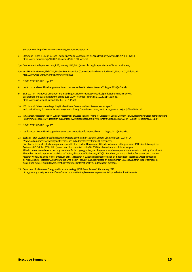- 1 See slide No.61http://www.wise-uranium.org/stk.html?src=stkd01e
- 2 Status and Trends in Spent Fuel and Radioactive Waste Management, IAEA Nuclear Energy Series, No. NW-T-1.14 2018 https://www-pub.iaea.org/MTCD/Publications/PDF/P1799\_web.pdf
- 3, 4 Containment, Independent Lens, PBS, January 2016, http://www.pbs.org/independentlens/films/containment/
- 5, 6 WISE Uranium Project, Slide Talk, Nuclear Fuel Production (Conversion, Enrichment, Fuel Prod.), March 2007, Slide No.22 http://www.wise-uranium.org/stk.html?src=stkd02e

7 NIROND TR 2013-12 E, page 133.

- 8 Les échos.be Des milliards supplémentaires pour stocker les déchets nucléaires 22 August 2018 (in French).
- 9 SKB. 2017-04. "Plan 2016. Costs from and including 2018 for the radioactive residual products from nuclear power. Basis for fees and guarantees for the period 2018-2020." Technical Report TR-17.02. 52 pp. See p. 35, https://www.skb.se/publikation/2487964/TR-17-02.pdf.
- 10 IEEJ Journal, "Major Issues Regarding Nuclear Power Generation Costs Assessment in Japan", Institute for Energy Economics Japan, citing Atomic Energy Commission Japan, 2015, https://eneken.ieej.or.jp/data/6474.pdf
- 11 Ian Jackson, "Research Report Subsidy Assessment of Waste Transfer Pricing for Disposal of Spent Fuel from New Nuclear Power Stations Independent Report for Greenpeace UK, 1st March 2011, https://www.greenpeace.org.uk/wp-content/uploads/2017/07/FUP-Subsidy-Report-Mar2011.pdf
- 12 NIROND TR 2013-12 E, page 133
- 13 Les échos.be Des milliards supplémentaires pour stocker les déchets nucléaires 22 August 2018 (in French).
- 14 Szakálos Peter, Leygraf Christofer, Rosengren Anders, Seetharaman Seshadri, Grinder Olle, Linder Jan. 2018-04-26. "Analys av kärnbränsleförvarsfrågan efter mark-och miljödomstolens yttrande till regeringen." ("Analysis of the nuclear fuel management issue after the Land and Environment Court's statement to the government.") In Swedish only. 4 pp. Available at (5 October 2018): http://www.nonuclear.se/szakalos-et-al20180426analys-av-karnbransleforvarsfragan. This document was submitted to the government for its ongoing review, and the government has requested comments from SKB by 30 April 2019. The authors include a group of specialists at The Royal Institute of Technology (KTH) in Stockholm, who are at the forefront of copper corrosion research worldwide, and a former employee of SSM. Research in Sweden on copper corrosion by independent specialists was spearheaded by KTH Associate Professor Gunnar Hultquist, who died in February 2016. He initiated an experiment in 1986 showing that copper corrodes in oxygen-free water. His results were eventually confirmed internationally by independent methods.
- 15 Department for Business, Energy and Industrial strategy (BEIS) Press Release 25th January 2018 https://www.gov.uk/government/news/local-communities-to-give-views-on-permanent-disposal-of-radioactive-waste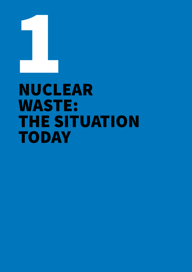

## NUCLEAR WASTE: THE SITUATION TODAY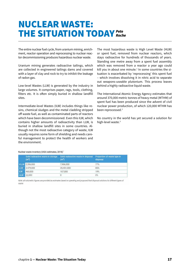### NUCLEAR WASTE: THE SITUATION TODAY *Pete Roche*

The entire nuclear fuel cycle, from uranium mining, enrichment, reactor operation and reprocessing to nuclear reactor decommissioning produces hazardous nuclear waste.

Uranium mining generates radioactive tailings, which are collected in engineered tailings dams and covered with a layer of clay and rock to try to inhibit the leakage of radon gas.

Low-level Wastes (LLW) is generated by the industry in large volumes. It comprises paper, rags, tools, clothing, filters etc. It is often simply buried in shallow landfill sites.

Intermediate-level Wastes (ILW) includes things like resins, chemical sludges and the metal cladding stripped off waste fuel, as well as contaminated parts of reactors which have been decommissioned. Even this ILW, which contains higher amounts of radioactivity than LLW, is buried in shallow landfill sites in some countries. Although not the most radioactive category of waste, ILW usually requires some form of shielding and needs careful management to protect the health of workers and the environment.

The most hazardous waste is High Level Waste (HLW) or spent fuel, removed from nuclear reactors, which stays radioactive for hundreds of thousands of years. Standing one metre away from a spent fuel assembly which was removed from a reactor a year ago could kill you in about one minute. $<sup>1</sup>$  In some countries the si-</sup> tuation is exacerbated by 'reprocessing' this spent fuel – which involves dissolving it in nitric acid to separate out weapons-useable plutonium. This process leaves behind a highly radioactive liquid waste.

The International Atomic Energy Agency estimates that around 370,000 metric tonnes of heavy metal (MTHM) of spent fuel has been produced since the advent of civil nuclear power production, of which 120,000 MTHM has been reprocessed.<sup>2</sup>

No country in the world has yet secured a solution for high-level waste.<sup>3</sup>

Nuclear waste inventory (IAEA estimates, 2018)

|            | Solid radioactive waste in storage<br>(m <sup>3</sup> ) | Solid radioactive waste in disposal<br>(m <sup>3</sup> ) | Proportion of waste type in<br>disposal |
|------------|---------------------------------------------------------|----------------------------------------------------------|-----------------------------------------|
|            | VILW 2,356,000                                          | 7,906,000                                                | 77%                                     |
| <b>LLW</b> | 3,479,000                                               | 20,451,000                                               | 85%                                     |
| ILW.       | 460,000                                                 | 107,000                                                  | 19%                                     |
| <b>HLW</b> | 22,000                                                  | 0                                                        | $-0%$                                   |

Note: all volumetric figures are provided as estimates based on operating and proposed final disposal solutions for different types of waste.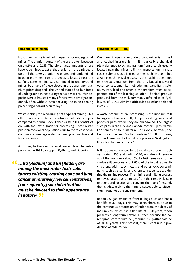#### URANIUM MINING

Most uranium ore is mined in open pit or underground mines. The uranium content of the ore is often between only 0.1% and 0.2%. Therefore, large amounts of ore have to be mined to get at the uranium. In the early years up until the 1960's uranium was predominantly mined in open pit mines from ore deposits located near the surface. Later, mining was continued in underground mines, but many of these closed in the 1980s after uranium prices dropped. The United States had hundreds of underground mines during the Cold War era. After deposits were exhausted many of these were simply abandoned, often without even securing the mine opening presenting a hazard even today.4

Waste rock is produced during both types of mining. This often contains elevated concentrations of radioisotopes compared to normal rock. Other waste piles consist of ore with too low a grade for processing. These waste piles threaten local populations due to the release of radon gas and seepage water containing radioactive and toxic materials.

According to the seminal work on nuclear chemistry published in 1995 by Hoppin, Rydberg, and Liljenzin:

*…Ra [Radium] and Rn [Radon] are*  " *among the most radio-toxic substances existing, causing bone and lung cancer at relatively low concentrations, [consequently] special attention must be devoted to their appearance*  in nature<sup>s</sup> 99

#### URANIUM MILLING

Ore mined in open pit or underground mines is crushed and leached in a uranium mill – basically a chemical plant designed to extract uranium from ore. It is usually located near the mines to limit transportation. In most cases, sulphuric acid is used as the leaching agent, but alkaline leaching is also used. As the leaching agent not only extracts uranium from the ore, but also several other constituents like molybdenum, vanadium, selenium, iron, lead and arsenic, the uranium must be separated out of the leaching solution. The final product produced from the mill, commonly referred to as "yellow cake" (U3O8 with impurities), is packed and shipped in casks.

A waste product of ore processing is the uranium mill tailings which are normally dumped as sludge in special ponds or piles, where they are abandoned. The largest such piles in the U.S. and Canada contain up to 30 million tonnes of solid material. In Saxony, Germany the Helmsdorf pile near Zwickau contains 50 million tonnes, and in Thuringia the Culmitzsch pile near Seelingstädt 86 million tonnes of solids.<sup>6</sup>

Milling does not remove long lived decay products such as thorium-230 and radium-226, nor does it remove all of the uranium - about 5% to 10% remains - so the sludge still contains about 85% of the initial radioactivity along with heavy metals and other toxic contaminants such as arsenic, and chemical reagents used during the milling process. The mining and milling process removes hazardous chemicals from their relatively safe underground location and converts them to a fine sand, then sludge, making them more susceptible to dispersion throughout the environment.

Radon-222 gas emanates from tailings piles and has a half-life of 3.8 days. This may seem short, but due to the continuous production of radon from the decay of radium-226, which has a half-life of 1600 years, radon presents a long-term hazard. Further, because the parent product of radium-226, thorium-230 (with a half-life of 80,000 years) is also present, there is continuous production of radium-226.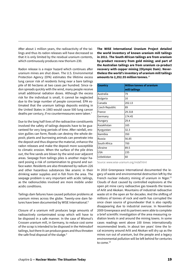After about 1 million years, the radioactivity of the tailings and thus its radon releases will have decreased so that it is only limited by the residual uranium contents, which continuously produces new thorium-230.

Radon release is a major hazard which continues after uranium mines are shut down. The U.S. Environmental Protection Agency (EPA) estimates the lifetime excess lung cancer risk of residents living near a bare tailings pile of 80 hectares at two cases per hundred. Since radon spreads quickly with the wind, many people receive small additional radiation doses. Although the excess risk for the individual is small, it cannot be neglected due to the large number of people concerned. EPA estimated that the uranium tailings deposits existing in the United States in 1983 would cause 500 lung cancer deaths per century, if no countermeasures were taken.<sup>7</sup>

Due to the long half-lives of the radioactive constituents involved the safety of tailings deposits have to be guaranteed for very long periods of time. After rainfall, erosion gullies can form; floods can destroy the whole deposit; plants and burrowing animals can penetrate into the deposit and thus disperse the material, enhance the radon releases and make the deposit more susceptible to climatic erosion. When the surface of the pile dries out, the fine sands are blown by the wind over adjacent areas. Seepage from tailings piles is another major hazard posing a risk of contamination to ground and surface water. Residents are also threatened by radium-226 and other hazardous substances like arsenic in their drinking water supplies and in fish from the area. The seepage problem is very important with acidic tailings, as the radionuclides involved are more mobile under acidic conditions.

Tailings dam failures have caused pollution problems at uranium mines across the globe. Twenty-one dam failures have been documented by WISE International.<sup>8</sup>

Closure of a uranium mill produces large amounts of radioactively contaminated scrap which will have to be disposed in a safe manner. In the case of Wismut's Crossen uranium mill, in Germany, to reduce cost some of the scrap is intended to be disposed in the Helmsdorf tailings, but there it can produce gases and thus threaten the safe final disposal of the sludge.<sup>9</sup>

**The WISE International Uranium Project detailed the world inventory of known uranium mill tailings in 2011. The South African tailings are from uranium by-product recovery from gold mining; and part of the Australian tailings are from uranium co-product recovery with copper mining (Olympic Dam). Nevertheless the world's inventory of uranium mill tailings amounts to 2,352.55 million tonnes.**<sup>10</sup>

| <b>Country</b>  | <b>Million tonnes of uranium</b><br>mill tailings |
|-----------------|---------------------------------------------------|
| Australia       | 79                                                |
| <b>Bulgaria</b> | 16                                                |
| Canada          | 202.13                                            |
| Czech Republic  | 89                                                |
| France          | 29.318                                            |
| Germany         | 174.45                                            |
| Hungary         | 29.4                                              |
| Kazakhstan      | 165                                               |
| Kyrgyzstan      | 32.3                                              |
| Namibia         | 350                                               |
| Russia          | 56.85                                             |
| South Africa    | 700                                               |
| Ukraine         | 89.5                                              |
| <b>USA</b>      | 235                                               |
| Uzbekistan      | 60                                                |

Source: www.wise-uranium.org/mdaf.html

In 2010 Greenpeace International documented the legacy of waste and environmental destruction left by the French nuclear industry mining of uranium in Niger.<sup>11</sup> Clouds of dust caused by controlled explosions at the open pit mine carry radioactive gas towards the towns of Arlit and Akokan. Mountains of industrial radioactive waste sit in the open air for decades. And the shifting of millions of tonnes of rock and earth has corrupted the once clean source of groundwater that is also rapidly disappearing due to industrial overuse. In November 2009 Greenpeace and its partners were able to complete a brief scientific investigation of the area measuring radiation levels in and around the mining towns. In some cases readings went above 100 times internationally recommended levels. In about ten years' time the local economy around Arlit and Akokan will dry up as the mines run out of uranium, but the people and a legacy environmental pollution will be left behind for centuries to come.<sup>12</sup>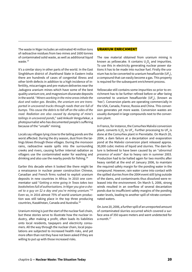The waste in Niger includes an estimated 40 million tons of radioactive residues from two mines and 1600 tonnes of contaminated solid waste, as well as additional liquid waste.<sup>13</sup>

It's a similar story in other parts of the world. In the East Singhbhum district of Jharkhand State in Eastern India there are hundreds of cases of congenital illness and other birth defects in addition to a high incidence of infertility, miscarriages and pre-mature deliveries near the Jadugora uranium mines which have some of the best quality uranium ore, and magnesium diuranate deposits in the world. "*Miners working in the mine areas inhale the dust and radon gas. Besides, the uranium ore are transported in uncovered trucks through roads that are full of bumps. This cause the debris to fall off on the sides of the road. Radiation are also caused by dumping of mine's tailings in uncovered ponds*," said Ankush Vengurlekar, a photojournalist who has documented people's suffering because of the "unsafe" mining.

Locals say villages lying close to the tailing ponds are the worst affected. During the dry season, dust from the tailings blows through these villages. During the monsoon rains, radioactive waste spills into the surrounding creeks and rivers, causing further internal radiation as villagers use the contaminated water for washing and drinking and also use the nearby ponds for fishing.14

Earlier this decade when it looked like there might be a renaissance in nuclear power construction Chinese, Canadian and French firms rushed to exploit uranium deposits in new countries in Africa. In 2010 one commentator said "*Getting a mine going in Texas takes two bookshelves full of authorisations. In Niger you give a shovel to a guy on \$2 a day and you're mining uranium.*"15 Even so, in 2016 almost 75% of world uranium production was still taking place in the top three producing countries, Kazakhstan, Canada and Australia.16

Uranium mining is just the start of the nuclear fuel chain, but these stories serve to illustrate how the nuclear industry, after making a profit, often loads its liabilities onto local residents, taxpayers and electricity consumers. All the way through the nuclear chain, local populations are subjected to increased health risks, and yet more often than not they have not been asked if they are willing to put up with those increased risks.

#### URANIUM ENRICHMENT

The raw material obtained from uranium mining is known as yellowcake. It contains  $\mathsf{U}_{\sf a} \mathsf{O}_{\sf g}$  and impurities. To use this in electricity generating nuclear power stations it has to be made into nuclear fuel. Firstly the uranium has to be converted to uranium hexafluoride (UF $_{\rm s}$ ), a compound that can easily become a gas. This property is required for the subsequent enrichment process.

Yellowcake still contains some impurities so prior to enrichment has to be further refined before or after being converted to uranium hexafluoride (UF<sub>6</sub>), (known as 'hex'). Conversion plants are operating commercially in the USA, Canada, France, Russia and China. This conversion generates yet more waste. Conversion wastes are usually dumped in large compounds next to the conversion plant.

In France, for instance, the Comurhex Malvési conversion plant, converts  $\mathsf{U}_{\sf a} \mathsf{O}_{\sf a}$  to  $\mathsf{UF}_{\sf a}$ . Further processing to  $\mathsf{UF}_{\sf a}$  is done at the Comurhex plant in Pierrelatte. On March 20, 2004, a dam failure at a decantation and evaporation pond at the Malvési conversion plant released approx. 30,000 cubic metres of liquid and slurries. The dam failure is believed to have been caused by an "*abnormal presence of water*" due to heavy rain in summer 2003. Production had to be halted again for two months after heavy rainfall at the end of January 2006, to maintain the required safety margin for the ponding water in the compound. However, rain water came into contact with the spilled slurries from the 2004 event still lying outside of the dams, and contaminants thus dissolved were released into the environment. On March 5, 2006, strong winds resulted in an overflow of several decantation ponds due to insufficient safety margins of the ponding water levels, leading to another spill of nitrate-contaminated waters.

On June 20, 2006, a further spill of an unreported amount of contaminated slurries occurred which covered a surface area of 350 square meters and went undetected for a month.<sup>17</sup>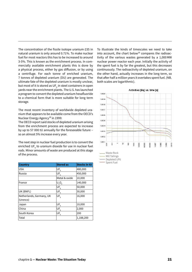The concentration of the fissile isotope uranium-235 in natural uranium is only around 0.71%. To make nuclear fuel for most reactors this has to be increased to around 3-5%. This is known as the enrichment process. In commercially available enrichment plants this is done by a physical process, either by gas diffusion, or by using a centrifuge. For each tonne of enriched uranium, 7 tonnes of depleted uranium (DU) are generated. The ultimate fate of the depleted uranium is mostly unclear, but most of it is stored as UF $_{\rm \scriptscriptstyle \rm g}$  in steel containers in open yards near the enrichment plants. The U.S. has launched a program to convert the depleted uranium hexafluoride to a chemical form that is more suitable for long term storage.

The most recent inventory of worldwide depleted uranium that appears to be available come from the OECD's Nuclear Energy Agency<sup>18</sup> in 1999:

The OECD report said stocks of depleted uranium arising from the enrichment process are expected to increase by up to 57 000 tU annually for the foreseeable future – so an almost 5% increase every year.

The next step in nuclear fuel production is to convert the enriched UF $_{\tiny{6}}$  to uranium dioxide for use in nuclear fuel rods. Minor amounts of waste are produced at this stage of the process.

| <b>Country</b>           | <b>Stored as</b> | <b>Stocks in tU</b> |
|--------------------------|------------------|---------------------|
| <b>USA</b>               | UF <sub>6</sub>  | 480,000             |
| Russia                   | UF <sub>6</sub>  | 450,000             |
|                          | Metal & oxide    | 10,000              |
| France                   | $U_3O_8$         | 140,000             |
|                          | UF <sub>6</sub>  | 50,000              |
| UK (BNFL)                | UF <sub>6</sub>  | 30,000              |
| Netherlands, Germany, UK | UF <sub>6</sub>  | 16,000              |
| (Urenco)                 |                  |                     |
| Japan                    | UF <sub>6</sub>  | 10,000              |
| China                    | UF <sub>6</sub>  | 2,000               |
| South Korea              | UF <sub>6</sub>  | 200                 |
| Total                    |                  | 1,188,200           |

To illustrate the kinds of timescales we need to take into account, the chart below<sup>19</sup> compares the radioactivity of the various wastes generated by a 1,000MW nuclear power reactor each year. Initially the activity of the spent fuel is by far the greatest, but this decreases continuously. The radioactivity of depleted uranium, on the other hand, actually increases in the long term, so that after half a million years it overtakes spent fuel. (NB. both scales are logarithmic).



| waste Rock    |
|---------------|
| Mill Tailings |
| Depleted UF6  |

Spent Fuel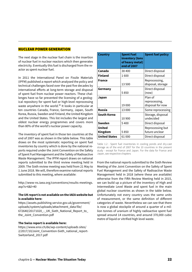#### NUCLEAR POWER GENERATION

The next stage in the nuclear fuel chain is the insertion of nuclear fuel in nuclear reactors which then generates electricity. Eventually this fuel is discharged from the reactor as spent nuclear fuel.

In 2011 the International Panel on Fissile Materials (IPFM) published a report which analysed the policy and technical challenges faced over the past five decades by international efforts at long-term storage and disposal of spent fuel from nuclear power reactors. These challenges have so far prevented the licensing of a geological repository for spent fuel or high-level reprocessing waste anywhere in the world.<sup>20</sup> It looks in particular at ten countries Canada, France, Germany, Japan, South Korea, Russia, Sweden and Finland, the United Kingdom and the United States. This list includes the largest and oldest nuclear energy programmes and covers more than 80% of the world's nuclear power capacity.

The inventory of spent fuel in those ten countries at the end of 2007 was as shown in the table below. This table draws on the most systematic reporting on spent fuel inventories by country which is done by the national reports required under the Joint Convention on the Safety of Spent Fuel Management and the Safety of Radioactive Waste Management. The IPFM report draws on national reports submitted to the third review meeting held in 2009. The Sixth review meeting was held from 21 May to 1 June 2018. We will, therefore examine national reports submitted to this meeting, where available:

http://www-ns.iaea.org/conventions/results-meetings. asp?s=6&l=40

#### **The UK report is not available on the IAEA website but is available here:**

https://assets.publishing.service.gov.uk/government/ uploads/system/uploads/attachment\_data file/ 672640/20171020 - UK\_Sixth\_National\_Report\_to the Joint Convention.pdf

#### **The Swiss report is available here:**

https://www.ensi.ch/de/wp-content/uploads sites/ 2/2017/10/Joint\_Convention-Sixth\_national\_report-Switzerland\_2017.pdf

| <b>Country</b>           | <b>Spent Fuel</b><br>inventory (tons<br>of heavy metal)<br>end of 2007 | <b>Spent fuel policy</b>                     |
|--------------------------|------------------------------------------------------------------------|----------------------------------------------|
| Canada                   | 38400                                                                  | Direct disposal                              |
| <b>Finland</b>           | 1600                                                                   | Direct disposal                              |
| <b>France</b>            | 13500                                                                  | Reprocessing,<br>disposal, storage           |
| Germany                  | 5850                                                                   | Direct disposal<br>(now)                     |
| Japan                    | 19 000                                                                 | Plan of<br>reprocessing,<br>disposal for now |
| <b>Russia</b>            | 13 000                                                                 | Some reprocessing                            |
| <b>South Korea</b>       | 10 900                                                                 | Storage, disposal<br>undecided               |
| <b>Sweden</b>            | 5400                                                                   | Direct disposal                              |
| <b>United</b><br>Kingdom | 5850                                                                   | Reprocessing but<br>future unclear           |
| <b>United States</b>     | 61000                                                                  | Direct disposal                              |

Table 1.2 : Spent fuel inventories in cooling ponds and dry-cast storage as of the end of 2007 for the 10 countries in the present study - except for France and Japan. For the data for France and Japan, see respective chapters

From the national reports submitted to the Sixth Review Meeting of the Joint Convention on the Safety of Spent Fuel Management and the Safety of Radioactive Waste Management held in 2018 (where these are available) otherwise from the Fifth Review Meeting held in 2015, we can build up a picture of the inventory of High and Intermediate Level Waste and spent fuel in the main global nuclear countries as shown in the table below. Unfortunately not every country uses the same units of measurement, or the same definition of different categories of waste. Nevertheless we can see that there is now a global stockpile of around a quarter of a million tonnes of uranium of highly radioactive spent fuel spread around 14 countries, and around 370,000 cubic metre of liquid or vitrified high level waste.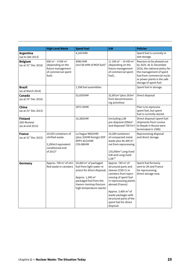|                                                     | <b>High Level Waste</b>                                                                                              | <b>Spent Fuel</b>                                                                                                                                                                                           | <b>ILW</b>                                                                                                                                                                                                                                                                                           | <b>Policies</b>                                                                                                                                                                                          |
|-----------------------------------------------------|----------------------------------------------------------------------------------------------------------------------|-------------------------------------------------------------------------------------------------------------------------------------------------------------------------------------------------------------|------------------------------------------------------------------------------------------------------------------------------------------------------------------------------------------------------------------------------------------------------------------------------------------------------|----------------------------------------------------------------------------------------------------------------------------------------------------------------------------------------------------------|
| Argentina<br>(up to late 2013)                      |                                                                                                                      | 4,243 tHM                                                                                                                                                                                                   |                                                                                                                                                                                                                                                                                                      | Spent fuel is currently in<br>wet storage.                                                                                                                                                               |
| <b>Belgium</b><br>(as at 31 <sup>st</sup> Dec 2016) | 600 m <sup>3</sup> – 4 500 m <sup>3</sup><br>(depending on the<br>future management<br>of commercial spent<br>fuel). | 4080 tHM<br>(incl 66 tHM of MOX fuel)*                                                                                                                                                                      | 11 100 m <sup>3</sup> - 10 430 m <sup>3</sup><br>(depending on the<br>future management<br>of commercial spent<br>fuel),                                                                                                                                                                             | Reactors to be phased out<br>by 2025. At 31 December<br>2016, the national policy for<br>the management of spent<br>fuel from commercial nucle-<br>ar power plants is the safe<br>storage of spent fuel. |
| <b>Brazil</b><br>(as at March 2014)                 |                                                                                                                      | 1,398 fuel assemblies                                                                                                                                                                                       |                                                                                                                                                                                                                                                                                                      | Spent fuel in storage.                                                                                                                                                                                   |
| Canada<br>(as at 31 <sup>st</sup> Dec 2016)         |                                                                                                                      | 52,655tHM                                                                                                                                                                                                   | 32,891m <sup>3</sup> (plus 263m <sup>3</sup><br>from decommission-<br>ing activities)                                                                                                                                                                                                                | Direct disposal                                                                                                                                                                                          |
| China<br>(as at 31 <sup>st</sup> Dec 2013)          |                                                                                                                      | 3973.5tHM                                                                                                                                                                                                   |                                                                                                                                                                                                                                                                                                      | Plan is to reprocess<br>spent fuel, but spent<br>fuel is currently stored.                                                                                                                               |
| <b>Finland</b><br>(5th Review)<br>(as at end 2013)  |                                                                                                                      | 16,382tHM                                                                                                                                                                                                   | (including LLW<br>pre-disposal 2056m <sup>3</sup><br>and disposed 7567m <sup>3</sup> )                                                                                                                                                                                                               | Direct disposal (spent fuel<br>shipments from Loviisa<br>to Mayak in Russia were<br>terminated in 1996)                                                                                                  |
| <b>France</b><br>(as at 31 <sup>st</sup> Dec 2015)  | 14,555 containers of<br>vitrified waste.<br>3,200m3 equivalent<br>conditioned end<br>of 2013*                        | La Hague 9681tHM<br>(plus 32tHM foreign) EDF<br>NPPs 4221tHM<br>CEA 88tHM                                                                                                                                   | 14,284 containers<br>of compacted metal<br>waste plus 46 300 m <sup>3</sup><br>not from reprocessing.<br>135,000m <sup>3</sup> Long-lived<br>ILW and Long-lived<br>$LLW.*$                                                                                                                           | Reprocessing disposal<br>and direct storage.                                                                                                                                                             |
| Germany                                             | Approx. 700 m <sup>3</sup> of vitri-<br>fied waste in canisters                                                      | 20,400 m <sup>3</sup> of packaged<br>fuel from light water re-<br>actors for direct disposal;<br>Approx. 1,340 m <sup>3</sup><br>packaged fuel from the<br>Hamm-Uentrop thorium<br>high-temperature reactor | Approx. 740 m <sup>3</sup> of<br>structural parts and<br>sleeves (CSD-C) in<br>canisters from repro-<br>cessing of spent fuel<br>in reprocessing plants<br>abroad (France)<br>Approx. 3,400 m <sup>3</sup> of<br>waste packages with<br>structural parts of the<br>spent fuel for direct<br>disposal | Spent fuel formerly<br>sent to UK and France<br>for reprocessing.<br>Direct storage now.                                                                                                                 |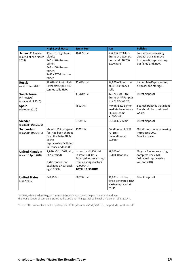|                                                                       | <b>High Level Waste</b>                                                                                                                             | <b>Spent Fuel</b>                                                                                                                                | <b>ILW</b>                                                                                           | <b>Policies</b>                                                                                     |
|-----------------------------------------------------------------------|-----------------------------------------------------------------------------------------------------------------------------------------------------|--------------------------------------------------------------------------------------------------------------------------------------------------|------------------------------------------------------------------------------------------------------|-----------------------------------------------------------------------------------------------------|
| Japan (5th Review)<br>(as end of end March<br>2014)                   | 415m <sup>3</sup> of High Level<br>Liquid;<br>247 x 120-litre con-<br>tainer;<br>346 x 160-litre con-<br>tainer;<br>1442 x 170-litre con-<br>tainer | 16,889tHM                                                                                                                                        | 696,896 x 200 litre<br>drums at power sta-<br>tions and 110,296<br>elsewhere.                        | Formerly reprocessing<br>abroad; plans to move<br>to domestic reprocessing<br>but failed until now. |
| <b>Russia</b><br>as at $1st$ Jan 2017                                 | 18,640m <sup>3</sup> liquid High<br>Level Waste plus 480<br>tonnes solid HLW.                                                                       | 22,449tHM                                                                                                                                        | 94,800m <sup>3</sup> liquid ILW<br>plus 1680 tonnes<br>solid                                         | Incomplete Reprocessing,<br>disposal and storage.                                                   |
| <b>South Korea</b><br>(4 <sup>th</sup> Review)<br>(as at end of 2010) |                                                                                                                                                     | 11,370tHM                                                                                                                                        | 87,176 x 200 litre<br>drums at NPPs (plus<br>18,228 elsewhere)                                       | Direct disposal                                                                                     |
| <b>Spain</b><br>(October 2014)                                        |                                                                                                                                                     | 4592tHM                                                                                                                                          | 7494m <sup>3</sup> Low & Inter-<br>mediate Level Waste.<br>Plus 30188m <sup>3</sup><br>at El Cabril. | Spanish policy is that spent<br>fuel should be considered<br>waste.                                 |
| Sweden<br>(as at $31st$ Dec 2016)                                     |                                                                                                                                                     | 6758tHM                                                                                                                                          | L&ILW 40,232m <sup>3</sup>                                                                           | Direct disposal                                                                                     |
| <b>Switzerland</b><br>(as at $31st$ Dec 2016)                         | about 1,139 t of spent<br>fuel had been shipped<br>from the Swiss NPPs<br>to the<br>reprocessing facilities<br>in France and the UK                 | 1377tHM                                                                                                                                          | Conditioned L/ILW<br>$7271m^3$ .<br>Unconditioned<br>1224m <sup>3</sup>                              | Moratorium on reprocessing<br>introduced 2003.<br>Direct storage.                                   |
| <b>United Kingdom</b><br>(as at $1st$ April 2016)                     | 1,960m <sup>3</sup> (1,100 liquid,<br>867 vitrified)<br>3,700 tonnes (not<br>packaged 1,400; pack-<br>aged 2,300)                                   | In reactor ~2,800tHM<br>In store~4,800tHM<br><b>Expected future arisings</b><br>from existing reactors<br>$~2,900$ tHM<br><b>TOTAL 10,500tHM</b> | 99,000m <sup>3</sup><br>(120,000 tonnes)                                                             | Magnox fuel reprocessing<br>complete Dec 2020.<br>Oxide fuel reprocessing<br>will end 2018.         |
| <b>United States</b><br>(June 2017)                                   | 348,298m <sup>3</sup>                                                                                                                               | 80,296tHM                                                                                                                                        | 91,003 m <sup>3</sup> of de-<br>fense-generated TRU<br>waste emplaced at<br>WIPP.                    | Direct disposal                                                                                     |

\*In 2025, when the last Belgian commercial nuclear reactor will be permanently shut down, the total quantity of spent fuel stored at the Doel and Tihange sites will reach a maximum of 4 880 tHM.

\*\*From https://inventaire.andra.fr/sites/default/files/documents/pdf/fr/2015\_-\_rapport\_de\_synthese.pdf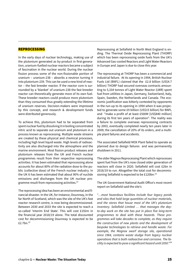#### REPROCESSING

In the early days of nuclear technology, making use of the plutonium generated as by-product in first-generation, uranium-fuelled nuclear reactors became a subject of fascination in the nuclear world. During the nuclear fission process some of the non-fissionable portion of uranium – uranium-238 – absorbs a neutron turning it into plutonium-239. This can be used a new kind of reactor – the fast breeder reactor. If the reactor core is surrounded by a 'blanket' of uranium-238 the fast breeder reactor can theoretically generate more of its own fuel. These breeder reactors could produce more plutonium than they consumed thus greatly extending the lifetime of uranium reserves. Decision-makers were impressed by this concept, and research & development funds were distributed generously.

To achieve this, plutonium had to be separated from spent nuclear fuel by dissolving it in boiling concentrated nitric acid to separate out uranium and plutonium in a process known as reprocessing. Multiple waste streams are created by these physical and chemical processes, including high level liquid waste. High levels of radioactivity are also discharged into the atmosphere and the marine environment. Most fission product releases and plutonium releases from the UK and French nuclear programmes result from their respective reprocessing activities. It has been estimated that reprocessing alone accounts for about 80% of the radiation dose to the public (collective dose) of the French nuclear industry. In the UK it has been estimated that about 90% of nuclide emissions and discharges from the UK nuclear programme result from reprocessing activities.21

The reprocessing idea has been an environmental and financial disaster. In the UK, for instance, Dounreay, in the far North of Scotland, which was the site of the UK's fast reactor research centre, is now being decommissioned. Between 2030 and 2033 the site is expected to reach a so-called 'Interim End State'. This will cost £192m in the financial year 2018/19 alone. The total discounted cost for decommissioning Dounreay is expected to be £2.7bn.22

Reprocessing at Sellafield in North West England is ending. The Thermal Oxide Reprocessing Plant (THORP) which has been reprocessing oxide fuels from the UK's Advanced Gas-cooled Reactors and Light Water Reactors in Europe and Japan is due to close this year.

The reprocessing at THORP has been a commercial and industrial failure. At its opening in 1994, British Nuclear Fuels Ltd (BNFL) claimed that the £2.8 billion (US\$4.7 billion) THORP had secured overseas contracts amounting to 5,334 tonnes of Light Water Reactor (LWR) spent fuel from utilities in Japan, Germany, Switzerland, Italy, Spain, Sweden, the Netherlands and Canada. The economic justification was bitterly contested by opponents in the run-up to its opening in 1994 when it was projected to generate some £9 billion (US\$15 billion) for BNFL and "make a profit of at least £500M [US\$840 million] during its first ten years of operation". The reality was a failure to complete overseas reprocessing contracts by 2003, eventually completed nearly ten years later in 2009; the cancellation of 20% of its orders, and a multiple plant failures and accidents.

The associated Sellafield MOX Plant failed to operate as planned due to design failures and was permanently shutdown in 2011.

The older Magnox Reprocessing Plant which reprocesses spent fuel from the UK's now closed older generation of reactors will close in 2020. Sellafield will cost £2bn in 2018/19 to run. Altogether the total cost for decommissioning Sellafield is expected to be £120bn.<sup>23</sup>

The UK Government National Audit Office's most recent report on Sellafield said the site's

"…*most hazardous facilities include four legacy ponds and silos that hold large quantities of nuclear materials, and the stores that house most of the UK's plutonium inventory. Sellafield Limited … that manages the dayto-day work on the site has put in place five long-term programmes to deal with these hazards. These programmes will take decades to complete, as they require the construction of new plants and the development of bespoke technologies to retrieve and handle waste. For example, the Magnox swarf storage silo, operational since 1964, contains waste sludge from legacy nuclear operations that is both radioactive and corrosive. The facility is expected to pose a significant hazard until 2050*."24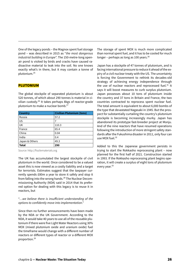One of the legacy ponds – the Magnox spent fuel storage pond – was described in 2015 as "*the most dangerous industrial building in Europe*". The 150-metre-long openair pond is visited by birds and cracks have caused radioactive material to leak into the soil. No one knows exactly what's in there, but it may contain a tonne of plutonium.25

#### PLUTONIUM

The global stockpile of separated plutonium is about 520 tonnes, of which about 290 tonnes is material in civilian custody.26 It takes perhaps 8kgs of reactor-grade plutonium to make a nuclear bomb.<sup>27</sup>

| <b>Country</b> | <b>Civilian Plutonium (tons)</b> |
|----------------|----------------------------------|
| Russia         | 57.2                             |
| <b>US</b>      | 7                                |
| <b>UK</b>      | 110.3                            |
| France         | 65.4                             |
| China          | 0.04                             |
| India          | 0.4                              |
| Japan & Others | 49.3                             |
| <b>Total</b>   | 290                              |

Source: http://fissilematerials.org

The UK has accumulated the largest stockpile of civil plutonium in the world. Once considered to be a valued asset this is now viewed as a costly liability and a target for terrorists. Estimates suggest that the taxpayer currently spends £80m a year to store it safely and stop it from falling into the wrong hands.28 The Nuclear Decommissioning Authority (NDA) said in 2014 that its preferred option for dealing with this legacy is to reuse it in reactors, but

#### "…*we believe there is insufficient understanding of the options to confidently move into implementation*."

Since then no further announcements have been made by the NDA or the UK Government. According to the NDA, it would take 40 years to use all of the reusable plutonium if there were five Light Water Reactors using 30% MOX (mixed plutonium oxide and uranium oxide) fuel the timeframe would change with a different number of reactors or different types of reactor or a different MOX proportion.29

The storage of spent MOX is much more complicated than normal spent fuel, and it has to be cooled for much longer – perhaps as long as 100 years. $30$ 

Japan has a stockpile of 47 tonnes of plutonium, and is facing international pressure to reduce it ahead of the expiry of a civil nuclear treaty with the US. The uncertainty is forcing the Government to rethink its decades-old strategy of achieving energy independence through the use of nuclear reactors and reprocessed fuel. $31$  It says it will boost measures to curb surplus plutonium. Japan possesses about 10 tons of plutonium inside the country and 37 tons in Britain and France, the two countries contracted to reprocess spent nuclear fuel. The total amount is equivalent to about 6,000 bombs of the type that devastated Nagasaki in 1945. But the prospect for substantially curtailing the country's plutonium stockpile is becoming increasingly murky. Japan has abandoned its prototype fast-breeder project at Monju. And of the nine reactors that have resumed operations following the introduction of more stringent safety standards after the Fukushima disaster in 2011, only four can use MOX fuel.32

Added to this the Japanese government persists in trying to start the Rokkasho reprocessing plant – now planned for the first half of 2021. Construction started in 1993. If the Rokkasho reprocessing plant begins operation, it will create a surplus of eight tons of plutonium every year.<sup>33</sup>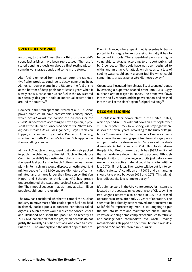#### SPENT FUEL STORAGE

According to the IAEA less than a third of the world's spent fuel arisings have been reprocessed. The rest is stored pending a decision about a final resting place – some in wet storage ponds and some in dry stores.

After fuel is removed from a reactor core, the radioactive fission products continue to decay, generating heat. All nuclear power plants in the US store the fuel onsite at the bottom of deep pools for at least 4 years while it slowly cools. Most spent nuclear fuel in the US is stored in specially designed pools at individual reactor sites around the country.34

However, a fire from spent fuel stored at a U.S. nuclear power plant could have catastrophic consequences, which "*could dwarf the horrific consequences of the Fukushima accident*," according to Edwin Lyman, a physicist at the Union of Concerned Scientists. "*We're talking about trillion-dollar consequences*," says Frank von Hippel, a nuclear security expert at Princeton University, who teamed with Princeton's Michael Schoeppner on the modelling exercise.

At most U.S. nuclear plants, spent fuel is densely packed in pools, heightening the fire risk. Nuclear Regulatory Commission (NRC) has estimated that a major fire at the spent fuel pool at the Peach Bottom nuclear power plant in Pennsylvania would displace an estimated 3.46 million people from 31,000 square kilometers of contaminated land, an area larger than New Jersey. But Von Hippel and Schoeppner think that NRC has grossly underestimated the scale and societal costs of such a fire. Their model suggests that as many as 18.1 million people could require relocation.35

The NRC has considered whether to compel the nuclear industry to move most of the cooled spent fuel now held in densely packed pools to concrete containers called dry casks. Such a move would reduce the consequences and likelihood of a spent fuel pool fire. As recently as 2013, NRC concluded that the projected benefits do not justify the roughly \$4 billion cost of a wholesale transfer. But the NRC has underplayed the risk of a spent fuel fire. Even in France, where spent fuel is eventually transported to La Hague for reprocessing, initially it has to be cooled in pools. These spent-fuel pools are highly vulnerable to attacks according to a report published by Greenpeace. The pools have not been designed to withstand an attack. An attack which leads to a loss of cooling water could spark a spent-fuel fire which could contaminate areas as far as 250 kilometres away.36

Greenpeace illustrated the vulnerability of spent fuel ponds by crashing a Superman-shaped drone into EDF's Bugey nuclear plant, near Lyon in France. The drone was flown into the no-fly zone around the power station, and crashed into the wall of the plant's spent-fuel pool building.<sup>37</sup>

#### DECOMMISSIONING

The oldest nuclear power plant in the United States, which opened in 1969, will shut down on 17th September 2018, but Oyster Creek New Jersey, will stay right where it is for the next 60 years. According to the Nuclear Regulatory Commission the plant's owner – Exelon - expects to remove the remaining spent fuel from storage pools and put it into dry storage within 5½ years of the shutdown date. All told, it will cost \$1.4 billion to shut down the plant but Exelon currently only has \$982.1 million of that set aside in a decommissioning account. Although the plant will stop producing electricity just before summer ends, radioactive material could be on site until the late 2070s, if not later. The reactor will be put it into socalled "safe store" condition until 2075 and dismantling should take place between 2075 and 2078. This will allow radioactivity levels time to decay.<sup>38</sup>

It's a similar story in the UK. Hunterston A, for instance is located on the coast 30 miles south west of Glasgow. The two Magnox reactors also opened in 1969 but ceased operations in 1989, after only 20 years of operation. The spent fuel has already been removed and transferred to Sellafield for reprocessing. Work is still ongoing to put the site into its care and maintenance phase. This involves developing some complex techniques to retrieve and package solid Intermediate Level Waste – mainly metal cladding stripped off spent fuel before it was despatched to Sellafield - stored in 5 bunkers.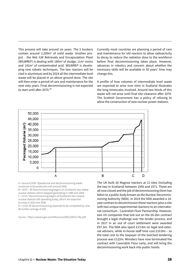This process will take around six years. The 5 bunkers contain around 2,200m<sup>3</sup> of solid waste. Another project - the Wet ILW Retrievals and Encapsulation Plant (WILWREP) is dealing with  $180m<sup>3</sup>$  of sludge;  $11m<sup>3</sup>$  resins and 141m<sup>3</sup> of contaminated acid. WILWREP is developing new robotic techniques. The two reactors will be clad in aluminium and by 2024 all the intermediate level waste will be placed in an above ground store. The site will then enter a period of care and maintenance for the next sixty years. Final decommissioning is not expected to start until after 2070.<sup>39</sup>

Currently most countries are planning a period of care and maintenance for old reactors to allow radioactivity to decay to reduce the radiation dose to the workforce before final decommissioning takes place. However, advances in robotics and concern about whether the necessary skills will be available in 50 years' time may change this.

A profile of how volumes of intermediate level waste are expected to arise over time in Scotland illustrates the long timescales involved. Around two thirds of this waste will not arise until final site clearance after 2070. The Scottish Government has a policy of refusing to allow the construction of new nuclear power stations.



A = around 2030. Operational and decommissioning waste continues to be produced until around 2030.

B = 2070 – 85 Decommissioning begins on Scotland's two oldest nuclear stations which stopped generating in 1989 and 2004. C = 2115. Decommissioning begins of Scotland's two newest nuclear stations still operating today, which are expected to close in 2023 and 2030

D = 2120. All decommissioning expected to be completed by now. No further arisings of ILW.

Source : https://www2.gov.scot/Resource/0051/00511782.pdf

The UK built 26 Magnox reactors at 11 sites (including the two in Scotland) between 1956 and 1971. These are all now closed and the job of decommissioning them has fallen to a public body known as the Nuclear Decommissioning Authority (NDA). In 2014 the NDA awarded a 14 year contract to decommission these reactors (plus a site with two unique experimental reactors) to an international consortium - Cavendish Fluor Partnership. However, two US companies that lost out on the £6.2bn contract brought a legal challenge over the tender process, and in 2017 in an out of court settlement were awarded £97.3m. The NDA also spent £13.8m on legal and external advisers, while in-house staff time cost £10.8m – so the total cost to the taxpayer of the botched tendering process was £122m. Ministers have now terminated the contract with Cavendish Flour early, and will bring the decommissioning work back into public hands.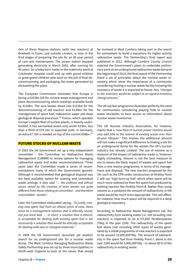One of these Magnox stations (with two reactors) at Bradwell in Essex, just outside London, is now in the final stages of preparing the site for an 80 year period of care and maintenance. The power station stopped generating electricity in March 2002, after running for 40 years. So a baby born today in the maternity ward at Colchester Hospital could end up with grand-children or great grand-children who work on the job of final decommissioning and packaging the waste generated by dismantling the plant.

The European Commission estimates that Europe is facing a €253bn bill for nuclear waste management and plant decommissioning which outstrips available funds by €120bn. The sum breaks down into €123bn for the decommissioning of old reactors and €130bn for the management of spent fuel, radioactive waste and deep geological disposal processes.<sup>40</sup> France, which operates Europe's largest fleet of nuclear plants, is heavily underfunded. It has earmarked assets only worth €23bn, less than a third of €74.1bn in expected costs. In Germany, an extra €7.7bn is needed on top of the current €38bn.<sup>41</sup>

#### FUTURE STOCKS OF NUCLEAR WASTE

In 2003 the UK Government set up a new independent committee – the Committee on Radioactive Waste Management (CoRWM) to review options for managing radioactive waste and make recommendations. Three years later the Committee made a series of recommendations many of which the Government ignored. Although it recommended that geological disposal was the best available option for existing and committed waste arisings, it also said *"… the political and ethical issues raised by the creation of more wastes are quite different from those relating to committed – and therefore unavoidable –wastes".*

Later the Committee elaborated saying: *"To justify creating new spent fuel from an ethical point of view, there must be a management solution that is ethically sound, not just least bad. … In short, a solution that is ethically acceptable for dealing with existing spent fuel is not necessarily a solution that would be ethically acceptable for dealing with new or changed materials."*

In 2008 the UK Government launched yet another search for an underground site for a nuclear waste dump. The West Cumbria Managing Radioactive Waste Safely Partnership was set up by three municipalities in North-west England to look at the issues that would

be involved in West Cumbria taking part in the search for somewhere to build a repository for higher activity radioactive waste. The Partnership's final report was published in 2012. Although Cumbria County Council rejected the Government's plans to undertake preliminary work on an underground radioactive waste dump at the beginning of 2013, the final report of the Partnership listed a set of principles about the nuclear waste inventory which show the importance of a community considering hosting a nuclear waste facility knowing the inventory of waste it is expected to house. Any *"changes to the inventory would be subject to an agreed inventory change process."*

The UK nuclear programme illustrates perfectly the need for communities considering playing host to nuclear waste stockpiles to have access to information about nuclear waste inventories.

The UK Nuclear Industry Association, for instance, claims that a *"new fleet of nuclear power stations would only add 10% to the volume of existing waste over their 60-year lifespan."* This implies the additional amount will not make a significant difference to finding a site for an underground dump for the wastes the UK's nuclear industry has already created. The use of volume as a measure of the impact of radioactive waste is, however, highly misleading. Volume is not the best measure to use to assess the likely impact of wastes and spent fuel from a new reactor programme, in terms of its management and disposal. The new reactors proposed for the UK, such as the EPR under construction at Hinkley Point C will use 'high burn-up fuel' which when spent will be much more radioactive than the spent fuel produced by existing reactors like Hinkley Point B. Rather than using volume as a yardstick the amount of radioactivity in the waste would be much more appropriate. This will affect, for instance, how much space will be required in a deep geological repository.

According to Radioactive Waste Management Ltd, the radioactivity from existing waste (i.e. not including new reactors) is expected to be 4,770,000 Terabecquerels (TBq) in the year 2200. The radioactivity of the spent fuel alone (not including other types of waste) generated by a 16GW programme of new reactors is expected to be around 19,000,000TBq. The amount of radioactivity in the spent fuel from Hinkley Point C alone in the year 2200 would be 3,800,000TBq – or about 80% of the radioactivity in existing waste.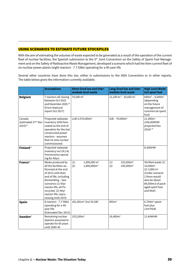#### USING SCENARIOS TO ESTIMATE FUTURE STOCKPILES

With the aim of estimating the volumes of waste expected to be generated as a result of the operation of the current fleet of nuclear facilities, the Spanish submission to the 5<sup>th</sup> Joint Convention on the Safety of Spent Fuel Management and on the Safety of Radioactive Waste Management, developed a scenario which had the then current fleet of six nuclear power plants (eight reactors - 7.7 GWe) operating for a 40-year life.

Several other countries have done this too, either in submissions to the IAEA Convention or in other reports. The table below gives the information currently available.

|                                                           | <b>Assumptions</b>                                                                                                                                                                                                                                         | <b>Short-lived low and inter-</b><br>mediate level waste          | Long-lived low and inter-<br>mediate level waste             | <b>High Level Waste</b><br>incl spent fuel                                                                                                                                         |
|-----------------------------------------------------------|------------------------------------------------------------------------------------------------------------------------------------------------------------------------------------------------------------------------------------------------------------|-------------------------------------------------------------------|--------------------------------------------------------------|------------------------------------------------------------------------------------------------------------------------------------------------------------------------------------|
| <b>Belgium</b>                                            | 7 reactors all closing<br>between Oct 2022<br>and December 2025.42<br>(From National<br>report Oct 2017)                                                                                                                                                   | 70,500 m <sup>3</sup>                                             | 11,100 m <sup>3</sup> - 10,430 m <sup>3</sup>                | $600m^3 - 4,500m^3$<br>(depending<br>on the future<br>management of<br>commercial spent<br>fuel)                                                                                   |
| Canada<br>(estimated 27 <sup>th</sup> Nov<br>$2015)^{43}$ | Projected radwaste<br>inventory 2050 fore-<br>casted as the end of<br>operation for the last<br>constructed power<br>reactors - assumes<br>that no new nuclear<br>commissioned.                                                                            | LLW 2,570,000m <sup>3</sup>                                       | ILW - $79,000m^3$                                            | 21,300m <sup>3</sup><br>(104,000tHM<br>projected Dec<br>2016) 44                                                                                                                   |
| Finland <sup>45</sup>                                     | Projected radwaste<br>inventory incl OL3 &<br>Fennovoima operat-<br>ing for 60yrs                                                                                                                                                                          |                                                                   |                                                              | 8.300tHM                                                                                                                                                                           |
| France <sup>46</sup>                                      | Waste produced by<br>all the facilities au-<br>thorized at the end<br>of 2013 until their<br>end of life, including<br>dismantling - two<br>scenarios (1) 50yr<br>reactor life; all Pu<br>recycled. (2) 40yr<br>reactor life; repro-<br>cessing ends 2019. | 1,900,000 m <sup>3</sup><br>(1)<br>(2)<br>1,800,000m <sup>3</sup> | 252,000m <sup>3</sup><br>(1)<br>(2)<br>245,000m <sup>3</sup> | Vitrified waste (1)<br>10,000m <sup>3</sup><br>$(2)$ 3,900 m <sup>3</sup><br>(Under scenario<br>2 there would<br>also be about<br>89,000m3 of pack-<br>aged spent fuel<br>and MoX) |
| <b>Spain</b>                                              | 8 reactors - 7.7 GWe)<br>operating for a 40-<br>year life.<br>(Estimated Dec 2013)                                                                                                                                                                         | 181,091m <sup>3</sup> (incl VLLW)                                 | 855m <sup>3</sup>                                            | $6,704m3$ spent<br>fuel plus<br>12m <sup>3</sup> HLW.                                                                                                                              |
| Sweden <sup>47</sup>                                      | Remaining nuclear<br>stations assumed to<br>operate for 60 years<br>until 2040-45                                                                                                                                                                          | 153,200m <sup>3</sup>                                             | 16,400m <sup>3</sup>                                         | 11,404tHM                                                                                                                                                                          |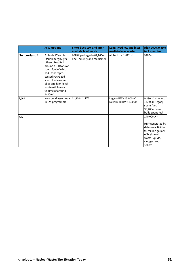|                           | <b>Assumptions</b>                                                                                                                                                                                                                                                | <b>Short-lived low and inter-</b><br>mediate level waste              | Long-lived low and inter-<br>mediate level waste                       | <b>High Level Waste</b><br>incl spent fuel                                                                                                            |
|---------------------------|-------------------------------------------------------------------------------------------------------------------------------------------------------------------------------------------------------------------------------------------------------------------|-----------------------------------------------------------------------|------------------------------------------------------------------------|-------------------------------------------------------------------------------------------------------------------------------------------------------|
| Switzerland <sup>48</sup> | 5 plants 47yrs life<br>- Mühleberg; 60yrs<br>others. Results in<br>around 4100 tons of<br>spent fuel of which.<br>1140 tons repro-<br>cessed Packaged<br>spent fuel assem-<br>blies and high-level<br>waste will have a<br>volume of around<br>9400m <sup>3</sup> | L&ILW packaged - 81,760m <sup>3</sup><br>(incl industry and medicine) | Alpha toxic 1,072m <sup>3</sup>                                        | 9400m <sup>3</sup>                                                                                                                                    |
| UK <sup>49</sup>          | New build assumes a<br>16GW programme                                                                                                                                                                                                                             | 11,800m <sup>3</sup> LLW                                              | Legacy ILW 415,000m <sup>3</sup><br>New Build ILW 41,000m <sup>3</sup> | $9,290m3$ HLW and<br>14,800m <sup>3</sup> legacy<br>spent fuel.<br>39,400m <sup>3</sup> new<br>build spent fuel                                       |
| <b>US</b>                 |                                                                                                                                                                                                                                                                   |                                                                       |                                                                        | 140,000tHM<br>HLW generated by<br>defense activities<br>90 million gallons<br>of high-level<br>waste liquids,<br>sludges, and<br>solids <sup>50</sup> |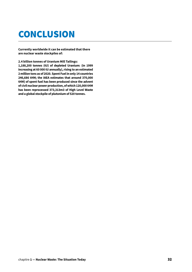### **CONCLUSION**

**Currently worldwide it can be estimated that there are nuclear waste stockpiles of:**

**2.4 billion tonnes of Uranium Mill Tailings:** 

**1,188,200 tonnes (tU) of depleted Uranium: (in 1999 increasing at 60 000 tU annually), rising to an estimated 2 million tons as of 2020. Spent Fuel in only 14 countries 246,686 tHM; the IAEA estimates that around 370,000 tHM) of spent fuel has been produced since the advent of civil nuclear power production, of which 120,000 tHM has been reprocessed 373,313m3 of High Level Waste and a global stockpile of plutonium of 520 tonnes.**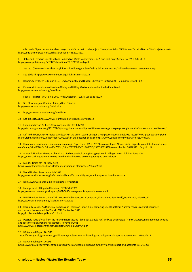1 Allan Hedin "Spent nuclear fuel – how dangerous is it? A report from the project "Description of risk' " SKB Report - Technical Report TR-97-13 (March 1997) https://inis.iaea.org/search/search.aspx?origi\_q=RN:29015601

2 Status and Trends in Spent Fuel and Radioactive Waste Management, IAEA Nuclear Energy Series, No. NW-T-1.14 2018 https://www-pub.iaea.org/MTCD/Publications/PDF/P1799\_web.pdf

3 See http://www.world-nuclear.org/information-library/nuclear-fuel-cycle/nuclear-wastes/radioactive-waste-management.aspx

4 See Slide 8 http://www.wise-uranium.org/stk.html?src=stkd01e

5 Hoppin, G. Rydberg, J. Liljenzin, J.O. Radiochemistry and Nuclear Chemistry, Butterworth, Heinmann, Oxford 1995

6 For more information see Uranium Mining and Milling Wastes: An Introduction by Peter Diehl http://www.wise-uranium.org/uwai.html

7 Federal Register / Vol. 48, No. 196 / Friday, October 7, 1983 / See page 45929.

8 See Chronology of Uranium Tailings Dam Failures, http://www.wise-uranium.org/mdaf.html

9 http://www.wise-uranium.org/uwai.html

10 See slide No.61http://www.wise-uranium.org/stk.html?src=stkd01e

11 For an update on Arlit see African Arguments 18th July 2017 http://africanarguments.org/2017/07/18/a-forgotten-community-the-little-town-in-niger-keeping-the-lights-on-in-france-uranium-arlit-areva/

12 Left in the Dust, AREVA's radioactive legacy in the desert towns of Niger, Greenpeace International 2010 https://www.greenpeace.org/denmark/Global/denmark/p2/other/report/2010/left-in-the-dust.pdf See also https://www.youtube.com/watch?v=ioRtzOWm07A

13 History and consequences of uranium mining in Niger from 1969 to 2017 by Almoustapha Alhacen, Arlit, Niger. https://static1.squarespace. com/static/58bd8808e3df28ba498d7569/t/59bd250780bd5e7ca76585f3/1505568010268/Almoushapha\_20170910\_+English\_HN.pdf

14 Anwar, T. Uranium Mining in Jharkhand: Radioactive Poisoning Ravaging Lives in Villages, Newsclick 21st June 2018 https://newsclick.in/uranium-mining-jharkhand-radioactive-poisoning-ravaging-lives-villages

15 Sunday Times 7th February 2010 https://www.thetimes.co.uk/article/the-great-uranium-stampede-c7p3m6h9xxd

16 World Nuclear Association July 2017 http://www.world-nuclear.org/information-library/facts-and-figures/uranium-production-figures.aspx

17 http://www.wise-uranium.org/stk.html?src=stkd02e

18 Management of Depleted Uranium, OECD/NEA 2001 https://www.oecd-nea.org/ndd/pubs/2001/3035-management-depleted-uranium.pdf

19 WISE Uranium Project, Slide Talk, Nuclear Fuel Production (Conversion, Enrichment, Fuel Prod.), March 2007, Slide No.22 http://www.wise-uranium.org/stk.html?src=stkd02e

20 Harold Feiveson, Zia Mian, M.V. Ramana and Frank von Hippel (Eds) Managing Spent Fuel from Nuclear Power Reactors Experience and Lessons from Around the World, IPFM, September 2011 http://fissilematerials.org/library/rr10.pdf

21 Possible Toxic Effects from the Nuclear Reprocessing Plants at Sellafield (UK) and Cap de la Hague (France), European Parliament Scientific and Tecchnological Options Assessment, November 2001 http://www.wise-paris.org/english/reports/STOAFinalStudyEN.pdf

22 NDA Annual Report 2016/17

https://www.gov.uk/government/publications/nuclear-decommissioning-authority-annual-report-and-accounts-2016-to-2017

23 NDA Annual Report 2016/17

https://www.gov.uk/government/publications/nuclear-decommissioning-authority-annual-report-and-accounts-2016-to-2017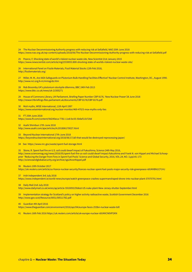24 The Nuclear Decommissioning Authority progress with reducing risk at Sellafield, NAO 20th June 2018 https://www.nao.org.uk/wp-content/uploads/2018/06/The-Nuclear-Decommissioning-Authority-progress-with-reducing-risk-at-Sellafield.pdf

25 Pearce, F, Shocking state of world's riskiest nuclear waste site, New Scientist 21st January 2015 https://www.newscientist.com/article/mg22530053.800-shocking-state-of-worlds-riskiest-nuclear-waste-site/

26 International Panel on Fissile Materials, Fissil Material Stocks 12th Feb 2018, http://fissilematerials.org/

27 Miller, M. M., Are IAEA Safeguards on Plutonium Bulk-Handling Facilities Effective? Nuclear Control Institute, Washington, DC., August 1990. http://www.nci.org/k-m/mmsgrds.htm

28 Rob Broomby UK's plutonium stockpile dilemma, BBC 24th Feb 2013 https://www.bbc.co.uk/news/uk-21505271

29 House of Commons Library, UK Parliament, Briefing Paper Number CBP 8176, 'New Nuclear Power'28 June 2018 http://researchbriefings.files.parliament.uk/documents/CBP-8176/CBP-8176.pdf

30 MoX myths, WISE International, 11th April 1997

https://www.wiseinternational.org/nuclear-monitor/469-470/5-mox-myths-only-lies

31 FT 25th June 2018 https://www.ft.com/content/9d245eca-7781-11e8-bc55-50daf11b720d

32 Asahi Shimbun 17th June 2018 http://www.asahi.com/ajw/articles/AJ201806170027.html

33 Beyond Nuclear International 17th June 2018 https://beyondnuclearinternational.org/2018/06/17/all-that-would-be-destroyed-reprocessing-japan/

34 See https://www.nrc.gov/waste/spent-fuel-storage.html

35 Stone, R. Spent fuel fire on U.S. soil could dwarf impact of Fukushima, Science 24th May 2016, http://www.sciencemag.org/news/2016/05/spent-fuel-fire-us-soil-could-dwarf-impact-fukushima and Frank N. von Hippel and Michael Schoeppner 'Reducing the Danger from Fires in Spent Fuel Pools' Science and Global Security, 2016, VOL.24, NO. 3,pp141-173 http://scienceandglobalsecurity.org/archive/sgs24vonhippel.pdf

36 Reuters 10th October 2017

https://uk.reuters.com/article/us-france-nuclear-security/frances-nuclear-spent-fuel-pools-major-security-risk-greenpeace-idUKKBN1CF1HJ

37 Irish Independent 3rd July 2018

https://www.independent.ie/world-news/europe/watch-greenpeace-crashes-supermanshaped-drone-into-nuclear-plant-37075791.html

38 Daily Mail 2nd July 2018

http://www.dailymail.co.uk/wires/ap/article-5910093/Oldest-US-nuke-plant-New-Jersey-shutter-September.html

39 Implementation strategy for Scotland's policy on higher activity radioactive waste, Scottish Government December 2016 http://www.gov.scot/Resource/0051/00511782.pdf

40 Guardian 4th April 2016

https://www.theguardian.com/environment/2016/apr/04/europe-faces-253bn-nuclear-waste-bill

41 Reuters 16th Feb 2016 https://uk.reuters.com/article/uk-europe-nuclear-idUKKCN0VP2KN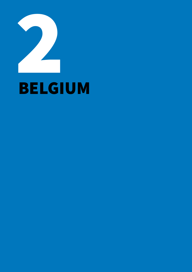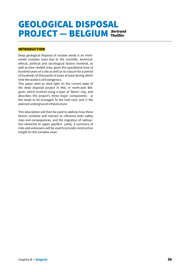### GEOLOGICAL DISPOSAL PROJECT — BELGIUM *Bertrand Thuillier*

#### INTRODUCTION

Deep geological disposal of nuclear waste is an imminently complex issue due to the scientific, technical, ethical, political and sociological factors involved, as well as time-related ones, given the operational time of hundred years of a site as well as its closure for a period of hundreds of thousands of years at least during which time the waste is still dangerous.

This paper aims to shed light on the current state of the deep disposal project in Mol, in north-east Belgium, which involves using a layer of 'Boom' clay, and describes the project's three major components: a) the waste to be managed, b) the host rock, and c) the planned underground infrastructure.

This description will then be used to address how these factors combine and interact to influence both safety risks and consequences, and the migration of radioactive elements to upper aquifers. Lastly, a summary of risks and unknowns will be used to provide constructive insight on this complex issue.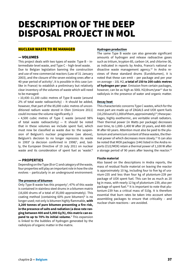## DESCRIPTION OF THE DEEP DISPOSAL PROJECT IN MOL

#### NUCLEAR WASTE TO BE MANAGED

#### — VOLUMES

This project deals with two types of waste: Type B – intermediate-level waste, and Type C – high-level waste. Due to Belgian legislation banning the construction and use of new commercial reactors (Law of 31 January 2003), and the closure of the seven existing ones after a

40-year period of activity $^{\scriptscriptstyle 1}$ , it is possible in this case (unlike in France) to establish a preliminary but relatively clear inventory of the volumes of waste which will need to be managed:

• 10,430–11,100 cubic metres of Type B waste (around 2% of total waste radioactivity) – It should be added, however, that part of the 85,000 cubic metres of unconditioned radium waste stored in Olen (Umicore 2011) could increase the volume significantly.3

• 4,500 cubic metres of Type C waste (around 98% of total waste radioactivity)  $-$  It should be noted that in these volumes we include spent fuel, which must now be classified as waste due to: the suspension of Belgium's nuclear programme (see above), Belgium's decision to no longer reprocess its waste in 1993 $^4$  (a decision confirmed in 1998) $^5$ , and, lastly, the European Directive of 19 July 2011 on nuclear waste and its consideration of spent fuel as 'waste'.<sup>6</sup>

#### — **PROPERTIES**

Depending on the Type (B or C) and category of the waste, four properties will play an important role in how the site evolves – particularly in an underground environment:

#### **The presence of bitumen**

Only Type B waste has this property<sup>7</sup>; 47% of this waste is contained in stainless steel drums in a bitumen matrix (16,600 drums of a total of 35,000 approximately). This coating method (containing 60% pure bitumen) $\text{s}$  is no longer used; not only is bitumen highly flammable, **with 3,200 tonnes of pure bitumen presenting a fire risk, in the presence of salts and radiation (a dose rate ranging between 400 and 5,000 Gy/h), this matrix can expand to up to 70% its initial volume.**<sup>9</sup> This expansion is linked to the bubbles of hydrogen generated by the radiolysis of organic matter in the matrix.

#### **Hydrogen production**

The same Type B waste can also generate significant amounts of hydrogen and release radioactive gases such as tritium, krypton-85, carbon-14, and chlorine-36, as indicated in reports by Andra, France's national radioactive waste management agency.<sup>10</sup> In Andra reviews of these standard drums (Eurobitumen), it is noted that these can emit – per package and per year on average – 10L H2, **a total of 150 to 200 cubic metres of hydrogen per year**. Emission from certain packages, however, can be as high as 500L H2/drum/year $^{11}$  due to radiolysis in the presence of water and organic matter.

#### **Decay heat**

This characteristic concerns Type C wastes, which for the most part are made up of ZAGALS and UOX spent fuels  $(10,250$  out of  $11,000$  of them, approximately)<sup>12</sup>; these packages, highly exothermic, are veritable small radiators. Their thermal power (in Watts per package) decreases over time, to 1,000–1,400 W after 20 years, and 400–600 W after 60 years. Attention must also be paid to the plutonium and americium content of these wastes, the thermal power of which decreases more slowly.13 It can also be noted that MOX packages (144) listed in the Andra reports (CU2/MOX) retain a thermal power of 1,100 W after a storage period of 90 years after leaving the reactor.<sup>14</sup>

#### **Fissile material**

Also based on the descriptions in Andra reports, the mass of residual fissile material on leaving the reactor is approximately 10 kg, including four to five kg of uranium-235 and less than four kg of plutonium-239 per package of UOX spent fuel. This can be as much as 20 kg in mass, with nearly 12 kg of plutonium-239, also per package of spent fuel.<sup>15</sup> It is important to note that plutonium-239 has a critical mass of 510g. It is therefore essential that burn rates be taken into account when assembling packages to ensure that criticality – and nuclear chain reactions – are avoided.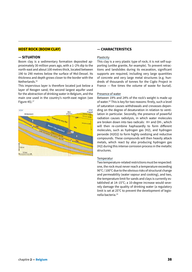#### **HOST ROCK (BOOM CLAY)**

#### **— SITUATION**

Boom clay is a sedimentary formation deposited approximately 30 million years ago, with a 1–2% dip to the north-east and about 100 metres thick, located between 190 to 290 metres below the surface of Mol-Dessel. Its thickness and depth grows closer to the border with the Netherlands.16

This impervious layer is therefore located just below a layer of Neogen sand, the second largest aquifer used for the abstraction of drinking water in Belgium, and the main one used in the country's north-east region (see Figure  $45$ ). $17$ 



#### **— CHARACTERISTICS**

#### Plasticity

This clay is a very plastic type of rock; it is not self-supporting (unlike granite, for example). To prevent retractions and landslides during its excavation, significant supports are required, including very large quantities of concrete and very large metal structures (e.g. hundreds of thousands of tonnes for the Cigéo Project in France — five times the volume of waste for burial).

#### Presence of water

Between 19% and 24% of the rock's weight is made up of water.<sup>18</sup> This is key for two reasons: firstly, such a level of saturation causes withdrawals and crevasses depending on the degree of desaturation in relation to ventilation in particular. Secondly, the presence of powerful radiation causes radiolysis, in which water molecules are broken down into two radicals: H+ and OH-, which will then re-combine haphazardly to form different molecules, such as hydrogen gas (H2), and hydrogen peroxide (H2O2) to form highly oxidizing and reductive compounds. These compounds will then heavily attack metals, which react by also producing hydrogen gas (H2) during this intense corrosion process in the metallic structures.

#### Temperatur

Two temperature-related restrictions must be respected: one, the rock must never reach a temperature exceeding 90°C / 100°C due to the obvious risks of structural change and permeability (water vapour and cooking), and two, the temperature limit for sands and clays is currently established at 14–15°C; a 10-degree increase would severely damage the quality of drinking water (a regulatory limit is set at 25°C to prevent the development of legionella bacteria.19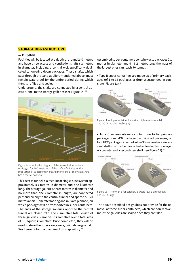#### **STORAGE INFRASTRUCTURE**

#### **— DESIGN**

Facilities will be located at a depth of around 240 metres and have three access and ventilation shafts six metres in diameter, including a central well specifically dedicated to lowering down packages. These shafts, which pass through the sand aquifers mentioned above, must remain waterproof for the entire period during which the site is filled and sealed.

Underground, the shafts are connected by a central access tunnel to the storage galleries (see Figure 14).<sup>20</sup>



Figure 14 — Indicative diagram of the geological repository envisaged for B&C waste and of the surface facilities for the production of supercontainers and monoliths B. The waste shaft has a central position.

This access tunnel is a rectilinear single-pipe system approximately six metres in diameter and one kilometre long. The storage galleries, three metres in diameter and no more than one kilometre in length, are connected perpendicularly to the central tunnel and spaced 50–20 metres apart. Concrete flooring and rails are planned, on which packages will be transported in super-containers. The ends of the storage galleries opposite the central tunnel are closed off.21 The cumulative total length of these galleries is around 30 kilometres over a total area of 3.1 square kilometres. Once completed, they will be used to store the super-containers, built above ground. See figure 14 for the diagram of this repository<sup>22</sup>.

Assembled super-containers contain waste packages 2.1 metres in diameter and 4 – 6.2 metres long; the mass of the largest ones can reach 70 tonnes.

• Type B super-containers are made up of primary packages (of 1 to 12 packages or drums) suspended in concrete (Figure 13).<sup>22</sup>



Figure 11 — Supercontainer for vitrifed high-level-waste (left) and UOX irradiated fuel (right)

• Type C super-containers contain one to for primary packages (one MOX package, two vitrified packages, or four UOX packages) inserted into a 30-millimetre stainless steel shell which is then coated in bentonite clay, one layer of concrete, and a second steel shell (see Figure 11).<sup>23</sup>



Figure 13 — Monolith B for category B waste (200 L drums) (left) and CSD-C (right)

The above described design does not provide for the removal of these super-containers, which are non-recoverable: the galleries are sealed once they are filled.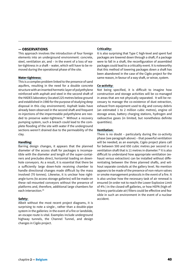#### **— OBSERVATIONS**

This approach involves the introduction of four foreign elements into an underground environment: concrete, steel, ventilation air, and – in the event of a loss of water-tightness in a shaft – water, which will have to be removed during the operational phase of the site.

#### **Water-tightness:**

This is a complex problem linked to the presence of sand aquifers, resulting in the need for a double concrete structure with an inserted hermetic layer of polyethylene reinforced with asphalt and steel in the second shaft of the HADES laboratory (located 225 metres below ground and established in 1980 for the purpose of studying deep disposal in this clay environment). Asphalt leaks have already been observed in the second shaft and frequent re-injections of the impermeable polyethylene are needed to preserve water-tightness.<sup>24</sup> Without a recovery pumping system, such a breach could lead to the complete flooding of the site with water if the underground sections weren't drained due to the permeability of the clay.

#### **Handling:**

Barring design changes, it appears that the planned diameter of the access shaft for packages is incompatible with the diameter and length of the super-containers and precludes direct, horizontal loading on downhole conveyors. As a result, it is essential that there be a sufficiently large down-hole receiving chamber to handle directional changes made difficult by the mass involved (70 tonnes). Likewise, it is unclear how rightangle turns (to access storage galleries) will be made on these rail-mounted conveyors without the presence of platforms and, therefore, additional large chambers for each intersection.25

#### **Safety:**

Albeit without the most recent project diagrams, it is surprising to note a single-, rather than a double-pipe system in the galleries: in the event of a fire or landslide, an escape route is vital. Examples include underground highway tunnels, the Channel Tunnel, and design changes in Cigéo project.

#### **Criticality:**

It is also surprising that Type C high-level and spent fuel packages are lowered down through a shaft; if a package were to fall in a shaft, the reconfiguration of assembled packages could lead to a criticality event. It is noteworthy that this method of lowering packages down a shaft has been abandoned in the case of the Cigéo project for the same reason, in favour of a way shaft, or winze, system.

#### **Co-activity:**

Not being specified, it is difficult to imagine how construction and storage activities will be co-managed in areas that are not physically separated. It will be necessary to manage the co-existence of dust extraction, exhaust from equipment used to dig and convey debris (an estimated 1 to 2 million cubic metres), engine oil storage areas, battery charging stations, hydrogen and radioactive gases (in limited, but nonetheless definite quantities).

#### **Ventilation:**

There is no doubt – particularly during the co-activity phase (see paragraph above) – that powerful ventilation will be needed; as an example, Cigéo project plans call for between 500 and 650 cubic metres per second in a ventilation shaft that is 11 metres in diameter.<sup>26</sup> It is also difficult to understand how appropriate ventilation (exhaust versus extraction) can be installed without differentiating between the three planned shafts, and without separate conduits at the gallery level. No mention appears to be made of the presence of non-return valves or smoke management protocols in the event of a fire. It is also unclear how the necessary task of air renewal is ensured (in order not to reach the Lower Explosive Limit of 4% ) in the closed-off galleries, or how HEPA (high-efficiency particulate air) filters could be effective and feasible in such an environment in the event of a nuclear accident.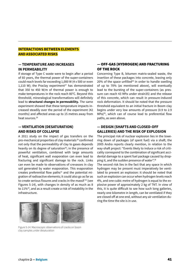#### **INTERACTIONS BETWEEN ELEMENTS AND ASSOCIATED RISKS**

#### **— TEMPERATURE AND INCREASES IN PERMEABILITY**

If storage of Type C waste were to begin after a period of 60 years, the thermal power of the super-containers could reach levels far exceeding 1,000 W (4 x 500 or even 1,110 W); the Praclay experiment<sup>27</sup> has demonstrated that 350 to 450 W/m of thermal power is enough to make temperatures in the rock reach 80°C. Beyond this threshold, mineralogical transformations will definitely lead to **structural changes in permeability.** The same experiment showed that these temperature impacts increased steadily over the period of the experiment (42 months) and affected areas up to 15 metres away from heat sources.<sup>28</sup>

#### **— VENTILATION (DESATURATION) AND RISKS OF COLLAPSE**

A 2011 study on the impact of gas transfers on the pro-mechanical properties of clay materials 29 confirmed not only that the permeability of clay to gases depends heavily on its degree of saturation<sup>30</sup>; in the presence of powerful ventilation, combined with large amounts of heat, significant wall evaporation can even lead to fracturing and significant damage to the rock. Links can even be made to observations of crevasses in clay soil generated by water evaporation. This evaporation creates preferential flow paths $31$  and the potential migration of radioactive elements; it could also go as far as to create serious fissures and cracks in the massif 32 (see Figures 5-14), with changes in density of as much as 8 to  $11\%$ <sup>33</sup>, and as a result create a risk of instability in the infrastructure.

#### — OFF-GAS (HYDROGEN) AND FRACTURING OF THE ROCK

Concerning Type B, bitumen matrix-sealed waste, the insertion of these packages into concrete, leaving only  $20\%$  of the space unfilled<sup>34</sup> in order to handle swelling of up to 70% (as mentioned above), will eventually lead to the bursting of the super-containers (as pressure can reach 43 MPa under strain35) and the release of this concrete, which can result in pressure-induced rock deformation. It should be noted that the pressure threshold equivalent to an initial fracture in Boom clay begins under very low amounts of pressure (0.9 to 2.9 MPa)35, which can of course lead to preferential flow paths, as seen above.

#### **— DESIGN (SHAFTS AND CLOSED-OFF GALLERIES) AND THE RISK OF EXPLOSION**

The principal risk of nuclear explosion lies in the lowering down of packages (of spent fuel) via a shaft; the 2005 Andra reports clearly mention, in relation to the way-shaft project: "Events likely to induce a risk of criticality correspond to the combination of significant accidental damage to a spent fuel package caused by dropping it, and the sudden presence of water".36

The second risk lies in the fact that any space in which hydrogen may be present must imperatively be ventilated to prevent an explosion: it should be noted that such an explosion can occur when hydrogen levels reach 4%, and one cubic metre of hydrogen is equal to the explosive power of approximately 2 kg of TNT. In view of this, it is quite difficult to see how such long galleries, nearly one kilometre in length, can be ventilated if they are closed off at one end, without any air ventilation during the time the site is in use.



Figure 5-14: Macroscopic observations of cracks on boom clay samples under desaturation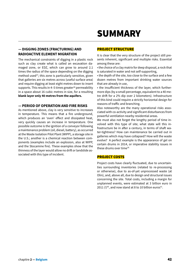# SUMMARY

#### **— DIGGING ZONES (FRACTURING) AND RADIOACTIVE ELEMENT MIGRATION**

The mechanical constraints of digging in a plastic rock such as clay create what is called an excavation damaged zone, or EDZ, which can grow to around 2.1 times the radius of the space depending on the digging method used<sup>37</sup>; this zone is particularly sensitive, given that galleries are six metres across (useful surface area) and require digging at least eight metres down to insert supports. This results in  $4-5$  times greater<sup>38</sup> permeability in a space about 16 cubic metres in size, for a resulting **blank layer only 40 metres from the aquifers.** 

#### **— PERIOD OF OPERATION AND FIRE RISKS**

As mentioned above, clay is very sensitive to increases in temperature. This means that a fire underground, which produces an 'oven' effect and dissipated heat, very quickly causes an increase in temperature. One possible outcome is the ignition of a conveyor following a maintenance problem (oil, diesel, battery), as occurred at the Waste Isolation Pilot Plant (WIPP), a storage site in the U.S.; another is a chemical reaction between components (examples include an explosion, also at WIPP, and the Stocamine fire). These examples show that the thinness of the layer would allow no drift or landslide associated with this type of incident.

#### PROJECT STRUCTURE

It is clear that the very structure of the project still presents inherent, significant and multiple risks. Essential among these are:

• the choice of a clay matrix for deep disposal, a rock that is saturated in water and not self-supporting,

• the depth of the site, too close to the surface and a few dozen metres from important drinking water sources that are already in use,

• the insufficient thickness of the layer, which furthermore dips (by a small percentage, equivalent to a 40 metre drift for a 2% dip over 2 kilometers). Infrastructure of this kind could require a strictly horizontal design for reasons of traffic and branching.

Also noteworthy are the many operational risks associated with co-activity and significant disturbances from powerful ventilation nearby residential areas.

We must also not forget the lengthy period of time involved with this type of site; what state will this infrastructure be in after a century, in terms of shaft water-tightness? How can maintenance be carried out in galleries which may have collapsed? How will the waste evolve? A perfect example is the appearance of gel on certain drums in 2014, or imperative stability issues in these drums over time<sup>39.</sup>

#### PROJECT COSTS

Project costs have clearly fluctuated, due to uncertainties surrounding inventories (related to re-processing or otherwise), due to as-of-yet unprocessed waste (at Olin), and, above all, due to design and structural issues concerning the site. Total costs, including a margin for unplanned events, were estimated at 3 billion euro in 2011 (!) $40$ , and now stand at 8 to 10 billion euros $41$ .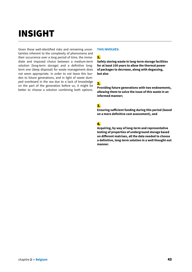# INSIGHT

Given these well-identified risks and remaining uncertainties inherent to the complexity of phenomena and their occurrence over a long period of time, the immediate and imposed choice between a medium-term solution (long-term storage) and a definitive longterm one (deep disposal) for waste management does not seem appropriate. In order to not leave this burden to future generations, and in light of waste dumped overboard in the sea due to a lack of knowledge on the part of the generation before us, it might be better to choose a solution combining both options.

#### **THIS INVOLVES:**

#### 1.

**Safely storing waste in long-term storage facilities for at least 100 years to allow the thermal power of packages to decrease, along with degassing, but also**

#### 2.

**Providing future generations with two endowments, allowing them to solve the issue of this waste in an informed manner;** 

#### 3.

**Ensuring sufficient funding during this period (based on a more definitive cost assessment), and** 

#### 4.

**Acquiring, by way of long-term and representative testing of properties of underground storage based on different matrixes, all the data needed to choose a definitive, long-term solution in a well thought-out manner.**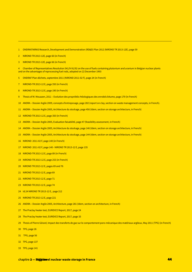- 1 ONDRAF/NIRAS Research, Development and Demonstration (RD&D) Plan 2012 (NIROND TR 2013-12E), page 59
- 2 NIROND TR 2013-12E, page 60 (in French)
- 3 NIROND TR 2013-12E, page 66 (in French)

4 Chamber of Representatives Resolution 541/9-91/92 on the use of fuels containing plutonium and uranium in Belgian nuclear plants and on the advantages of reprocessing fuel rods, adopted on 22 December 1993

- 5 ONDRAF Plan déchets, septembre 2011 (NIROND 2011-02 F), page 24 (in French)
- 7 NIROND-TR 2013-12 E, page 350 (in French)
- 8 NIROND-TR 2013-12 E, page 190 (in French)
- 9 Thesis of M. Mouazen, 2011 Evolution des propriétés rhéologiques des enrobés bitume, page 179 (in French)
- 10 ANDRA Dossier Argile 2009, concepts d'entreposage, page 282 (report on clay, section on waste management concepts, in French).
- 11 ANDRA Dossier Argile 2005, Architecture du stockage, page 456 (Idem, section on storage architecture, in French)
- 12 NIROND-TR 2013-12 E, page 350 (in French)
- 13 ANDRA Dossier Argile 2005, Evaluation faisabilité, page 47 (feasibility assessment, in French)
- 14 ANDRA Dossier Argile 2005, Architecture du stockage, page 146 (Idem, section on storage architecture, in French)
- 15 ANDRA Dossier Argile 2005, Architecture du stockage, page 144 (Idem, section on storage architecture, in French)
- 16 NIROND 2011-02 F, page 140 (in French)
- 17 NIROND 2011-02 F, page 140 NIROND TR 2013-12 E, page 135
- 18 NIROND-TR 2013-12 E, page 89 (in French)
- 19 NIROND-TR 2013-12 E, page 253 (in French)
- 20 NIROND TR 2013-12 E, pages 69 and 76
- 21 NIROND TR 2013-12 E, page 69
- 22. NIROND TR 2013-12 E, page 71
- 23 NIROND TR 2013-12 E, page 74
- 24 Id.24 NIROND TR 2013-12 E, page 212
- 25 NIROND TR 2013-12 E, page 221
- 26 ANDRA Dossier Argile 2005, Architecture, page 281 (Idem, section on architecture, in French)
- 27 The Praclay heater test, EURIDICE Report, 2017, page 24
- 28 The Praclay heater test, EURIDICE Report, 2017, page 33
- 29 Thesis of Pierre Gérard, Impact des transferts de gaz sur le comportement poro-mécanique des matériaux argileux, May 2011 (TPG) (in French)
- 30 TPG, page 26
- 31 TPG, page 56
- 32 TPG, page 137
- 33 TPG, page 141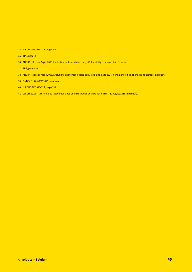- 35 TPG, page 58
- 36 ANDRA Dossier Argile 2005, Evaluation de la faisabilité, page 30 (feasibility assessment, in French)
- 37 TPG, page 170
- 38 ANDRA Dossier Argile 2005, Evolutions phénoménologiques du stockage, page 352 (Phenomenological changes and storage, in French)
- 39 ONDRAF 26/09/2014 Press release
- 40 NIROND TR 2013-12 E, page 133
- 41 Les échos.be Des milliards supplémentaires pour stocker les déchets nucléaires 22 August 2018 (in French).

<sup>34</sup> NIROND TR 2013-12 E, page 169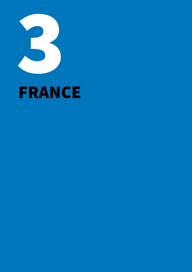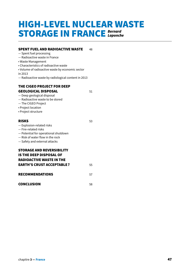### HIGH-LEVEL NUCLEAR WASTE STORAGE IN FRANCE *Bernard Laponche*

#### **SPENT FUEL AND RADIOACTIVE WASTE** 48

- Spent fuel processing
- Radioactive waste in France
- Waste Management
- Characteristics of radioactive waste
- Volume of radioactive waste by economic sector

in 2013

— Radioactive waste by radiological content in 2013

#### THE CIGEO PROJECT FOR DEEP GEOLOGICAL DISPOSAL 51

- Deep geological disposal
- Radioactive waste to be stored
- The CIGEO Project
- Project location
- Project structure

#### RISKS 53

- Explosion-related risks
- Fire-related risks
- Potential for operational shutdown
- Risk of water flow in the rock
- Safety and external attacks

#### STORAGE AND REVERSIBILITY IS THE DEEP DISPOSAL OF

| <b>RADIOACTIVE WASTE IN THE</b>  |    |
|----------------------------------|----|
| <b>EARTH'S CRUST ACCEPTABLE?</b> | 55 |
| <b>RECOMMENDATIONS</b>           |    |

CONCLUSION 58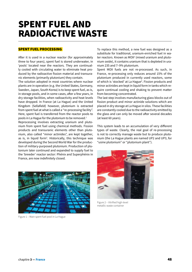## SPENT FUEL AND RADIOACTIVE WASTE

#### SPENT FUEL PROCESSING

After it is used in a nuclear reactor (for approximately three to four years), spent fuel is stored underwater, in 'pools' located near the reactors. They are continually cooled with circulating water to eliminate heat produced by the radioactive fission material and transuranic elements (primarily plutonium) they contain.

The solution adopted in most countries where nuclear plants are in operation (e.g. the United States, Germany, Sweden, Japan, South Korea) is to keep spent fuel, as is, in storage pools, and in some cases, after a few years, in dry storage facilities, when radioactivity and heat levels have dropped. In France (at La Hague) and the United Kingdom (Sellafield) however, plutonium is extracted from spent fuel at what is called a "re-processing facility". Here, spent fuel is transferred from the reactor pools to pools in La Hague for the plutonium to be removed.<sup>1</sup>

Reprocessing involves extracting uranium and plutonium from spent fuel using chemical methods. Fission products and transuranic elements other than plutonium, also called "minor actinides", are kept together, as is, in liquid form<sup>2</sup>. Historically, this technique was developed during the Second World War for the production of military-purposed plutonium. Production of plutonium later continued and expanded to supply fuel to the 'breeder' reactor sector: Phénix and Superphénix in France, are now indefinitely closed.

To replace this method, a new fuel was designed as a substitute for traditional, uranium-enriched fuel in water reactors. Known as MOX<sup>3</sup> (mixed uranium and plutonium oxide), it contains uranium that is depleted in uranium 235 and 7–9% plutonium.

Spent MOX fuels are not re-processed. As such, in France, re-processing only reduces around 15% of the plutonium produced in currently used reactors, some of which is 'stocked' at La Hague<sup>4</sup>. Fission products and minor actinides are kept in liquid form in tanks which require continual cooling and shaking to prevent matter from becoming concentrated.

The last step involves manufacturing glass blocks out of fission product and minor actinide solutions which are placed in dry storage at La Hague in silos. These facilities are constantly cooled due to the radioactivity emitted by the glass and can only be moved after several decades (at least 60 years).

This system leads to an accumulation of very different types of waste. Clearly, the real goal of re-processing is not to correctly manage waste but to produce plutonium (the La Hague plants are named UP2 and UP3, for "usine plutonium" or "plutonium plant").



Figure 1 – Main spent fuel pool in La Hague



Figure 2 – Vitrified high-level metallic waste container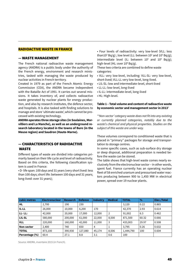#### RADIOACTIVE WASTE IN FRANCE

#### — WASTE MANAGEMENT

The French national radioactive waste management agency (ANDRA) is a public body under the authority of the French energy, environment and research ministries, tasked with managing the waste produced by nuclear activities in French territory.

Created in 1979 as part of the French Atomic Energy Commission (CEA), the ANDRA became independent with the Bataille Act of 1991. It carries out several missions. It takes inventory of, and collects radioactive waste generated by nuclear plants for energy production, and also by research institutes, the defence sector, and hospitals. It is also tasked with finding solutions to manage and store 'ultimate waste', which cannot be processed with existing technology.

**ANDRA operates three storage sites (in Soulaines, Morvilliers and La Manche), as well as an underground research laboratory located in the towns of Bure (in the Meuse region) and Saudron (Haute-Marne).**

#### — CHARACTERISTICS OF RADIOACTIVE WASTE

Different types of waste are divided into categories primarily based on their life cycle and level of radioactivity. Based on this criteria, the following classification system is used in France:

• D- life span: 100 days and 31 years (very short lived: less than 100 days; short life: between 100 days and 31 years; long-lived: over 31 years);

• Four levels of radioactivity: very low-level (VLL: less than10<sup>2</sup> Bq/g); low level (LL: between 10<sup>2</sup> and 10<sup>5</sup> Bq/g); intermediate level (IL: between  $10^5$  and  $10^8$  Bq/g); high-level (HL: over 10<sup>8</sup> Bq/g).

These two criteria are combined to define waste categories:

• VLL: very low-level, including: VLL-SL: very low-level, short-lived; VLL-LL very low-level, long-lived.

- LIL-SL: low and intermediate-level, short-lived
- LL-LL: low-level, long-lived
- IL-LL: intermediate-level, long-lived
- HL: High-level.

#### **Table 1 – Total volume and content of radioactive waste by economic sector and management sector in 2013**<sup>5</sup>

*\*'Non-sector' category waste does not fit into any existing or currently planned categories, notably due to the waste's chemical and physical properties. Studies on the subject of this waste are under way.*

These volumes correspond to conditioned waste that is placed in "primary" packages for storage and transportation to storage centres.

In some specific cases, such as sub-surface dry storage or deep disposal, additional preparation is needed before the waste can be stored.

The table shows that high-level waste comes nearly exclusively from the electronuclear sector – in other words, spent fuel. France currently has an operating nuclear fleet of 58 enriched uranium and pressurised water reactors producing between 900 to 1,450 MW in electrical power, spread over 19 nuclear plants.

| cubic metres   | <b>Electronuclear</b> | Research | <b>Defence</b> | <b>Industry</b> | <b>Medical</b> | <b>TOTAL</b> | $\frac{0}{0}$ | <b>Elec./Total</b> |
|----------------|-----------------------|----------|----------------|-----------------|----------------|--------------|---------------|--------------------|
| <b>HL</b>      | 2.700                 | 190      | 230            |                 |                | 3.120        | 0.22          | 0.865              |
| <b>IL-LL</b>   | 26,000                | 10,000   | 6,200          | 170             |                | 42,370       | 2.93          | 0.614              |
| $LL - LL$ :    | 42,000                | 20,000   | 17,000         | 12,000          | $\overline{2}$ | 91,002       | 6.3           | 0.462              |
| LIL-SL         | 580,000               | 200,000  | 61,000         | 22,000          | 8,500          | 871,500      | 60.32         | 0.666              |
| <b>VLL</b>     | 220,000               | 160,000  | 42,000         | 11,000          | 3              | 433,003      | 29.97         | 0.508              |
| Non-sector     | 2.400                 | 740      | 650            | 4               |                | 3.795        | 0.26          | 0.632              |
| <b>TOTAL</b>   | 873,100               | 390,930  | 127,080        | 45.174          | 8,506          | 1,444,790    | 100           | 0.604              |
| Percentage (%) | 60.4                  | 27.1     | 8.8            | 3.1             | 0.6            | 100          |               |                    |

Source: ANDRA, inventaire 2015 (in French).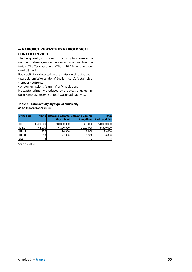#### — RADIOACTIVE WASTE BY RADIOLOGICAL CONTENT IN 2013

The becquerel (Bq) is a unit of activity to measure the number of disintegration per second in radioactive materials. The Tera-becquerel (TBq) -  $10^{12}$  Bq or one thousand billion Bq.

Radioactivity is detected by the emission of radiation: • particle emissions: 'alpha' (helium core), 'beta' (electron), or neutrons.

• photon emissions: 'gamma' or 'X' radiation.

HL waste, primarily produced by the electronuclear industry, represents 98% of total waste radioactivity.

#### **Table 2 – Total activity, by type of emission, as at 31 December 2013**

| <b>Unit: TBq</b> | <b>Alpha</b> | Short-lived | Beta and Gamma Beta and Gamma<br>$Long-lived$ | <b>Total</b><br><b>Radioactivity</b> |
|------------------|--------------|-------------|-----------------------------------------------|--------------------------------------|
| HL               | 3,500,000    | 210,000,000 | 350,000                                       | 220,000,000                          |
| <b>IL-LL</b>     | 44,000       | 4,300,000   | 1,100,000                                     | 5,500,000                            |
| LIL-LL           | 720          | 16,000      | 2,800                                         | 19,000                               |
| <b>LIL-SL</b>    | 910          | 27,000      | 8,300                                         | 36,000                               |
| <b>VLL</b>       | 3            |             |                                               |                                      |

Source: ANDRA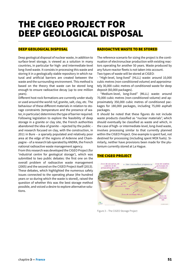### THE CIGEO PROJECT FOR DEEP GEOLOGICAL DISPOSAL

#### DEEP GEOLOGICAL DISPOSAL

Deep geological disposal of nuclear waste, in addition to surface-level storage, is viewed as a solution in many countries, in particular for high- and intermediate-level long-lived waste. It consists in processing this waste and storing it in a geologically stable repository in which natural and artificial barriers are created between the waste and the surrounding environment. This method is based on the theory that waste can be stored long enough to ensure radioactive decay (up to one million years).

Different host rock formations are currently under study or used around the world: tuf, granite, salt, clay, etc. The behaviour of these different materials in relation to storage constraints (temperature and the presence of water, in particular) determines the type of barrier required. Following legislation to explore the feasibility of deep storage in a granite or clay site, the French authorities abandoned the idea of granite – rejected by the public – and research focused on clay, with the construction, in 2011 in Bure – a sparsely populated and relatively poor area at the edge of the regions of Ardenne and Champagne – of a research lab operated by ANDRA, the French national radioactive waste management agency.

From this research was developed the CIGEO Project (for 'industrial centre for geological storage'), which was submitted to two public debates: the first one on the overall problem of radioactive waste management (2005) and the second on the CIGEO Project itself (2013). These debates, which highlighted the numerous safety issues connected to the operating phase (the hundred years or so during which the waste is stored), raised the question of whether this was the best storage method possible, and voiced a desire to explore alternative solutions.

#### RADIOACTIVE WASTE TO BE STORED

The reference scenario for sizing the project is the continuation of electronuclear production with existing reactors operating for another 50 years. Waste produced by any future reactor fleets is not taken into account. Two types of waste will be stored at CIGEO:

- "High-level, long-lived" (HLLL) waste: around 10,000 cubic metres (non-conditioned volume) and approximately 30,000 cubic metres of conditioned waste for deep deposit (60,000 packages).

- "Medium-level, long-lived" (MLLL) waste: around 70,000 cubic metres (non-conditioned volume) and approximately 350,000 cubic metres of conditioned packages for 180,000 packages, including 75,000 asphalt packages.

It should be noted that these figures do not include waste products classified as "nuclear materials", which should eventually be classified as waste and which, in the case of high- or intermediate-level, long-lived waste, involves processing similar to that currently planned within the CIGEO Project. One example is spent fuel, not destined for processing (including spent MOX fuels). Similarly, neither have provisions been made for the plutonium currently stored at La Hague.

#### THE CIGEO PROJECT



Figure 3 – The CIGEO Storage Project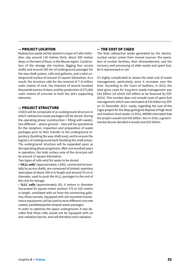#### — PROJECT LOCATION

Radioactive waste will be stored in a layer of Callo-Oxfordian clay around 130 metres thick, about 500 metres deep, in the town of Bure, in the Meuse region. Construction of the storage site involves digging four access shafts and around 265 km of underground passages for the way-shaft system, cells and galleries, and a total underground surface of around 15 square-kilometres. As a result, the structure calls for the removal of 7–8 million cubic metres of rock, the insertion of several hundred thousands tonnes of steel, and the production of 275,000 cubic metres of concrete to built the site's supporting elements.

#### — PROJECT STRUCTURE

CIGEO will be composed of an underground structure in which radioactive waste packages will be stored. During the operating phase (construction + filling with waste), two different – above-ground – sites will be operational for the reception, inspection and preparation of waste packages prior to their transfer to the underground repository (building the way-shaft area), and to ensure the logistics of underground work (building the shaft areas). The underground structure will be expanded upon as the operating phase progresses. After one hundred years in operation, the total surface area of the structure will be around 15 square-kilometres.

Two types of cells exist for waste to be stored:

**• 'HLLL cells'** (approximately 1,500), connected horizontally by access shafts, are composed of jointed, seamless steel pipes of about 100 m in length and around 70 cm in diameter, used to push the HLLL packages to the end of the cells for storage.

• **'ILLL' cells** (approximately 50), 9 metres in diameter (excavated 65 square-metre section) 375 to 525 metres in length, ventilated with air from the connecting galleries; these tunnels, equipped with rail-mounted maintenance equipment, will be used to store different concrete coated, parallelepipedal-shaped waste packages.

In order to optimise the space underground, it was decided that these cells would not be equipped with an anti-radiation barrier, and will therefore emit radiation.

#### — THE COST OF CIGEO

The final radioactive waste generated by the electronuclear sector comes from several sources: the operation of nuclear facilities, their dismantlement, and the recovery and processing of older waste and spent fuel, be it reprocessed or not.

It's highly complicated to assess the total cost of waste management, particularly since it increases over the time. According to the Court of Auditors, in 2013, the total gross costs for long-term waste management was €32 billion (of which €26 billion to be financed by EDF (81%). This number does not include costs of spent fuel management which was estimated at €16 billion by EDF on 31 December 2013. Lastly, regarding the cost of the Cigeo project for the deep geological disposal of high-level and medium-level waste: in 2015, ANDRA estimated that the project would cost €35 billion. But in 2016, a governmental decree decided it would cost €25 billion.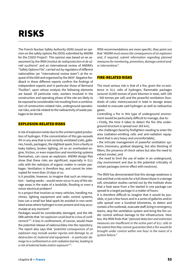# RISKS

The French Nuclear Safety Authority (ASN) issued an opinion on the safety options file (DOS) submitted by ANDRA for the CIGEO Project<sup>6</sup>. This opinion was based on an assessment by the IRSN (*Institut de radioprotection et de sû*reté nucléaire)<sup>7</sup> and an international review of ANDRA's "Safety Options File", carried out by regulators of different nationalities (an "international review team") at the request of the ASN and organised by the IAEA<sup>8</sup>. Negative feedback in these different reports confirm the findings of independent experts and in particular those of Bertrand Thuillier<sup>9</sup>, upon whose analysis the following elements are based. Of particular note, workers involved in the construction and operating phase of the site are likely to be exposed to considerable risk resulting from a combination of construction-related risks, underground operational risks, and risk related to the radioactivity of waste packages to be stored.

#### EXPLOSION-RELATED RISKS

A risk of explosion exists due to the uninterrupted production of hydrogen. If the concentration of this gas exceeds 4% in any area that is not correctly ventilated (cells, galleries, hoods, packages), the slightest spark, from a faulty or leaky battery, broken lighting, oil on an overheated engine, friction, or even inspection and monitoring systems themselves, can cause an explosion. ANDRA design files show that these risks are significant, especially in ILLL cells with the radiolysis of organic matter in certain packages. Ventilation is therefore key, and cannot be interrupted for more than 10 days or so.

Is it possible, however, to imagine that such an interruption – lasting weeks – would never occur in any of the storage areas in the wake of a landslide, flooding or even a minor electrical problem?

In a project that involves so many vehicles, handling machines, lighting equipment and radio control systems, how can a small but fatal spark be avoided in non-ventilated areas where hydrogen is ever present and may accumulate at any moment?

Packages would be considerably damaged, and the AN-DRA admits that *"an explosion could lead to a loss of confinement"10*. A loss in confinement, of course, would mean the potential release of radionuclides into the repository. The report also says that *"potential consequences of an explosion may include worker injuries and damage to, or destruction of, material and equipment – in particular damage to a confinement or anti-radiation barrier, leading to a risk of external leaks and/or exposure"11.* 

IRSN recommendations are more specific; they point out that *"ANDRA must assess the consequences of an explosion and, if required, submit information regarding planned measures for monitoring, prevention, damage control and/ or interventions".*

#### FIRE-RELATED RISKS

The most serious risk is that of a fire, given the co-existence in ILLL cells of hydrogen, flammable packages (around 10,000 tonnes of pure bitumen in total, with 100 – 500 tonnes per cell) and the powerful ventilation (hundreds of cubic metres/second in total in storage areas) needed to evacuate said hydrogen as well as radioactive gases.

Controlling a fire in this type of underground environment would be particularly difficult to manage, due to:

• Firstly, the time it takes to detect the fire (the underground structure is spread over 265 km),

• the challenges faced by firefighters needing to enter the area (radiation-emitting cells and anti-radiation equipment that is very heavy and uncomfortable),

• the intricate management of powerful ventilation systems (necessary, gradual stopping, but also blocking of filters; the presence of check valves but also the need to extract smoke), and

• the need to limit the use of water in an underground, clay environment and due to the potential criticality of certain packages (mirror effect with neutrons).

The IRSN has demonstrated that this storage weakness is real and that a risk exists for a full-blown blaze in a storage cell; simulation studies carried out by the institute show that a heat wave from a fire started in one package can spread to a target package in a matter of hours.

It is therefore difficult to imagine that it would be possible, in just a few hours and in a series of galleries and/or cells spread over a hundred kilometres, to detect and contain a fire outbreak, evacuate staff, bring in emergency teams, stop the ventilation system and bring the fire under control without damage to the infrastructure. Here too, the IRSN finds that *"planned detection and extinction measures are insufficient in the active part of ILLL cells to the extent that they cannot guarantee that a fire would be brought under control within one hour in the event of a system failure."*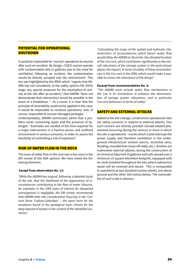#### POTENTIAL FOR OPERATIONAL **SHUTDOWN**

It would be impossible for 'normal' operations to resume after such an accident. By design, CIGEO cannot operate with contaminated cells or galleries due to the need for ventilation; following an incident, the contamination would be directly pumped into the environment. This too was highlighted by the IRSN, which "regrets that AN-DRA has not considered, at the safety options file (DOS) stage, any special measures for the resumption of activity at the site after an accident," that ANDRA "does not demonstrate that intervention would be possible in the event of a breakdown. ". As a result, it is clear that the principle of reversibility could not be applied in this case: it would be impossible to continue operations, and, of course, impossible to recover damaged packages.

Understandably, ANDRA technicians admit that a problem exists concerning repair and the presence of hydrogen: "Estimates are needed of the time required for a major intervention in a hard-to-access and confined environment in various scenarios, in order to assess the feasibility of controlling a risk of explosion".

#### RISK OF WATER FLOW IN THE ROCK

The issue of water flow in the rock was a key issue in the ERI review of the ASN opinion. We have noted the following elements:

#### **Except from observation No. 12:**

*"While the ANDRA has argued, following a detailed study of the site, that the likelihood of the appearance of inconsistencies contributing to the flow of water (fissures, for example) in the ZIRA (zone of interest for deepened investigation) is negligible, the ERI review recommends that ANDRA take into consideration fissuring in the 'Cox' rock (from 'Callovo-Oxfordian' – the exact term for the mudstone found in the geological layer chosen for the deep deposit of waste) in the context of the identified scenarios".* 

*"Calculating the scope of the spatial and hydraulic characteristics of inconsistencies which favour water flow would allow the ANDRA to illustrate: the elevated location of the Cox rock, which contributes significantly to the overall robustness of the storage system in the post-closure phase; the impact, in terms of safety, of these inconsistencies in the Cox rock in the ZIRA, which would make it possible to assess the robustness of the design".*

#### **Excerpt from recommendation No. 4:**

*"The ANDRA must include water flow mechanisms in the Cox in its simulations to enhance the demonstration of storage system robustness, and in particular Cox rock behaviour in terms of safety."*

#### SAFETY AND EXTERNAL ATTACKS

Added to the site's design, construction operational risks are safety concerns in relation to external attacks. One such concern are entirely possible climate-related phenomena occurring during the century or more in which the site is operational – events which could interrupt the power supply and therefore ventilation in the underground infrastructure (violent storms, torrential rains, flooding, snowfall that closes off roads, etc.). Another are malevolent external attacks, during the construction of an immense labyrinth of galleries and cells spread over a minimum 15 square-kilometre footprint, equipped with air vents installed throughout the site, where radioactive waste will be received and stored. This is comparable to operations at two standard nuclear plants; one above ground and the other 500 metres below. The vulnerability of such a site is obvious.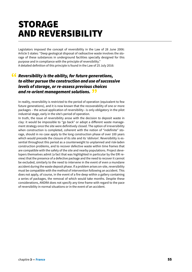## STORAGE AND REVERSIBILITY

Legislators imposed the concept of reversibility in the Law of 28 June 2006: Article 5 states: "Deep geological disposal of radioactive waste involves the storage of these substances in underground facilities specially designed for this purpose and in compliance with the principle of reversibility." A detailed definition of this principle is found in the Law of 25 July 2016:

### *Reversibility is the ability, for future generations,*  " *to either pursue the construction and use of successive levels of storage, or re-assess previous choices and re-orient management solutions.* "

In reality, reversibility is restricted to the period of operation (equivalent to few future generations), and it is now known that the recoverability of one or more packages – the actual application of reversibility– is only obligatory in the pilot industrial stage, early in the site's period of operation.

In truth, the issue of reversibility arose with the decision to deposit waste in clay: it would be impossible to "go back" or adopt a different waste management strategy once the site were definitively closed. The option of irreversibility when construction is completed, coherent with the notion of "indefinite" storage, should in no case apply to the long construction phase of over 100 years which would precede the closure of its site and its 'oblivion'. Reversibility is essential throughout this period as a counterweight to unplanned and risk-laden construction problems, and to recover defective waste within time frames that are compatible with the safety of the site and nearby populations. Project developers themselves admit (a fact that was highlighted in particular by the ERI review) that the presence of a defective package and the need to recover it cannot be excluded, similarly to the need to intervene in the event of even a mundane accident during the waste deposit phase. If a problem arises on-site, reversibility must be compatible with the method of intervention following an accident. This does not apply, of course, in the event of a fire deep within a gallery containing a series of packages, the removal of which would take months. Despite these considerations, ANDRA does not specify any time frame with regard to the pace of reversibility in normal situations or in the event of an accident.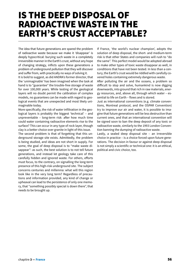### IS THE DEEP DISPOSAL OF RADIOACTIVE WASTE IN THE EARTH'S CRUST ACCEPTABLE?

The idea that future generations are spared the problem of radioactive waste because we make it 'disappear' is deeply hypocritical: burying such waste in a completely irreversible manner in the Earth's crust, without any hope of changing strategy, inflicts upon these generations a problem of underground pollution that they will discover and suffer from, with practically no ways of solving it.

It is bold to suggest, as did ANDRA's former director, that the 'unimaginable' has been imagined when the task at hand is to "guarantee" the trouble-free storage of waste for over 100,000 years. While testing of the geological layers will no doubt permit the calibration of complex models, no guarantees can be made with regard to geological events that are unexpected and most likely unimaginable today.

More specifically, the risk of water infiltration in the geological layers is probably the biggest 'technical' – and unpreventable – long-term risk: after how much time could water containing radioactive elements rise to the surface? This can occur in any type of rock layer, though clay is a better choice over granite in light of this issue.

The second problem is that of forgetting that this underground storage site exists. Admittedly, the problem is being studied, and ideas are not short in supply. For some, the goal of deep disposal is to "make waste disappear": as such, the best solution is to not tell future generations, and instead let geology take care of this carefully hidden and ignored waste. For others, efforts must focus, to the contrary, on signalling the long-term presence of this high-risk underground site. The subject concerns centuries and millennia: what will this region look like in the very long term? Regardless of precautions and information provided, any kind of change or upheaval can lead to the persistence of only one memory, that "something possibly special is down there", that needs to be brought up.

If France, 'the world's nuclear champion', adopts the solution of deep disposal, the short- and medium-term risk is that other States and companies will rush to "do the same". This perfect model would be adopted abroad to make other types of toxic waste disappear as well, in conditions that have not been tested. In less than a century, the Earth's crust would be riddled with carefully covered holes containing extremely dangerous waste.

After polluting the air and the oceans, a problem so difficult to stop and solve, humankind is now digging downwards, into ground that rich in raw materials, energy resources, and, above all, through which water – essential to life on Earth – flows and is stored.

Just as international conventions (e.g. climate conventions, Montreal protocol, and the OSPAR Convention) try to improve our air and water, it is possible to imagine that future generations will be less destructive than current ones, and that an international convention will be signed soon to ban the deep deposit of any toxic or radioactive waste, similarly to the 1993 London Convention banning the dumping of radioactive waste.

Lastly, a sealed deep disposal site – an irreversible choice in practice – is a choice forced upon future generations. The decision in favour or against deep disposal is not simply a scientific or technical one: it is an ethical, political and civic choice, too.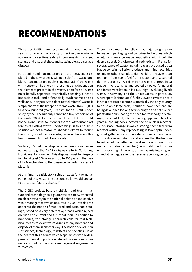# RECOMMENDATIONS

Three possibilities are recommended: continued research to reduce the toxicity of radioactive waste in volume and over time; safety improvements to current storage and disposal sites; and sustainable, sub-surface disposal.

Partitioning and transmutation, one of three avenues explored in the Law of 1991, will not 'solve' the waste problem. Transmutation involves 'overradiating' the waste with neutrons. The energy in these neutrons depends on the elements present in the waste. Therefore all waste must be fully separated (technically speaking, a nearly impossible task, and a financially burdensome one as well), and, in any case, this does not "eliminate" waste: it simply shortens the life span of some waste, from 10,000 to a few hundred years). Transmutation is still under study by the CEA, but only concerns a tiny proportion of the waste. 2006 discussions concluded that this could not be an industrial solution for the tens of thousands of tonnes of existing waste. Shortcomings in this possible solution are not a reason to abandon efforts to reduce the toxicity of radioactive waste, however. Pursuing this field of research should be a priority.

Surface (or 'indefinite') disposal already exists for low-level waste (e.g. the ANDRA disposal site in Soulaines, Morvilliers, La Manche.) This disposal must be 'inspected' for at least 300 years and up to 800 years in the case of La Manche, due to the presence, in certain cases, of plutonium.

At this time, no satisfactory solution exists for the management of this waste. The best one so far would appear to be 'sub-surface dry disposal'.

The CIGEO project, base on oblivion and trust in nature and technology as a guarantee of safety, attracted much controversy in the national debate on radioactive waste management which occurred in 2006. At this time appeared the notion of monitored and sustainable storage, based on a very different approach which rejects oblivion as a current and future solution. In addition to monitoring, this storage approach calls for real technical means to exact waste drums at any moment and dispose of them in another way. The notion of evolution – of science, technology, mindsets and societies – is at the heart of this alternative concept, which won widespread approval in public debate led by a national committee on radioactive waste management organised in 2005–2006.

There is also reason to believe that major progress can be made in packaging and container techniques, which would of course be made impossible with indefinite deep disposal. Dry disposal already exists in France for several types of waste, including glass produced at La Hague containing fission products and minor actinides (elements other than plutonium which are heavier than uranium) from spent fuel from reactors and separated during reprocessing. This very hot waste is stored in La Hague in vertical silos and cooled by powerful natural and forced ventilation. It is HLLL (high-level, long-lived) waste. In Germany, and the United States in particular, where spent (or irradiated) fuel is viewed as waste since it is not reprocessed (France is practically the only country to do so on a large scale), solutions have been and are being developed for long-term storage on-site at nuclear plants (thus eliminating the need for transport): dry storage, for spent fuel, after remaining approximately five years in cooling pools located next to nuclear reactors. 'Sub-surface' storage involves storing spent fuel from reactors without any reprocessing in low-depth underground galleries, or in the side of granite mountains. This facilitates monitoring and ensures that the fuel can be extracted if a better technical solution is found. This method can also be used for (well-conditioned) containers of existing ILLL waste, as well as existing HL glass stored at La Hague after the necessary cooling period.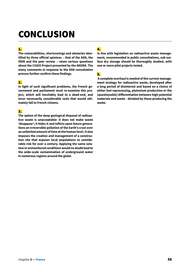# **CONCLUSION**

#### 1.

**The vulnerabilities, shortcomings and obstacles identified by three official opinions – that of the ASN, the IRSN and the peer review – raises serious questions about the CIGEO Project presented by the ANDRA. The many comments in response to the ASN consultation process further confirm these findings.** 

#### 2.

**In light of such significant problems, the French government and parliament must re-examine this project, which will inevitably lead to a dead-end, and incur necessarily considerable costs that would ultimately fall to French citizens.**

#### 3.

**The option of the deep geological disposal of radioactive waste is unacceptable: it does not make waste 'disappear'; it hides it and inflicts upon future generations an irreversible pollution of the Earth's crust over an unlimited amount of time at the human level. It also imposes the creation and management of a construction site that exposes local populations to considerable risk for over a century. Applying the same solution in unmonitored conditions would no doubt lead to the wide-scale contamination of underground water in numerous regions around the globe.**

### 4.

**In line with legislation on radioactive waste management, recommended in public consultations, sub-surface dry storage should be thoroughly studied, with one or more pilot projects tested.**

#### 5.

 **A complete overhaul is needed of the current management strategy for radioactive waste, developed after a long period of disinterest and based on a choice of either fuel reprocessing, plutonium production or the (questionable) differentiation between high-potential materials and waste – dictated by those producing the waste.**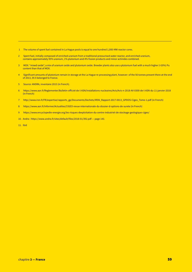- 1 The volume of spent fuel contained in La Hague pools is equal to one hundred 1,000-MW reactor cores.
- 2 Spent fuel, initially composed of enriched uranium from a traditional pressurised water reactor, and enriched uranium, contains approximately 95% uranium, 1% plutonium and 4% fission products and minor actinides combined.
- 3 MOX: "mixed oxide", a mix of uranium oxide and plutonium oxide. Breeder plants also use a plutonium fuel with a much higher (>20%) Pu content than that of MOX.
- 4 Significant amounts of plutonium remain in storage at the La Hague re-processing plant, however: of the 56 tonnes present there at the end of 2013, 39.5 belonged to France.
- 5 Source: ANDRA, inventaire 2015 (in French).
- 6 https://www.asn.fr/Reglementer/Bulletin-officiel-de-l-ASN/Installations-nucleaires/Avis/Avis-n-2018-AV-0300-de-l-ASN-du-11-janvier-2018 (in French)
- 7 http://www.irsn.fr/FR/expertise/rapports\_gp/Documents/Dechets/IRSN\_Rapport-2017-0013\_GPDOS-Cigeo\_Tome-1.pdf (in French)
- 8 https://www.asn.fr/Informer/Actualites/CIGEO-revue-internationale-du-dossier-d-options-de-surete (in French)
- 9 https://www.encyclopedie-energie.org/les-risques-dexploitation-du-centre-industriel-de-stockage-geologique-cigeo/
- 10. Andra : https://www.andra.fr/sites/default/files/2018-01/392.pdf page 143.
- 11. Ibid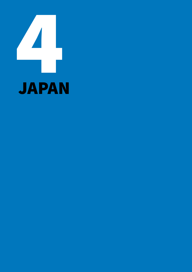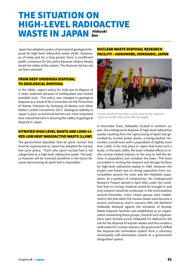### THE SITUATION ON HIGH-LEVEL RADIOACTIVE WASTE IN JAPAN  *Hideyuki Ban*

Japan has adopted a policy of permanent geological disposal for high-level radioactive waste (HLW). However, as of today and for a long period, there is insufficient public consensus for this policy because citizens deeply doubt the safety of the system. The disposal site has not yet been selected.

#### FROM DEEP UNDERSEA DISPOSAL TO GEOLOGICAL DISPOSAL

In the 1960s, Japan's policy for HLW was to dispose of it deep undersea because of earthquakes and limited available land. This policy was changed to geological disposal as a result of the Convention on the Prevention of Marine Pollution by Dumping of Wastes and Other Matter, London Convention 1972. Geological stability in Japan is poor, so technical barriers are more important than natural barriers in ensuring the safety of geological disposal in Japan.

#### VITRIFIED HIGH LEVEL WASTE AND LONG-LI-VED LOW HEAT RADIOACTIVE WASTE (LLHW)

The government stipulates that all spent nuclear fuel must be reprocessed as Japan has adopted the nuclear fuel cycle policy. That's why spent nuclear fuel is not categorized as a high level radioactive waste. This policy however will be reversed sometime in the future because reprocessing all spent fuel is impossible.<sup>1</sup>

#### NUCLEAR WASTE DISPOSAL RESEARCH FACILITY – HORONOBE, HOKKAIDO, JAPAN



Citizens protest at Horonobe nuclear waste facility, Hokkaido, Japan, November 2016, photo: Mihoko Inagaki

In Horonobe Town, Hokkaido, located in northern Japan, the underground disposal of high-level radioactive wastes resulting from the reprocessing of spent fuel generated by nuclear power plants, is being studied. Horonobe, a small town with a population of slightly more than 2,600, is the only place in Japan that hosts such a study. In the early 1980s, the town initiated efforts to invite nuclear-related industry to the area to halt the decline in population and revitalize the town.<sup>2</sup> The town succeeded in inviting the research and storage facilities for high-level radioactive wastes in 1984. However, the project was frozen due to strong opposition from municipalities around the town and the Hokkaido population. As a product of compromise, the Underground Research Project started in April 2001 under the condition that no nuclear material would be brought in and only research would be conducted. In the municipalities around Horonobe, many citizen groups were established in the year when the nuclear waste issue became a serious controversy, and in January 1985, the Northern Hokkaido Network against the Invitation of Nuclear Waste Disposal Facilities was established as an organization networking those groups. (Several such organizations were formed across Hokkaido.)To determine the site for the disposal of nuclear wastes and thus enable a swift restart for nuclear reactors, the government shifted the disposal-site nomination system from a voluntary municipality self-nomination system to a government designation system.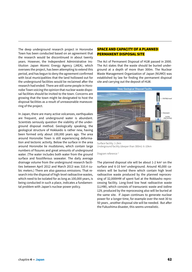The deep underground research project in Horonobe Town has been conducted based on an agreement that the research would be discontinued in about twenty years. However, the Independent Administrative Institution Japan Atomic Energy Agency (JAEA), which oversees the project, has been attempting to extend this period, and has begun to deny the agreement confirmed with local municipalities that the land hollowed out for the underground facilities would be reclaimed after the research had ended. There are still some people in Horonobe Town voicing the opinion that nuclear waste disposal facilities should be invited to the town. Concerns are growing that the town might be designated to host the disposal facilities as a result of unreasonable maneuvering of the project.

In Japan, there are many active volcanoes, earthquakes are frequent, and underground water is abundant. Scientists seriously question the viability of the underground disposal method. Geologically speaking, the geological structure of Hokkaido is rather new, having been formed only about 100,000 years ago. The area around Horonobe Town is still experiencing deformation and tectonic activity. Below the surface in the area around Horonobe lie mudstones, which contain large numbers of fissures and great amounts of underground water. (The water includes both water from the ground surface and fossiliferous seawater. The daily average drainage volume from the underground research facilities between April 2012 and March 2013 was 310.4 cubic meters.) There are also gaseous emissions. That research into the disposal of high-level radioactive wastes, which need to be isolated for as long as 100,000 years, is being conducted in such a place, indicates a fundamental problem with Japan's nuclear power policy.

#### SPACE AND CAPACITY OF A PLANNED PERMANENT DISPOSAL SITE

The Act of Permanent Disposal of HLW passed in 2000. The Act states that the waste should be buried underground at a depth of more than 300m. The Nuclear Waste Management Organization of Japan (NUMO) was established by law for finding the permanent disposal site and carrying out the deposit of HLW.



Surface facility: 1-2km Underground facility (deeper than 300m): 6-10km

Diagram reference 3

The planned disposal site will be about  $1-2$  km<sup>2</sup> on the surface and 6-10 km<sup>2</sup> underground. Around 40,000 canisters will be buried there which contain high level radioactive waste produced by the planned reprocessing of 32,000tHM of spent fuel at the Rokkasho reprocessing facility. Long-lived low heat radioactive waste (LLHW), which consists of transuranic waste and iodine 129, produced by the reprocessing also will be buried at the same site. If Japan continues to generate nuclear power for a longer time, for example over the next 30 to 50 years , another disposal site will be needed. But after the Fukushima disaster, this seems unrealistic.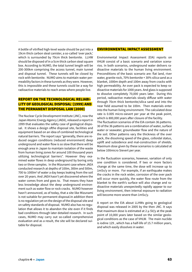A bottle of vitrified high-level waste should be put into a 19cm thick carbon steal canister, a so-called 'over pack,' which is surrounded by 70cm thick bentonite. LLHW should be disposed of in a 5cm thick carbon steal square box. According to NUMO, the total tunnel length will be 200-300km comprising the access tunnel, main tunnel and disposal tunnel. These tunnels will be closed by rock with bentonite. NUMO aims to maintain water permeability factors in these tunnels as they were. However, this is impossible and these tunnels could be a way for radioactive materials to reach areas where people live.

#### REPORT ON THE TECHNOLOGICAL RELIABI-LITY OF GEOLOGICAL DISPOSAL<sup>4</sup> (1999) AND THE PERMANENT DISPOSAL LAW (2000)

The Nuclear Cycle Development Institute (JNC), now the Japan Atomic Energy Agency (JAEA), released a report in 1999 that evaluates the safety case of geological disposal. It shows a design ofthe disposal site, facilities and equipment based on an idea of combined technological natural barriers. The report says "generally, there are reduced oxygen conditions (reduced environment) deep underground and water flow is so slow that there will be enough area in Japan to maintain isolation of the waste from human living zones for around 100 thousand years utilizing technological barriers". However they examined water flows in deep underground by boring only two or three samples. In the Mizunami case where JAEA conducted research at depths of 100m, 300m and 500m, 700 to 1000m<sup>3</sup> of water a day keeps leaking from the soil over 20 years. And JAEA hasn't yet discovered where the water comes from and goes to. That means they have less knowledge about the deep underground environment such as water flow or rock cracks. NUMO however hasn't announced, as of today, that a site like Mizunami is not suitable for permanent disposal.In addition there is no regulation yet on the design of the disposal site and on safety standards of disposal. NUMO also has no regulation that allows it to abandon the site even if it finds bad conditions through later detailed research. In such cases, NUMO may carry out so-called comprehensive evaluation and as a result, the site will be declared suitable for disposal.

#### ENVIRONMENTAL IMPACT ASSESSMENT

Environmental Impact Assessment (EIA) reports on VHLW consist of a basic scenario and variation scenarios. In both scenarios, underground water delivers radioactive materials to the human living environment. Preconditions of the basic scenario are: flat land, river water, granite rock, 70% bentonite + 30% silica sand as a blanket, 1000m depth and 100m away from cracks with high permeability. An over pack is expected to keep radioactive materials for 1000 years. And glass is supposed to dissolve completely 70,000 years later. During this period, radioactive materials slowly diffuse with water through 70cm thick bentonite/silica sand and into the near field assumed to be 100m. Then materials enter into the human living environment. The calculated dose rate is 0.005 micro-sievert per year at the peak point, which is 800,000 years after closure of the facility. The fluctuation scenarios of the EIA contain 36 patterns. 30 of the 36 patterns are a combination of water, surface water or seawater, groundwater flow and the nature of the soil. Other patterns vary the thickness of the over pack, the dissolving speed of the glass, colloidal status, uplift and subsidence and mal-construction of shields. Maximum dose given by these scenarios is calculated at

In the fluctuation scenarios, however, variation of only one condition is considered. If two or more factors change at the same time, the dose will increase up to 1mSv/y or more. For example, if an earthquake makes the cracks in the rock wider, corrosion of the over pack will occur more quickly, the water flow route from the blanket to the earth's surface will also change and radioactive materials unexpectedly rapidly appear to our living environment, then internal exposure to radiation will become more severe than 1mSv/y.

below 100micro Sievert per year.

A report on the EIA about LLHWs going to geological disposal was released in 2005 by the then JNC. It says that maximum dose is estimated at  $2 \mu$  SV/y at the peak point of 10,000 years later based on the similar geological conditions as the case of VHLW. The main nuclide is iodine 129 , which has a half-life of 15.7 million years, and which easily dissolves in water.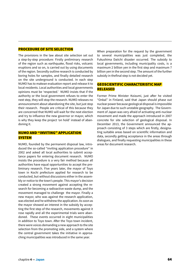#### PROCEDURE OF SITE SELECTION

The provisions in the law about site selection set out a step-by-step procedure: Firstly preliminary research of the region such as earthquake, flood risks, volcanic eruptions and so on, is carried out by using documents of the region. Secondly outline research is conducted by boring holes for samples, and finally detailed research on the site underground is conducted. In each step NUMO has to makean evaluation report and release it to local residents. Local authorities and local governments opinions must be 'respected.' NUMO insists that if the authority or the local government refuses to enter the next step, they will stop the research. NUMO releases no announcement about abandoning the site, but just stop their research. People are critical of this because they are concerned that NUMO will wait for the next election and try to influence the new governor or mayor, which is why they keep the project 'on hold' instead of abandoning it.

#### NUMO AND "INVITING" APPLICATION **SYSTEM**

NUMO, founded by the permanent disposal law, introduced the so-called "inviting application procedure" in 2002 and asked all local authorities to submit acceptance papers for entering document research. NUMO insists the procedure is a very fair method because all authorities have equal opportunities to accept the preliminary research. Five years later, the mayor of Toyo town in Kochi prefecture applied for research to be conducted, but without discussions either in the assembly or notice to the town's people. This mayor's decision created a strong movement against accepting the research for becoming a radioactive waste dump, and the movement managed to challenge the mayor. Finally a new mayor, who was against the research application, was elected and he withdrew the application. As soon as the mayor showed an interest in the subsidy by accepting the first step of the research, movements against it rose rapidly and all the experimental trials were abandoned. These events occurred in eight municipalities in addition to Toyo town. After the Toyo town incident, there were voices demanding a new approach to the site selection from the promoting side, and a system where the central government takes the initiative in approaching municipalities was introduced in the same year.

When preparation for the request by the government to several municipalities was just completed, the Fukushima Daiichi disaster occurred. The subsidy to local governments, including municipality costs, is a maximum 2 billion yen in the first step and maximum 7 billion yen in the second step. The amount of the further subsidy in thefinal step is not decided yet.

#### GEOSCIENTIFIC CHARACTERISTIC MAP RELEASED

Former Prime Minister Koizumi, just after he visited "Onkal" in Finland, said that Japan should phase out nuclear power because geological disposal is impossible for Japan due to such unstable geography. The Government of Japan was very afraid of activating anti-nuclear movement and made the approach introduced in 2007 concrete for site selection of geological disposal. In December 2013, the Government announced the approach consisting of 3 steps which are firstly, designating suitable areas based on scientific information and data, secondly getting acceptance in the areas through dialogues, and finally requesting municipalities in these areas for document research.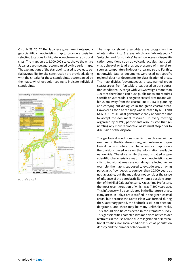On July 28, 2017,<sup>5</sup> the Japanese government released a geoscientific characteristics map to provide a basis for selecting locations for high-level nuclear-waste disposal sites. The map, on a 1:2,000,000 scale, shows the entire Japanese archipelago, accompanied by five aerial maps. The explanations of the standpoints used to evaluate aerial favorability for site construction are provided, along with the criteria for those standpoints, accompanied by the maps, which use color-coding to indicate individual standpoints.



Map reference: <sup>6</sup>

The map for showing suitable areas categorizes the whole nation into 3 areas which are 'advantageous,' 'suitable' and 'unsuitable' based on eleven disqualification conditions such as volcanic activity, fault activity, upheaval or land erosion, presence of mineral resources, temperature in deposit area and so on. For this, nationwide data or documents were used not specific regional data nor documents for classification of areas. The map divides 'advantageous' areas, named green coastal areas, from 'suitable' areas based on transportation conditions. A cargo with VHLWs weighs more than 100 tons therefore it can't use public roads but requires specific private roads. The green coastal area means within 20km away from the coastal line NUMO is planning and carrying out dialogues in the green coastal areas. However as soon as the map was released by METI and NUMO, 21 of 46 local governors clearly announced not to accept the document research. In every meeting organised by NUMO, participants also insisted that generating any more radioactive waste must stop prior to discussion of the disposal.

The geological conditions specific to each area will be examined in the literature survey, with reference to geological records, while the characteristics map shows the divisions based only on the information available nationwide. Therefore, while the map is called a geoscientific characteristics map, the characteristics specific to individual areas are not always reflected. As an example, the map is supposed to exclude areas having pyroclastic flow deposits younger than 10,000 years as not favorable, but the map does not consider the range of influence of the pyroclastic flow from a possible eruption of the Kikai Caldera Volcano, Kagoshima Prefecture, the most recent eruption of which was 7,300 years ago. This influence will be considered in the literature survey. Many areas in Tokyo are classified in the green coastal areas, but because the Kanto Plain was formed during the Quaternary period, the bedrock is still soft deep underground, and there may be many unlithified rocks. This should also be considered in the literature survey. This geoscientific characteristics map does not consider restraints in the use of land due to legislation or international treaties, nor social conditions such as population density and the number of landowners.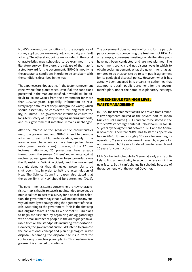NUMO's conventional conditions for the acceptance of survey applications were only volcanic activity and fault activity. The other standpoints are included in the social characteristics map scheduled to be examined in the literature survey. Therefore, the release of the map is a step forward for the government. NUMO is modifying the acceptance conditions in order to be consistent with the conditions described in the map.

The Japanese archipelago lies in the tectonic movement zone, where four plates meet. Even if all the conditions presented in the map are satisfied, it would still be difficult to isolate wastes from the environment for more than 100,000 years. Especially, information on relatively large amounts of deep underground water, which should essentially be considered for long-term stability, is limited. The government intends to ensure the long-term safety of HLW by using engineering methods, and this governmental intention remains unchanged.

After the release of the geoscientific characteristics map, the government and NUMO intend to promote activities to gain public understanding, mainly in the areas whose characteristics have been judged favorable (green coastal areas). However, of the 47 prefectures nationwide, 20 prefectures have already turned down the survey. Citizens' movements against nuclear power generation have been powerful since the Fukushima Daiichi accident, and the movement strongly demands that all nuclear power plants be shut down first in order to halt the accumulation of HLW. The Science Council of Japan also stated that the upper limit of HLW should be determined (2012).

The government's stance concerning the new characteristics map is that its release is not intended to persuade municipalities to accept a survey for disposal site selection; the government says that it will not initiate any survey unilaterally without gaining the agreement of the locals. According to the government, "this is the first step in a long road to realize final HLW disposal." NUMO plans to begin the first step by organizing dialog gatherings with a small number of people in the areas judged favorable from all the standpoints including transportation. However, the government and NUMO intend to promote the conventional concept and plan of geological waste disposal, separating the disposal site issue from the controversy of nuclear power plants. This head-on disagreement is expected to continue.

The government does not make efforts to form a participatory consensus concerning the treatment of HLW. As an example, consensus meetings or deliberative polls have not been conducted and are not planned. The government councils did not discuss ways in which to obtain social agreement. What the government has attempted to do thus far is to try to earn public agreement for its geological disposal policy. However, what it has actually been engaged in is organizing gatherings that attempt to obtain public agreement for the government's plan, under the name of explanatory hearings.

#### THE SCHEDULE FOR HIGH LEVEL WASTE MANAGEMENT

In 1995, the first shipment of VHLWs arrived from France. VHLW shipments arrived at the private port of Japan Nuclear Fuel Limited (JNFL) and are to be stored in the Vitrified Waste Storage Center at Rokkasho-mura for 30- 50 years by the agreement between JNFL and the Aomori Governor. Therefore NUMO has to start its operation before 2045. It needs roughly 30 years for reaching its operation, 2 years for document research, 4 years for outline research, 14 years for detail on-site research and 10 years for construction.

NUMO is behind schedule by 3 years already and is unlikely to find a municipality to accept the research in the near future. But it can't change its schedule because of the agreement with the Aomori Governor.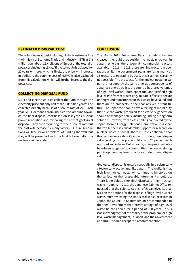#### ESTIMATED DISPOSAL COST

The total disposal cost including LLHW is estimated by the Ministry of Economy Trade and Industry (METI) as 3.8 trillion yen (about 29,4 billions of Euros) of the total disposal cost including LLHW.7 If the schedule is delayed for 20 years or more, which is likely, the price will increase. In addition, the running cost of NUMO is also excluded from this calculation, which will further increase the disposal cost.

#### COLLECTING DISPOSAL FUND

METI and electric utilities collect the fund through the electricity price but only half of the 3.8 trillion yen will be collected directly because of discount rate of 2%. Each year METI demands from utilities the amount towards the final disposal cost based on last year's nuclear power generation and reviewing the cost of geological disposal. They are accounting for the discount rate but the cost will increase by many factors. Future generations will face serious problems of funding shortfall, but they will be presented with the final bill even after the nuclear age has ended.

#### **CONCLUSION**

The March 2011 Fukushima Daiichi accident has increased the public opposition to nuclear power in Japan. Whereas there were 54 commercial reactors available in 2011, in 2018, there are nine reactors in operation. While the government plans are for as many as 35 reactors to operating by 2030, this is almost certainly not possible. The prospects for the nuclear power in Japan are not good. At the same time, as a consequence of Japanese energy policy, the country has large volumes of high level waste – both spent fuel and vitrified high level waste from reprocessing. To date, efforts to secure underground repositories for this waste have failed and there are no prospects in the near or even distant future. The Japanese people have a feeling of moral duty that nuclear waste produced for electricity generation should be managed safely, including finding a long term solution. However, from a 2017 polling conducted by the Japan Atomic Energy Relations Organizatio, it is clear that while there is considerable support for research on nuclear waste disposal, there is little confidence that this can be done safely. Opinion on underground disposal according to this poll is split - with 20 percent each opposed and in favor. But in reality, when proposed sites have been suggested to communities the overwhelming public opinion has been to oppose underground disposal.

Geological disposal is unsafe especially in a seismically / tectonically active land like Japan. The reality is that high level nuclear waste will continue to be stored on the surface for the foreseeable future, as it should be. There is no solution for final disposal of high nuclear waste in Japan. In 2010, the Japanese Cabinet Office requested that the Science Council of Japan gives its analysis on the options for the disposal of high level nuclear waste. After reviewing the status of disposal research in Japan, the Council in September 2012 recommended to the then Government that interim storage of high level waste be considered for a period of 300 years. This is isacknowledgment of the reality of the problem for high level waste management, in Japan, and the Government and NUMO should accept this recommendation<sup>8</sup>.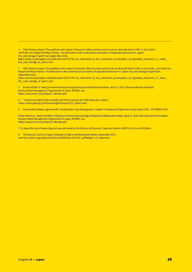1 CNIC Seminar report: The problems with Japan's Plutonium: What are they and how do we deal with them? CNIC, 4 June 2018, ; and Frank von Hippel and Masa Takubo, "An alternative to the continued accumulation of separated plutonium in Japan: Dry cask storage of spent fuel, September 2018,

https://www.researchgate.net/publication/327927769\_An\_alternative\_to\_the\_continued\_accumulation\_of\_separated\_plutonium\_in\_Japan\_ Dry\_cask\_storage\_of\_spent\_fuel

2 CNIC Seminar report: The problems with Japan's Plutonium: What are they and how do we deal with them? CNIC, 4 June 2018, ; and Frank von Hippel and Masa Takubo, "An alternative to the continued accumulation of separated plutonium in Japan: Dry cask storage of spent fuel, September 2018,

https://www.researchgate.net/publication/327927769\_An\_alternative\_to\_the\_continued\_accumulation\_of\_separated\_plutonium\_in\_Japan\_ Dry\_cask\_storage\_of\_spent\_fuel

3 Actions NUMO is Taking to Promote Deep Geological Disposal of Radioactive Waste. April 12, 2018. Shunsuke Kondo President, Nuclear Waste Management Organization of Japan (NUMO), see https://www.numo.or.jp/topics/1-4Kondo.pdf

4 "Project to Establish the Scientific and Technical Basis for HLW Disposal in Japan", https://www.jaea.go.jp/04/tisou/english/report/H12\_report.html

5 Government releases a geoscientific characteristics map showing areas "suitable" for disposal of high-level nuclear waste, CNIC\_ OCTOBER 4, 2017

6 Map reference - Actions NUMO is Taking to Promote Deep Geological Disposal of Radioactive Waste, April 12, 2018. Shunsuke Kondo President, Nuclear Waste Management Organization of Japan (NUMO), see https://www.numo.or.jp/topics/1-4Kondo.pdf

7 In Japan the cost of waste disposal was estimated by the Ministry of Economy Trade and Industry (METI) in 2011 as €29 billion.

8 The Science Council of Japan, Disposal of High Level Radioactive Waste, September 2012, see http://www.scj.go.jp/ja/info/kohyo/pdf/kohyo-22-k159-1.pdf#page=1 (in Japanese).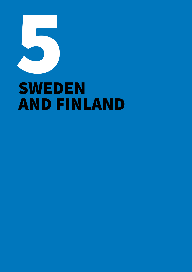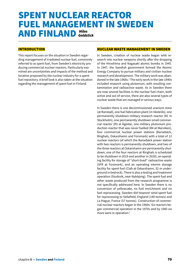### SPENT NUCLEAR REACTOR FUEL MANAGEMENT IN SWEDEN AND FINLAND *Miles Goldstick*

#### INTRODUCTION

This report focuses on the situation in Sweden regarding management of irradiated nuclear fuel, commonly referred to as spent fuel, from Sweden's electricity producing commercial nuclear reactors. Particularly examined are uncertainties and impacts of the method and location proposed by the nuclear industry for a spent fuel repository. A brief look is also taken at the situation regarding the management of spent fuel in Finland.

#### NUCLEAR WASTE MANAGEMENT IN SWEDEN

In Sweden, creation of nuclear waste began with research into nuclear weapons shortly after the dropping of the Hiroshima and Nagasaki atomic bombs in 1945. In 1947, the Swedish government formed the Atomic Energy Company to pursue military and civilian nuclear research and development. The military work was abandoned in the late 1960s.<sup>1</sup> The early work in the late 1940s included research using plutonium, with resulting contamination and radioactive waste. As in Sweden there are now several facilities in the nuclear fuel chain, both active and out of service, there are also several types of nuclear waste that are managed in various ways.

In Sweden there is one decommissioned uranium mine (at Ranstad), one fuel fabrication plant (in Västerås), one permanently shutdown military research reactor (R1 in Stockholm), one permanently shutdown small commercial reactor (R3 at Ågesta), one military plutonium production reactor that was never fuelled (R4 at Marviken), four commercial nuclear power stations (Barsebäck, Ringhals, Oskarshamn and Forsmark) with a total of 12 nuclear reactors (of which the Barsebäck power station with two reactors is permanently shutdown, and two of the three reactors at Oskarshamn are permanently shutdown; one of the four reactors at Ringhals is scheduled to be shutdown in 2019 and another in 2020), an operating facility for storage of "short-lived" radioactive waste (SFR at Forsmark), and an operating interim storage facility for spent fuel (Clab at Oskarshamn, 32 m underground in bedrock). There is also a testing and treatment operation (Studsvik, near Nyköping). The spent fuel and other waste produced from the research programme is not specifically addressed here. In Sweden there is no conversion of yellowcake, no fuel enrichment and no fuel reprocessing. Sweden did however send spent fuel for reprocessing to Sellafield, England (140 tonnes) and La Hague, France (57 tonnes). Construction of commercial nuclear reactors began in the 1960s. Six reactors began commercial operation in the 1970s and by 1985 six more were in operation.<sup>2</sup>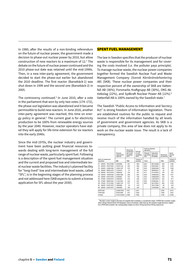In 1980, after the results of a non-binding referendum on the future of nuclear power, the government made a decision to phase-out nuclear power by 2010, but allow construction of new reactors to a maximum of  $12.^3$  The debate on the future of nuclear power continued and the 2010 phase-out date was retained until the mid-1990s. Then, in a new inter-party agreement, the government decided to start the phase-out earlier but abandoned the 2010 deadline. The first reactor (Barsebäck-1) was shut down in 1999 and the second one (Barsebäck-2) in 2005.

The controversy continued.4 In June 2010, after a vote in the parliament that won by only two votes (174–172), the phase-out legislation was abandoned and it became permissible to build new reactors. In June 2016, another inter-party agreement was reached, this time on energy policy in general.<sup>5</sup> The current goal is for electricity production to be 100% from renewable energy sources by the year 2040. However, reactor operators have stated they will apply for life-time extension for six reactors into the early 2040s.

Since the mid-1970s, the nuclear industry and government have been putting great financial resources towards dealing with long-term management of the full range of nuclear waste, particularly spent fuel. Following is a description of the spent fuel management situation and the current and proposed low and intermediate level nuclear waste facilities. The industry's planned facility for "long-lived" low and intermediate level waste, called "SFL", is in the beginning stages of the planning process and not addressed here (SKB expects to submit a license application for SFL about the year 2030).

#### SPENT FUEL MANAGEMENT

The law in Sweden specifies that the producer of nuclear waste is responsible for its management and for covering the costs involved (i.e. the polluter pays principle). To manage nuclear waste, the nuclear power companies together formed the Swedish Nuclear Fuel and Waste Management Company (*Svensk Kärnbränslehantering AB*) (SKB). These nuclear power companies and their respective percent of the ownership of SKB are Vattenfall AB (36%), Forsmarks Kraftgrupp AB (30%), OKG Aktiebolag (22%), and Sydkraft Nuclear Power AB (12%).<sup>6</sup> Vattenfall AB is 100% owned by the Swedish state.7

The Swedish "Public Access to Information and Secrecy Act" is strong freedom of information legislation. There are established routines for the public to request and receive much of the information handled by all levels of government and government agencies. As SKB is a private company, this area of law does not apply to its work on the nuclear waste issue. The result is a lack of transparency.

|                                       | Thermal<br>capacitylest<br>copacity<br><b>MW</b> | Electricity<br>production<br>up to and<br><b>Including</b><br>2016<br>TWh. | Fast up<br>for asid<br><i>including</i><br>2016<br>Tonnes of<br><b><i><u>SECREVARIES</u></i></b> | Total for planned<br>operation               |                                     |                                   |                                                                   |
|---------------------------------------|--------------------------------------------------|----------------------------------------------------------------------------|--------------------------------------------------------------------------------------------------|----------------------------------------------|-------------------------------------|-----------------------------------|-------------------------------------------------------------------|
|                                       |                                                  |                                                                            |                                                                                                  | Planned<br>operating<br>time<br><b>Years</b> | Operation<br>up to and<br>including | Electricity.<br>production<br>TWh | Spent<br>naclear<br><b>Peach</b><br>Tonnes of<br><b>MCANINATI</b> |
| Start of commercial<br>operation      |                                                  |                                                                            |                                                                                                  |                                              |                                     |                                   |                                                                   |
| 10/12/1980<br>F1<br>(BWR)             | 2928/984                                         | 251                                                                        | 883                                                                                              | 60.0                                         | 08/12/2040                          | 434                               | 1348                                                              |
| 07/07/1981<br>F2<br>(BWR)             | 3253/1120                                        | 245                                                                        | 864                                                                                              | 60.0                                         | 05/07/2041                          | 462                               | 1418                                                              |
| F3<br>22/08/1985<br>(BWR)             | 3300/1167                                        | 270                                                                        | 897                                                                                              | 60.0                                         | 20/08/2045                          | 536                               | 1509                                                              |
| 06/02/1972<br>(BVWR)<br>Юt            | 1375/473                                         | 81                                                                         | 367                                                                                              | 45.4                                         | 30/06/2017                          | 82                                | 367                                                               |
| (BWR)<br>15/12/1974<br>O2             | 1800/638                                         | 154                                                                        | 537                                                                                              | 41.1                                         | 31/12/2015                          | 154                               | 537                                                               |
| O3<br>(BWR)<br>15/08/1985             | 3900/1400                                        | 256                                                                        | 841                                                                                              | 60.0                                         | 14/08/2045                          | 568                               | 1577                                                              |
| R1<br>(BWR)<br>01/01/1976             | 2540/881                                         | 197                                                                        | 720                                                                                              | 44.5                                         | 14/05/2020                          | 219                               | TT3                                                               |
| R <sub>2</sub><br>(PWR)<br>01/05/1975 | 2500/907                                         | 210                                                                        | 630                                                                                              | 44.2                                         | 13/07/2019                          | 224                               | 671                                                               |
| (PWR)<br>09/09/1981<br>R3             | 3 135/1053                                       | 225                                                                        | 607                                                                                              | 60.0                                         | 07/09/2041                          | 421                               | 1126                                                              |
| 2511179863<br>(PWR)<br>R4             | 3300/1118                                        | 217                                                                        | 672                                                                                              | 60.0                                         | 20/11/2043                          | 444                               | 1235                                                              |
| <b>B1</b><br>(BWR)<br>01/07/1975      | 1800/600                                         | $\alpha$                                                                   | 419                                                                                              |                                              | 20/11/1999                          | 93                                | 419                                                               |
| 01/07/1977<br>B2<br>(BWR)             | 1800/600                                         | 108                                                                        | 424                                                                                              |                                              | 31/05/2005                          | 108                               | 424                                                               |
| <b>BWR total</b>                      | 22696/7863                                       | 1657                                                                       | <b>595t</b>                                                                                      |                                              |                                     | 2656                              | 8372                                                              |
| PWR total                             | 8935/2988                                        | 651                                                                        | 1909                                                                                             |                                              |                                     | 1089                              | 3032                                                              |
| All total                             | 11631/10851                                      | 2308                                                                       | 7860                                                                                             |                                              |                                     | 3746                              | 11404                                                             |

The fuel's actual weight in the form of complete fuel assemblies is considerably larger. A BWR fuel assembly weight about 100 kg whereof about 180 kilograms consist of unnium. After burn-up, the unnium weight decreases sl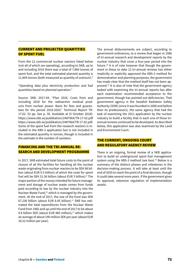#### CURRENT AND PROJECTED QUANTITIES OF SPENT FUEL

From the 12 commercial nuclear reactors listed below (not all of which are operating), according to SKB, up to and including 2016 there was a total of 7,860 tonnes of spent fuel, and the total estimated planned quantity is 11,404 tonnes (both measured as quantity of uranium). $8$ 

"Operating data plus electricity production and fuel quantities based on planned operation."

Source: SKB. 2017-04. "Plan 2016. Costs from and including 2018 for the radioactive residual products from nuclear power. Basis for fees and guarantees for the period 2018-2020." Technical Report TR-17.02. 52 pp. See p. 35. Available at (5 October 2018): https://www.skb.se/publikation/2487964/TR-17-02.pdf https://www.skb.se/publikation/2487964/TR-17-02.pdf. Some of the spent fuel from the research reactors is included in the KBS-3 application but is not included in the estimated quantity in tonnes, though is included in the estimate in the number of canisters.

#### FINANCING AND THE TRI-ANNUAL RE-SEARCH AND DEVELOPMENT PROGRAMME

In 2017, SKB estimated total future costs to the point of closure of all the facilities for handling all the nuclear waste originating from nuclear reactors to be SEK 98 billion (about EUR 9.5 billion) of which the costs for spent fuel will be SEK 31.56 billion (about EUR 3 billion).<sup>9</sup> The major portion of the money intended for future management and storage of nuclear waste comes from funds paid according to law by the nuclear industry into the Nuclear Waste Fund,<sup>10</sup> which is managed by the government. At the end of 2017, the size of the fund was SEK 67.236 billion (about EUR 6.45 billion).<sup>11</sup> SKB has estimated the total expenditures from the Nuclear Waste Fund from 1982 and up until the end of 2017 to be about 4.8 billion SEK (about EUR 460 million),<sup>12</sup> which makes an average of about 190 million SEK per year (about EUR 18.22 million per year).

The annual disbursements are subject, according to government ordinances, to a review that began in 1986 of tri-annual research and development reports by the nuclear industry that cover a four-year period into the future. $13$  It is of note however that though the government in these to date 12 tri-annual reviews has either implicitly or explicitly approved the KBS-3 method for demonstration and planning purposes, the government has made clear that the method itself has not been approved.14 It is also of note that the government agency tasked with examining the tri-annual reports has after each examination recommended acceptance to the government, though has pointed out deficiencies. That government agency is the Swedish Radiation Safety Authority (SSM) (since it was founded in 2008 and before then its predecessors), the same agency that had the task of examining the 2011 application by the nuclear industry to build a facility that in each one of these triannual reviews continued to be developed. As described below, this application was also examined by the Land and Environment Court.

#### THE CURRENT, ONGOING COURT AND REGULATORY AGENCY REVIEW

There is an ongoing, formal review of a SKB application to build an underground spent fuel management system using the KBS-3 method (see box).<sup>15</sup> Below is a summary of the distinct phases and milestones in the decision-making process. It will take at least until the end of 2020 to reach the point of a final decision, though it could take several more years. If the government gives its approval, extensive regulation of implementation awaits.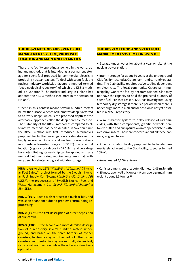# THE KBS-3 METHOD AND SPENT FUEL MANAGEMENT SYSTEM, PROPOSED LOCATION AND MAIN UNCERTAINTIES

There is no facility operating anywhere in the world, using any method, that is intended as a permanent storage for spent fuel produced by commercial electricity producing nuclear reactors. To deal with spent fuel, the nuclear industry worldwide favours a method termed "deep geological repository," of which the KBS-3 method is a variation.<sup>16</sup> The nuclear industry in Finland has adopted the KBS-3 method (see more in the section on Finland).

"Deep" in this context means several hundred meters below the surface. A depth of kilometres deep is referred to as "very deep," which is the proposed depth for the alternative approach called the deep borehole method. The suitability of the KBS-3 method as compared to alternative methods has been debated in Sweden since the KBS-3 method was first introduced. Alternatives proposed for further investigation are dry storage in a highly secure facility onsite at nuclear power stations (e.g. hardened on-site storage - HOSS1817) or at a central location (e.g. dry rock deposit - DRD19<sup>18</sup>), and very deep boreholes. Rolling stewardship can be applied with any method but monitoring requirements are small with very deep boreholes and great with dry storage.

**KBS:** refers to the 1976 "*KärnBränsleSäkerhet*" ("Nuclear Fuel Safety") project formed by the Swedish Nuclear Fuel Supply Co. (*Svensk kärnbränsleförsörjning AB*) (SKBF), the predecessor of Swedish Nuclear Fuel and Waste Management Co. (*Svensk Kärnbränslehantering AB*) (SKB).

**KBS-1 (1977):** dealt with reprocessed nuclear fuel, and was soon abandoned due to problems surrounding reprocessing.

**KBS-2 (1979):** the first description of direct deposition of nuclear fuel.

**KBS-3 (1983)**19**:** the second and more detailed description of a repository several hundred meters underground, and based on the three barriers of copper canisters, bentonite clay, and the bedrock. The copper canisters and bentonite clay are mutually dependent, i.e. one will not function unless the other also functions optimally.

# THE KBS-3 METHOD AND SPENT FUEL MANAGEMENT SYSTEM CONSISTS OF:

• Storage under water for about a year on-site at the nuclear power station.

• Interim storage for about 30 years at the underground Clab facility, located at Oskarshamn and currently operating. The Clab facility requires active cooling dependent on electricity. The local community, Oskarshamn municipality, wants the facility decommissioned. Clab may not have the capacity to hold the projected quantity of spent fuel. For that reason, SKB has investigated using temporary dry storage if there is a period when there is not enough room in Clab and deposition is not yet possible in a KBS-3 repository.

• A multi-barrier system to delay release of radionuclides, with three components, granitic bedrock, bentonite buffer, and encapsulation in copper canisters with a cast iron insert. There are concerns about all these barriers, as given below.

• An encapsulation facility proposed to be located immediately adjacent to the Clab facility, together termed "Clink".

• An estimated 5,700 canisters.20

• Canister dimensions are: outer diameter 1.05 m, length 4.85 m, copper wall thickness 4.9 cm, average maximum weight about 2.5 tonnes.<sup>21</sup>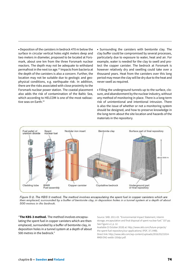• Deposition of the canisters in bedrock 470 m below the surface in circular vertical holes eight meters deep and two meters in diameter, proposed to be located at Forsmark, about one km from the three Forsmark nuclear reactors. The depth may not be adequate to withstand permafrost in the next ice age.22 Impacts from bacteria at the depth of the canisters is also a concern. Further, the location may not be suitable due to geologic and geophysical conditions, e.g. earthquake risk. In addition, there are the risks associated with close proximity to the Forsmark nuclear power station. The coastal placement also adds the risk of contamination of the Baltic Sea, which according to HELCOM is one of the most radioactive seas on Earth  $^{23}$ 

• Surrounding the canisters with bentonite clay. The clay buffer could be compromised by several processes, particularly due to exposure to water, heat and air. For example, water is needed for the clay to swell and protect the copper canister. The bedrock at Forsmark is however relatively dry and swelling could take over a thousand years. Heat from the canisters over this long period may mean the clay will be dry due to the heat and never swell as required.

• Filling the underground tunnels up to the surface, closure, and abandonment by the nuclear industry, without any method of monitoring in place. There is a long-term risk of unintentional and intentional intrusion. There is also the issue of whether or not a monitoring system should be designed, and how to preserve knowledge in the long-term about the site location and hazards of the materials in the repository.



Figure S-2. The KBS-3 method. The method involves encapsulating the spent fuel in copper canisters which are then emplaced, surrounded by a buffer of bentonite clay, in deposition holes in a tunnel system at a depth of about 500 metres in the bedrock.

"**The KBS-3 method.** The method involves encapsulating the spent fuel in copper canisters which are then emplaced, surrounded by a buffer of bentonite clay, in deposition holes in a tunnel system at a depth of about 500 metres in the bedrock."

Source: SKB. 2011-03. "Environmental Impact Statement, Interim storage, encapsulation and final disposal of spent nuclear fuel." 337 pp. See Figure s-2, p. 12.

Available (5 October 2018) at: http://www.skb.com/future-projects/ the-spent-fuel-repository/our-applications/ (PDF, 37.3 MB). Direct link: http://www.skb.com/wp-content/uploads/2016/03/21014- MKB-ENG-webb-150dpi.pdf.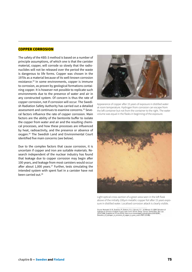#### COPPER CORROSION

The safety of the KBS-3 method is based on a number of principle assumptions, of which one is that the canister material, copper, will corrode so slowly that the radionuclides will not be released over the period the waste is dangerous to life forms. Copper was chosen in the 1970s as a material because of its well-known corrosion resistance.24 In some environments, copper is immune to corrosion, as proven by geological formations containing copper. It is however not possible to replicate such environments due to the presence of water and air in any constructed system. Of concern is thus the rate of copper corrosion, not if corrosion will occur. The Swedish Radiation Safety Authority has carried out a detailed assessment and continues to examine concerns.25 Several factors influence the rate of copper corrosion. Main factors are the ability of the bentonite buffer to isolate the copper from water and air and the resulting chemical processes, and how these processes are influenced by heat, radioactivity, and the presence or absence of oxygen.26 The Swedish Land and Environmental Court identified five main concerns (see below).

Due to the complex factors that cause corrosion, it is uncertain if copper and iron are suitable materials. Research independent of the nuclear industry has found that leakage due to copper corrosion may begin after 100 years, and leakage from most canisters would occur after about 1,000 years. $27$  Further, tests simulating the intended system with spent fuel in a canister have not been carried out.<sup>28</sup>



Appearance of copper after 15 years of exposure in distilled water at room temperature. Hydrogen from corrosion can escape from the left container but not from the container to the right. The water volume was equal in the flasks in beginning of the exposure.



Light optical cross-section of a green area seen in the left flask above of the initially 100µm metallic copper foil after 15 years exposure in distilled water. Localised corrosion attack is clearly visible.

Source: Hultquist, G. B., Szakálos, P., Graham, M. J., Spropie, G. I., & Wikmark, G. 2008. Detection<br>hydrogen in corrosion of copper in pure water. In Int. Conros. Corg.: Corros. Control Serv. Soc. (pp.<br>2378-2385). Availab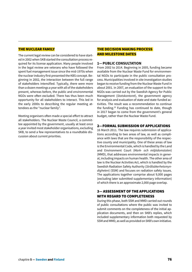### THE NUCLEAR FAMILY

The current legal review can be considered to have started in 2002 when SKB started the consultation process required for its license application. Many people involved in the legal review are veterans who have followed the spent fuel management issue since the mid-1970s when the nuclear industry first presented the KBS concept. Beginning in 2002, the interaction between the full range of stakeholders intensified. Typically, there were more than a dozen meetings a year with all of the stakeholders present, whereas before, the public and environmental NGOs were often excluded. There has thus been much opportunity for all stakeholders to interact. This led in the early 2000s to describing the regular meeting attendees as the "nuclear family".

Meeting organisers often made a special effort to attract all stakeholders. The Nuclear Waste Council, a committee appointed by the government, usually at least once a year invited most stakeholder organisations, excluding SKB, to send a few representatives to a roundtable discussion about current priorities.

## THE DECISION MAKING PROCESS AND MILESTONE DATES

#### **1—PUBLIC CONSULTATION**

From 2002 to 2014. Beginning in 2005, funding became available from the Nuclear Waste Fund for environmental NGOs to participate in the public consultation process. Municipalities involved in site investigation studies began to receive funding from the Nuclear Waste Fund in about 2001. In 2007, an evaluation of the support to the NGOs was carried out by the Swedish Agency for Public Management (*Statskontoret*), the government agency for analysis and evaluation of state and state-funded activities. The result was a recommendation to continue the funding.29 Funding has continued to date, though in 2017 began to come from the government's general budget, rather than the Nuclear Waste Fund.

### 2—FORMAL SUBMISSION OF APPLICATIONS

16 March 2011. The law requires submission of applications according to two areas of law, as well as compliance with laws that are the responsibility of the respective county and municipality. One of these areas of law is the Environmental Code, which is handled by the Land and Environment Court (*Mark- och miljödomstolen*) (MMD), that addresses environmental impacts in general, including impacts on human health. The other area of law is the Nuclear Activities Act, which is handled by the Swedish Radiation Safety Authority (*Strålsäkerhetsmyndigheten*) (SSM) and focuses on radiation safety issues. The applications together comprise about 9,000 pages (excluding later submitted supplementary information) of which there is an approximate 2,000 page overlap.

# 3— ASSESSMENT OF THE APPLICATIONS WITH REGARD TO COMPLETENESS

During this phase, both SSM and MMD carried out rounds of public consultations where the public was invited to submit comments on the completeness of the initial application documents, and then on SKB's replies, which included supplementary information both requested by SSM and MMD, as well as provided on SKB's own initiative.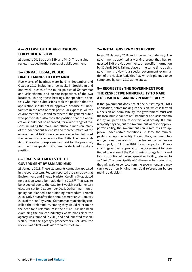# **4 — RELEASE OF THE APPLICATIONS FOR PUBLIC REVIEW**

29 January 2016 by both SSM and MMD. The ensuing review included further rounds of public comment.

# **5—FORMAL, LEGAL, PUBLIC, ORAL HEARINGS HELD BY MMD**

Five weeks of hearings were held in September and October 2017, including three weeks in Stockholm and one week in each of the municipalities of Östhammar and Oskarshamn, and on-site inspections of the two locations. During these hearings, independent scientists who made submissions took the position that the application should not be approved because of uncertainties in the area of their particular expertise. All the environmental NGOs and members of the general public who participated also took the position that the application should not be approved, for a wide range of reasons including the moral and ethical dimension. Many of the independent scientists and representatives of the environmental NGOs were veterans who had followed the nuclear waste issue since the 1970s. The municipality of Oskarshamn expressed support for the proposal, and the municipality of Östhammar declined to take a position.

# **6—FINAL STATEMENTS TO THE GOVERNMENT BY SSM AND MMD**

23 January 2018. These statements cannot be appealed in the court system. Reuters reported the same day that Environment and Energy Minister Karolina Skog stated no decision would be made during 2018.30 That was to be expected due to the date for Swedish parliamentary elections set for 9 September 2018. Östhammar municipality had planned a non-binding referendum 4 March 2018. Only hours after the announcement on 23 January 2018 of the "no" by MMD , Östhammar municipality cancelled their referendum, stating they would re-examine the need for a referendum in the future. SSM had been examining the nuclear industry's waste plans since the agency was founded in 2008, and had inherited responsibility from the agency's predecessors. For MMD the review was a first worldwide for a court of law.

## 7— INITIAL GOVERNMENT REVIEW:

began 23 January 2018 and is currently underway. The government appointed a working group that has requested SKB provide comments on specific information by 30 April 2019. Taking place at the same time as this government review is a special government examination of the Nuclear Activities Act, which is planned to be completed by April 2019 at the latest.

# **8— REQUEST BY THE GOVERNMENT FOR THE RESPECTIVE MUNICIPALITY TO MAKE A DECISION REGARDING PERMISSIBILITY**

If the government does not at the outset reject SKB's application, before making its decision, which is termed a decision on permissibility, the government must ask the local municipalities of Östhammar and Oskarshamn if they will permit the respective local activity. If a municipality says no, but the government wants to approve permissibility, the government can regardless give approval under certain conditions, i.e. force the municipality to accept the facility. Though the government has not yet communicated with the two municipalities on the subject, on 11 June 2018 the municipality of Oskarshamn gave their approval to the government for continued operation of the Clab interim storage facility and for construction of the encapsulation facility, referred to as Clink. The municipality of Östhammar has stated that they will wait for contact from the government, and may carry out a non-binding municipal referendum before making a decision.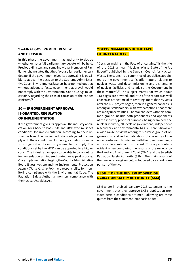# **9—FINAL GOVERNMENT REVIEW AND DECISION.**

In this phase the government has authority to decide whether or not a full parliamentary debate will be held. Previous Ministers and some individual Members of Parliament have stated that they favour a full parliamentary debate. If the government gives its approval, it is possible to appeal the decision to the Supreme Administrative Court. Environmental lawyers have pointed out that without adequate facts, government approval would not comply with the Environmental Code due e.g. to uncertainty regarding the risks of corrosion of the copper canisters.<sup>31</sup>

# 10 — IF GOVERNMENT APPROVAL IS GRANTED, REGULATION OF IMPLEMENTATION

If the government gives its approval, the industry application goes back to both SSM and MMD who must set conditions for implementation according to their respective laws. The nuclear industry is obligated to comply with these conditions. In theory, a condition can be so stringent that the industry is unable to comply. The conditions set by the MMD can be appealed to a higher court. The industry can apply to be able to carry out its implementation unhindered during an appeal process. Once implementation begins, the County Administrative Board (*Länsstyrelsen*) and the Environmental Protection Agency (*Naturvårdsverket*) have responsibility for monitoring compliance with the Environmental Code. The Radiation Safety Authority monitors compliance with the Nuclear Activities Act.

# "DECISION-MAKING IN THE FACE OF UNCERTAINTY"

"Decision-making in the Face of Uncertainty" is the title of the 2018 annual "Nuclear Waste State-of-the-Art Report" published by the Swedish Council for Nuclear Waste. The council is a committee of specialists appointed by the government to "clarify matters relating to nuclear waste and decommissioning and dismantling of nuclear facilities and to advise the Government in these matters".<sup>32</sup> The subject matter, for which about 118 pages are devoted, and title of the report was well chosen as at the time of this writing, more than 40 years after the KBS project began, there is a general consensus among all stakeholders, with few exceptions, that there are many uncertainties. The stakeholders with this common ground include both proponents and opponents of the industry proposal currently being examined: the nuclear industry, all levels of government, independent researchers, and environmental NGOs. There is however a wide range of views among this diverse group of organisations and individuals about the severity of the uncertainties and how to deal with them, with seemingly all possible combinations present. This is particularly evident when comparing the results of the reviews by the Land and Environment Court (MMD) and the Swedish Radiation Safety Authority (SSM). The main results of their reviews are given below, followed by a short comparison of the two.

## RESULT OF THE REVIEW BY SWEDISH RADIATION SAFETY AUTHORITY (SSM)

SSM wrote in their 23 January 2018 statement to the government that they approve SKB's application provided certain conditions are met. Following are three quotes from the statement (emphasis added).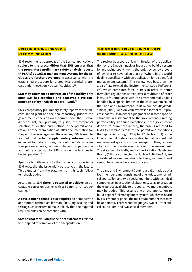# PRECONDITIONS FOR SSM'S **RECOMMENDATION**

SSM recommends approval of the licence applications **subject to the precondition that SKB ensures that the preparatory preliminary safety analysis reports (F-PSARs) as well as management systems for the facilities are further developed** in accordance with the established procedure for a step-wise permitting process under the Act on Nuclear Activities,... 33

#### **SKB may commence construction of the facility only after SSM has examined and approved a Pre-construction Safety Analysis Report (PSAR).**<sup>34</sup>

SKB's preparatory preliminary safety reports for the encapsulation plant and the final repository, prior to the government's decision on a permit under the Nuclear Activities Act, aim primarily to justify the company's selection of location and method in the permit application. For the examination of SKB's documentation for the permit review regarding these issues, SSM takes into account that **certain supplementary information is expected** for details during the continued stepwise review process after a government decision on permission and before a decision by SSM to allow the facilities to begin operation.<sup>35</sup>

Specifically with regard to the copper corrosion issue SSM wrote that the issue might be resolved in the future. Three quotes from the statement on this topic follow (emphasis added).

According to SSM **there is potential to achieve** an acceptable corrosion barrier with a 50 mm thick copper casing.36

**A development phase is also required** to demonstrate appropriate techniques for manufacturing, sealing and testing such canisters to make it likely that the required requirements can be complied with.37

**SSM has not formulated specific requirements** related to the speed of corrosion of the encapsulation.<sup>38</sup>

# THE MMD REVIEW - THE ONLY REVIEW WORLDWIDE BY A COURT OF LAW

The review by a court of law in Sweden of the application by the Swedish nuclear industry to build a system for managing spent fuel is the only review by a court of law ever to have taken place anywhere in the world dealing specifically with an application for a spent fuel management system.<sup>39</sup> The review was based on the area of law termed the Environmental Code (*Miljöbalken*), which came into force in 1999 in order to better formulate regulations spread over a multitude of other laws.36F<sup>40</sup> Compliance with the Environmental Code is handled by a special branch of the court system called the Land and Environment Court (*Mark- och miljödomstolen*) (MMD).37F41 An MMD review is a formal court process that results in either a judgment or in some specific situations in a statement to the government regarding permissibility. For such exceptions, if the government decides to permit the activity, the case is returned to MMD to examine details of the permit and conditions that apply. According to Chapter 17, Section 1 (1) of the Environmental Code an application to build a spent fuel management system is such an exception. Thus, responsibility for the final decision rests with the government. The statement by MMD, and by the Radiation Safety Authority (SSM) according to the Nuclear Activities Act, are considered recommendations to the government and cannot be appealed in a court process.

The Land and Environment Court is usually made up of a four-member panel consisting of one judge, one technical counsellor, and two special members with technical competence. In exceptional situations, so as to broaden the expertise available to the court, two more members may be added. This occurred with the application to build a spent fuel management system, which was heard by a six-member panel, the maximum number that may be appointed. There were two judges, two court technical councillors, and two special members.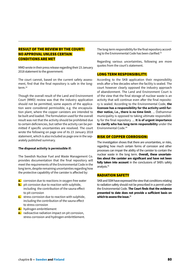# RESULT OF THE REVIEW BY THE COURT: NO APPROVAL UNLESS CERTAIN CONDITIONS ARE MET

MMD wrote in their press release regarding their 23 January 2018 statement to the government:

The court cannot, based on the current safety assessment, find that the final repository is safe in the longterm.42

Though the overall result of the Land and Environment Court (MMD) review was that the industry application should not be permitted, some aspects of the application were considered permissible, e.g. the encapsulation plant, where the copper canisters are intended to be built and loaded. The formulation used for the overall result was not that the activity should be prohibited due to certain deficiencies, but rather the activity can be permitted if specific uncertainties are resolved. The court wrote the following on page one of its 23 January 2018 statement, which is also included as page one in the separately published summary.

#### **The disposal activity is permissible if:**

The Swedish Nuclear Fuel and Waste Management Co. provides documentation that the final repository will meet the requirements of the Environmental Code in the long term, despite remaining uncertainties regarding how the protective capability of the canister is affected by:

- **a.** corrosion due to reactions in oxygen-free water
- **b.** pit corrosion due to reaction with sulphide, including the contribution of the sauna effect to pit corrosion
- **c.** stress corrosion due to reaction with sulphide, including the contribution of the sauna effect to stress corrosion
- **d.** hydrogen embrittlement
- **e.** radioactive radiation impact on pit corrosion, stress corrosion and hydrogen embrittlement.

The long-term responsibility for the final repository according to the Environmental Code has been clarified.<sup>43</sup>

Regarding various uncertainties, following are more quotes from the court's statement.

#### LONG TERM RESPONSIBILITY:

According to the SKB application their responsibility ends after a few decades when the facility is sealed. The court however clearly opposed the industry approach of abandonment. The Land and Environment Court is of the view that the final storage of nuclear waste is an activity that will continue even after the final repository is sealed. According to the Environmental Code, **the licensee has a responsibility for the activity until further notice, i.e., there is no time limit**. ... Östhammar municipality is opposed to taking ultimate responsibility for the final repository. ... **It is of urgent importance to clarify who has long-term responsibility** under the Environmental Code.44

#### RISK OF COPPER CORROSION:

The investigation shows that there are uncertainties, or risks, regarding how much certain forms of corrosion and other processes can impair the ability of the canister to contain the nuclear waste in the long term. **Overall, these uncertainties about the canister are significant and have not been fully taken into account** in the conclusions of SKB's safety analysis.45

#### RADIATION SAFETY

SKB and SSM have expressed the view that conditions relating to radiation safety should not be prescribed in a permit under the Environmental Code. **The Court finds that the evidence presented to date does not provide a sufficient basis on which to assess the issue.**<sup>46</sup>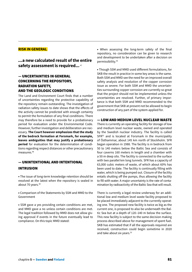#### **RISK IN GENERAL**

# *...***a new calculated result of the entire safety assessment is required.***..* <sup>47</sup>

# — UNCERTAINTIES IN GENERAL CONCERNING THE REPOSITORY, RADIATION SAFETY, AND THE GEOLOGIC CONDITIONS

The Land and Environment Court finds that a number of uncertainties regarding the protective capability of the repository remain outstanding. The investigation of radiation safety issues to date shows that the effects of the activity cannot be predicted with enough certainty to permit the formulation of any final conditions. There may therefore be a need to provide for a probationary period for evaluation under the Environmental Code. However, further investigation and deliberation are necessary. **The Court however emphasizes that the study of the bedrock formation at Forsmark, for example, leaves ambiguities that may justify a probationary period** for evaluation for the determination of conditions regarding respect distances or other precautionary measures.48

# — UNINTENTIONAL AND INTENTIONAL INTRUSION

• The issue of long-term knowledge retention should be resolved at the latest when the repository is sealed in about 70 years.<sup>49</sup>

• Comparison of the Statements by SSM and MMD to the Government

• SSM gave a yes providing certain conditions are met, and MMD gave a no unless certain conditions are met. The legal tradition followed by MMD does not allow giving approval if events in the future eventually lead to compliance. On this topic MMD stated:

• When assessing the long-term safety of the final repository, no consideration can be given to research and development to be undertaken after a decision on permissibility.50

• Though SSM and MMD used different formulations, for SKB the result in practice in some key areas is the same. Both SSM and MMD see the need for an improved overall safety analysis and resolution of the copper corrosion issue as severe. For both SSM and MMD the uncertainties surrounding copper corrosion are currently so great that the project should not be implemented unless the uncertainties are resolved. Further, of primary importance is that both SSM and MMD recommended to the government that SKB at present not be allowed to begin construction of any part of the system applied for.

### — LOW AND MEDIUM LEVEL NUCLEAR WASTE

There is currently an operating facility for storage of low and medium level nuclear waste, owned and operated by the Swedish nuclear industry. The facility is called SFR<sup>51</sup> and is located at Forsmark in the municipality of Östhammar, about 145 km north of Stockholm. SFR began operation in 1988. The facility is in bedrock from 50 to 140 meters below the Baltic Sea and consists of four caverns 160 meters in length and a chamber with a 50 m deep silo. The facility is connected to the surface with two parallel km long tunnels. SFR has a capacity of 63,000 cubic meters of waste, of which about 60% has been used to date. The facility is continually filling with water, which is being pumped out. Closure of the facility entails shutting off the pumps, thus allowing the facility to fill with water. A major uncertainty is the rate of contamination by radioactivity of the Baltic Sea that will result.

There is currently a legal review underway for an additional low and medium level waste facility proposed to be placed immediately adjacent to the currently operating one. The proposed new facility is twice as big as the current one, is proposed to also be underneath the Baltic Sea but at a depth of 120–140 m below the surface. This new facility is subject to the same decision making process described above for management of spent fuel. SKB has estimated that if all the approvals required are received, construction could begin sometime in 2020 and take about six years.<sup>52</sup>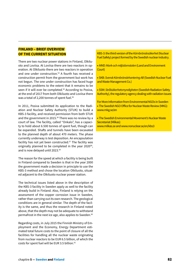# **FINLAND – BRIEF OVERVIEW OF THE CURRENT SITUATION**

There are two nuclear power stations in Finland, Olkiluoto and Loviisa. At Loviisa there are two reactors in operation. At Olkiluoto there are two reactors in operation and one under construction.53 A fourth has received a construction permit from the government but work has not begun. The one under construction has faced huge economic problems to the extent that it remains to be seen if it will ever be completed.<sup>54</sup> According to Posiva, at the end of 2017 from both Olkiluoto and Loviisa there was a total of 2,200 tonnes of spent fuel.<sup>55</sup>

In 2011, Posiva submitted its application to the Radiation and Nuclear Safety Authority (STUK) to build a KBS-3 facility, and received permission from both STUK and the government in 2015.<sup>56</sup> There was no review by a court of law. The facility, called "Onkalo", has a capacity to hold about 6.500 tonnes of spent fuel, though can be expanded. Shafts and tunnels have been excavated to the planned depth of about 470 meters. The phase currently underway is test deposition. An encapsulation facility has not yet been constructed. $57$  The facility was originally planned to be completed in the year 2020<sup>58</sup>, and is now delayed until 2023.59

The reason for the speed at which a facility is being built in Finland compared to Sweden is that in the year 2000 the government made a decision in principle to use the KBS-3 method and chose the location Olkiluoto, situated adjacent to the Olkiluoto nuclear power station.

The technical issues listed above in the description of the KBS-3 facility in Sweden apply as well to the facility already build in Finland. Also, Finland is relying on the assessment of the copper corrosion issue in Sweden, rather than carrying out its own research. The geological conditions are in general similar. The depth of the facility is the same, and thus the research in Finland noted above, that the depth may not be adequate to withstand permafrost in the next ice age, also applies to Sweden.<sup>60</sup>

Regarding costs, in July 2015 the Finnish Ministry of Employment and the Economy, Energy Department estimated total future costs to the point of closure of all the facilities for handling all the nuclear waste originating from nuclear reactors to be EUR 6.5 billion, of which the costs for spent fuel will be EUR 3.5 billion.<sup>61</sup>

KBS-3: the third version of the *Kärnbränslesäkerhet* (Nuclear Fuel Safety) project formed by the Swedish nuclear industry.

• *MMD: Mark-och miljödomstolen* (Land and Environment Court)

• SKB: *Svensk Kärnbränslehantering AB* (Swedish Nuclear Fuel and Waste Management Co.)

• SSM: *Strålsäkerhetsmyndigheten* (Swedish Radiation Safety Authority), the regulatory agency dealing with radiation issues

For More Information from Environmental NGOs in Sweden • The Swedish NGO Office for Nuclear Waste Review (MKG): www.mkg.se/en

• The Swedish Environmental Movement's Nuclear Waste Secretariat (Milkas):

www.milkas.se and www.nonuclear.se/en/kbs3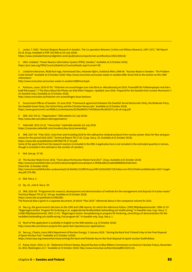1 Jonter, T. 2002. "Nuclear Weapon Research in Sweden. The Co-operation Between Civilian and Military Research, 1947-1972." SKI Report 02:18. 82 pp. Available in PDF (533 KB) at (10 July 2018):

https://www.stralsakerhetsmyndigheten.se/en/publications/reports/non-proliferation/2002/200218/

2 IAEA. Undated. "Power Reactor Information System (PRIS), Sweden." Available at (5 October 2018): https://pris.iaea.org/PRIS/CountryStatistics/CountryDetails.aspx?current=SE.

3 Lindström Marianne, Åhäll Karl-Inge, Holmstrand Olov, Helander Björn, Goldstick Miles.1998-06. "Nuclear Waste in Sweden - The Problem Is Not Solved!" Available at (5 October 2018): http://www.nonuclear.se/nuclear-waste-in-sweden1988. Direct link to the section on the 1980 referendum:

http://www.nonuclear.se/nuclear-waste-in-sweden1988#nwchap4.

4 Karlsson, Lasse. 2016-07-05. "Historien om avvecklingen som inte blivit av. Aktualiserad juni 2016. Framställt för Folkkampanjen mot Kärnkraft-Kärnvapen." ("The Story About the Phase-out that Didn't Happen. Updated June 2016. Prepared for the Swedish Anti-nuclear Movement.") (In Swedish only.) Available at (5 October 2018):

http://www.nonuclear.se/historien-om-avvecklingen-lasse-karlsson.

5 Government Offices of Sweden. 16 June 2016 ."Framework agreement between the Swedish Social Democratic Party, the Moderate Party, the Swedish Green Party, the Centre Party and the Christian Democrats." Available at (5 October 2018): https://www.government.se/49d8c1/contentassets/8239ed8e9517442580aac9bcb00197cc/ek-ok-eng.pdf.

6 SKB. 2017-09-21. "Organisation." SKB website (10 July 2018): http://www.skb.com/about-skb/organisation/

7 Vattenfall. 2015-10-22. "Ownership." Vattenfall website (10 July 2018: https://corporate.vattenfall.com/investors/key-facts/ownership/.

8 SKB. 2017-04. "Plan 2016. Costs from and including 2018 for the radioactive residual products from nuclear power. Basis for fees and guarantees for the period 2018-2020." Technical Report TR-17.02. 52 pp. See p. 35. Available at (5 October 2018): https://www.skb.se/publikation/2487964/TR-17-02.pdf.

Some of the spent fuel from the research reactors is included in the KBS-3 application but is not included in the estimated quantity in tonnes, though is included in the estimate in the number of canisters.

9 Ibid. See pp. 37-38.

10 The Nuclear Waste Fund. 2018. "Facts about the Nuclear Waste Fund 2017". 20 pp. Available at (5 October 2018): http://www.karnavfallsfonden.se/informationinenglish/annualreport.4.4945b3d81223a8cbbf8800024168.html.

Direct link (5 October 2018):

http://www.karnavfallsfonden.se/download/18.46d462c3159fb761aca1f4f/1523619691724/Fakta+om+K%C3%A4rnavfallsfonden+2017+engelska.pdf (276 KB).

11 Ibid. See p. 2.

12 Op. cit., note 8. See p. 39.

13 SKB. 2016-09. "Programme for research, development and demonstration of methods for the management and disposal of nuclear waste." Technical Report TR-16-15. 314 pp. Available at (5 October 2018).

https://www.skb.se/publikation/2485289/.

The financial data is given in a separate document, of which "Plan 2016" referenced above is the companion volume for 2016.

14 See e.g. the government's decision on the 1995 and 1998 reports, for which the references follow. [1995] Miljödepartementet. 1996-12-19. "Regeringens beslut. Program för forskning m.m. angående kärnkraftavfallets behandling och slutförvaring." In Swedish only. 6 pp. See p. 3. [1998] Miljödepartementet. 2001-11-01. "Regeringens beslut. Komplettering av program för forskning, utveckling och demonstration för kärnavfallets behandling och slutförvaring, Fud-program 98." In Swedish only. 8 pp. See p. 1.

15 Much of the application is available in English on the SKB website, e.g. (5 October 2018): http://www.skb.com/future-projects/the-spent-fuel-repository/our-applications/.

16 See e.g.: Chatzis, Irena (IAEA Department of Nuclear Energy). 5 January 2018. "Solving the Back End: Finland's Key to the Final Disposal of Spent Nuclear Fuel." Available at (5 October 12018):

https://www.iaea.org/newscenter/news/solving-the-back-end-finlands-key-to-the-final-disposal-of-spent-nuclear-fuel#infobox.

17 Kamp, Kevin. 2010-11-16. "Statement of Kevin Kamps, Beyond Nuclear to Blue Ribbon Commission on America's Nuclear Future, November 16, 2010, Washington, D.C." Available at (5 October 2018): http://www.nonuclear.se/KevinKampBRC20101116.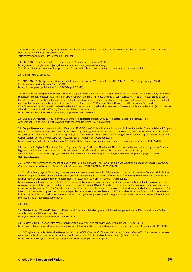18 Mörner, Nils-Axel. 2013. "Dry Rock Deposit - an alternative of handling the high level nuclear waste - the DRD method - a short presentation." 30 pp. Available at (5 October 2018):

http://www.nonuclear.se/drd\_method2013morner.

19 SKB. 2016-11-02. "Our method of final disposal." Available at (5 October 2018): http://www.skb.com/future-projects/the-spent-fuel-repository/our-methodology/. The "3" in "KBS-3" is sometimes interpreted as referring to the three barriers though that was not the meaning initially.

20 Op. cit., note 8. See p. 36.

21 SKB. 2010-12. "Design, production and initial state of the canister." Technical Report TR-10-14. See p. 28 re. weight, and pp. 33-34 for dimensions. Available from (10 July 2018): http://skb.se/upload/publications/pdf/TR-10-14.pdf (3.8 MB).

22 SKB addresses the permafrost depth issue on e.g. page 200 in their March 2011 application in the document: "Long-term safety for the final repository for spent nuclear fuel at Forsmark. Main report of the SR-Site project. Volume I. Technical Report TR-11-01." A 2015 study by specialists at the University of Turku, Finland found that in the next ice age permafrost could reach to the depth of the planned repository in Finland and Sweden. Reference for the report: Räsänen, Matti E.; Huitti, Janne V.; Bhattarai, Saroj; Harvey Jerry III; Huttunen, Sanna. 2015. «The SE sector of the Middle Weichselian Eurasian Ice Sheet was much smaller than assumed.» Quaternary Science Reviews 122 (2015) 131e141. All authors from University of Turku, Finland. Available at (5 October 2018): https://www.sciencedirect.com/science/article/pii/S0277379115002243.

23 Swedish Environmental Movement's Nuclear Waste Secretariat (Milkas). 2006-12. "The Baltic Sea is Radioactive." 4 pp. Available at (5 October 2018): http://www.nonuclear.se/baltic-radioactive200612.html.

24 Copper Development Association Inc.. December 1998. "Copper's Role in the Safe Disposal of Radioactive Waste: Copper's Relevant Properties - Part I." Available at (5 October 2018): https://www.copper.org/publications/newsletters/innovations/1998/12/nuclear.html; and Source: Hultquist, G. B., Szakálos, P., Graham, M. J., Sproule, G. I., & Wikmark, G. 2008. Detection of hydrogen in corrosion of copper in pure water. In Int. Corros. Congr.: Corros. Control Serv. Soc. (pp. 2378–2386). Available at (5 October 2018): https://www.researchgate.net/publication/238102363\_Detection\_of\_hydrogen\_in\_corrosion\_of\_copper\_in\_pure\_water (PDF, 2.5 MB).

25 Macdonald Digby D.; Sharifi -Asl, Samin; Engelhard, George R.; Urquidi-Macdonald, Mirna. "Issues in the corrosion of copper in a Swedish high level nuclear waste repository." 2012. Swedish Radiation Safety Authority (SSM) Report number 2012:11. 160 pp. Available at (5 October 2018): https://www.stralsakerhetsmyndigheten.se/en/publications/reports/waste-shipments-physical-protection/2012/201211/.

26 Regarding the presence or absence of oxygen see: He, Xihua & M. Ahn, Tae & Gwo, Jin-Ping. 2017. Corrosion of Copper as a Nuclear Waste Container Material in Simulated Anoxic Granitic Groundwater. CORROSION. 74. 10.5006/2471.

27 Szakálos Peter, Leygraf Christofer, Rosengren Anders, Seetharaman Seshadri, Grinder Olle, Linder Jan. 2018-04-26. "Analys av kärnbränsleförvarsfrågan efter mark-och miljödomstolens yttrande till regeringen." ("Analysis of the nuclear fuel management issue after the Land and Environment Court's statement to the government.") In Swedish only. 4 pp. Available at (5 October 2018):

http://www.nonuclear.se/szakalos-et-al20180426analys-av-karnbransleforvarsfragan. This document was submitted to the government for its ongoing review, and the government has requested comments from SKB by 30 April 2019. The authors include a group of specialists at The Royal Institute of Technology (KTH) in Stockholm, who are at the forefront of copper corrosion research worldwide, and a former employee of SSM. Research in Sweden on copper corrosion by independent specialists was spearheaded by KTH Associate Professor Gunnar Hultquist, who died in February 2016. He initiated an experiment in 1986 showing that copper corrodes in oxygen-free water. His results were eventually confirmed internationally by independent methods.

28 Ibid.

29 Statskontoret. 2008-04-17. Samråd, stöd och slutförvar – en utvärdering av stöd till ideella organisationer ur Kärnavfallsfonden. 104 pp. In Swedish only. Available at (5 October 2018):

http://www.nonuclear.se/statskontoret20080417.html.

30 Reuters. 2018-01-23. "Swedish regulators disagree on safety of nuclear waste plan." Available at (5 October 2018): https://uk.reuters.com/article/us-sweden-nuclear-regulator/swedish-regulators-disagree-on-safety-of-nuclear-waste-plan-idUKKBN1FC21P

31 SVT Nyheter (Swedish Television News). 2018-01-25. "*Miljöjurister om slutförvaret: Osäkerhet bör leda till ett nej*." ("Environmental lawyers comment on the final repository: uncertainty should lead to a no.") In Swedish only. Available at (5 October 2018): https://www.svt.se/nyheter/lokalt/uppsala/miljojuristen-regeringen-borde-saga-nej.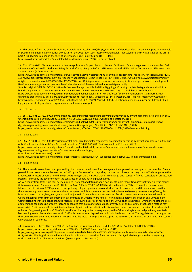32 This quote is from the Council's website, Available at (5 October 2018): http://www.karnavfallsradet.se/en. The annual reports are available in Swedish and English at the Council's website. For the 2018 report see: http://www.karnavfallsradet.se/en/nuclear-waste-state-of-the-art-report-2018-decision-making-in-the-face-of-uncertainty. Direct link (10 July 2018) (1.1 MB): http://www.karnavfallsradet.se/sites/default/files/documents/sou\_2018\_8\_eng\_webb.pdf.

33 SSM. 2018-01-23. "Pronouncement on licence applications for permission to develop facilities for final management of spent nuclear fuel - Statement of the Swedish Radiation Safety Authority." 5 pp. See p. 2. Ref. no: SSM2011-1135 and SSM2015-279. Document no: SSM2011-1135- 23. Available at (5 October 2018):

https://www.stralsakerhetsmyndigheten.se/en/areas/radioactive-waste/spent-nuclear-fuel-repository/final-repository-for-spent-nuclear-fuel/ our-review-process/pronouncement-on-repository-applications/. Direct link to PDF (364 KB) (5 October 2018): https://www.stralsakerhetsmyndigheten.se/contentassets/078506f952ae4357847628edcc1785a4/pronouncement-on-licence-applications-for-permission-to-develop-facilities-for-final-management-of-spent-nuclear-fuel-statement-of-the-swedish-radiation-safety-authority.

Swedish original: SSM. 2018-01-23. "Yttrande över ansökningar om tillstånd till anläggningar för slutligt omhändertagande av använt kärnbränsle." 4 pp. See p. 2. Diarienr: SSM2011-1135 and SSM2015-279. Dokumentnr: SSM2011-1135-23. Available at (5 October 2018): https://www.stralsakerhetsmyndigheten.se/omraden/radioaktivt-avfall/slutforvar/slutforvar-for-anvant-karnbransle/stralsakerhetsmyndighetens-granskning-av-ansokan/slutforvarsyttrande-till-regeringen/. Direct link to PDF (5 October 2018) (345 KB): https://www.stralsakerhetsmyndigheten.se/contentassets/b99c23f76a044b57b76174051b587407/ssm2011-1135-23-yttrande-over-ansokningar-om-tillstand-till-anlaggningar-for-slutligt-omhandertagande-av-anvant-karnbransle.pdf.

34 Ibid. See p. 3.

35 SSM. 2018-01-23. "2018:02. Sammanfattning. Beredning inför regeringens prövning Slutförvaring av använt kärnbränsle." In Swedish only. Unofficial translation. 102 pp. See p. 10. Report no. 2018:02 ISSN 2000-0456. Available at (5 October 2018): https://www.stralsakerhetsmyndigheten.se/omraden/radioaktivt-avfall/slutforvar/slutforvar-for-anvant-karnbransle/stralsakerhetsmyndighetens-granskning-av-ansokan/slutforvarsyttrande-till-regeringen/. Direct link to PDF (10 July 2018) (2.3 MB): https://www.stralsakerhetsmyndigheten.se/contentassets/96342ee1d37e4111b032be88ccb158bf/201802-sammanfattning.

36 Ibid. See p. 66.

37 SSM. 2018-01-23. "2018:03. Remissammanställning. Beredning inför regeringens prövning Slutförvaring av använt kärnbränsle." In Swedish only. Unofficial translation. 142 pp. See p. 48. Report no. 2018:03 ISSN 2000-0456. Available at (5 October 2018): https://www.stralsakerhetsmyndigheten.se/omraden/radioaktivt-avfall/slutforvar/slutforvar-for-anvant-karnbransle/stralsakerhetsmyndighetens-granskning-av-ansokan/slutforvarsyttrande-till-regeringen/.

Direct link to PDF (10 July 2018) (2.6 MB):

https://www.stralsakerhetsmyndigheten.se/contentassets/a3ade3d30e7944038eeed5dc33ef8edf/201803-remissammanstallning.

38 Ibid. See p. 98.

39 There have however been court proceedings that have included spent fuel management in a general sense as part of the case. Two Greenpeace initiated examples are the rejection in 1995 by the Supreme Court regarding construction of a reprocessing plant in Zheleznogorsk in the Krasnoyarsk Territory of Russia, and the High Court ruling in the UK in 2007 that a "misleading" and "seriously flawed" consultation process had been carried out by the government on the construction of new nuclear power plants.

An IAEA report from 1993 "Nuclear Energy Inquiries - National and International" documents more than 30 inquires that vary widely in nature (http://www.iaea.org/inis/collection/NCLCollectionStore/\_Public/25/026/25026317.pdf). In Canada, in 1997 a 10-year federal environmental assessment review of AECL's planned concept for a geologic repository was concluded. No site was chosen and the conclusion was that there were many unanswered questions about the system and thus it was not ready to be implemented (see e.g.: www.ccnr.org/fearo\_hlw. html and www.ccnr.org/hlw\_fearo\_summary.html). Also in Canada there is a 1980 report of nuclear waste management that followed 15 weeks of hearings by the Parliamentary Select Committee on Ontario Hydro Affairs. The California Energy Conservation and Development Commission under the guidance of Emilio Varanini III conducted a series of hearings in the 1970s on the question of whether or not there exists a safe method for disposing of spent fuel and concluded that such a method did not currently exist, and also stated that such a method may never exist. Emilio Varanini III, in an interview, famously said that the belief in safe disposal was based not so much on scientific evidence but rather on "engineering euphoria". The California Report had legislative consequences, as the California Legislature had previously enacted a law banning any further nuclear reactors in California unless a safe disposal method could be shown to exist. The Legislature accordingly asked the Commission to determine whether or not such was the case. The Legislature accepted the advice of the Commission and so no new reactors were allowed in California.

40 Government Offices of Sweden. 1999. "The Swedish Environmental Code, Ds 2000:61." 164 pp. Available at (5 October 2018): https://www.government.se/legal-documents/2000/08/ds-200061/. Direct link (10 July 2018):

https://www.government.se/49b73c/contentassets/be5e4d4ebdb4499f8d6365720ae68724/the-swedish-environmental-code-ds-200061 (PDF, 559 KB). This English version does not include revisions that came into force on 1 August 2018, which changed the clause regarding nuclear activities from Chapter 17, Section 1 (6) to Chapter 17, Section 1 (1).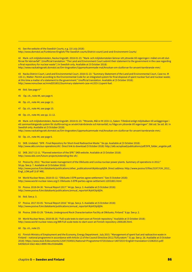41 See the website of the Swedish Courts, e.g. (10 July 2018):

http://www.domstol.se/Funktioner/English/The-Swedish-courts/District-court/Land-and-Environment-Courts/

42 Mark- och miljödomstolen, Nacka tingsrätt. 2018-01-23. "Mark- och miljödomstolen lämnar sitt yttrande till regeringen i målet om ett slutförvar för kärnavfall". (Unofficial translation: "The Land and Environment Court submit their statement to the government in the case regarding a final repository for nuclear waste".) In Swedish only. Available at (5 October 2018): http://www.nackatingsratt.domstol.se/Om-tingsratten/Uppmarksammade-mal/Ansokan-om-slutforvar-for-anvant-karnbransle-mm/.

43 Nacka District Court, Land and Environmental Court. 2018-01-23. "Summary Statement of the Land and Environmental Court, Case no. M 133-11, Matter: Permit according to the Environmental Code for an integrated system for final disposal of spent nuclear fuel and nuclear waste; at this time a matter of a statement to the government." Unofficial translation. Available at (5 October 2018): http://www.nonuclear.se/mmd20180123summary-statement-case-m1333-11spent-fuel.

44 Ibid. See page 4 \*

45 Op. cit., note 44, see page 4.

46 Op. cit., note 44, see page 11.

47 Op. cit., note 44, see page 10.

48 Op. cit., note 44, see pp. 11-12.

49 Mark- och miljödomstolen, Nacka tingsrätt. 2018-01-23. "Yttrande, Mål nr M 1333-11, Saken: Tillstånd enligt miljöbalken till anläggningar i ett sammanhängande system för slutförvaring av använt kärnbränsle och kärnavfall; nu fråga om yttrande till regeringen". 566 sid. Se sid. 80. In Swedish only. Available at (5 October 2018):

http://www.nackatingsratt.domstol.se/Om-tingsratten/Uppmarksammade-mal/Ansokan-om-slutforvar-for-anvant-karnbransle-mm/.

50 Op. cit., note 44, see page 6.

51 SKB. Undated. "SFR - Final Repository for Short-lived Radioactive Waste." Six pp. Available at (5 October 2018): http://www.skb.com/our-operations/sfr/. Direct link to download (5 October 2018): http://skb.se/upload/publications/pdf/SFR\_folder\_engelsk.pdf.

52 SKB. 2017-12-11. "Planned extention of the SFR." SKB website. Available at (5 October 2018): http://www.skb.com/future-projects/extending-the-sfr/.

53 Posiva Oy. 2012. "Nuclear waste management of the Olkiluoto and Loviisa nuclear power plants. Summary of operations in 2012." 58 pp. See p. 7. Available at (5 October 2018):

http://www.posiva.fi/en/databank/publications/other\_publications#.Wykbcop9jDA. Direct address: http://www.posiva.fi/files/3197/YJH\_2012\_ Engl\_LOW.pdf (3.87 MB).

54 World Nuclear News. 2018-03-12. "Olkiluoto 3 EPR parties agree settlement." See (5 October 2018): http://www.world-nuclear-news.org/C-Olkiluoto-3-EPR-parties-agree-settlement-12031801.html

55 Posiva. 2018-04-30. "Annual Report 2017." 44 pp. See p. 3. Available at (5 October 2018): http://www.posiva.fi/en/databank/publications/annual\_reports#.WykX3Ip9jDA.

56 Ibid. See p. 3.

57 Posiva. 2017-03-05. "Annual Report 2016." 44 pp. See p. 5. Available at (5 October 2018): http://www.posiva.fi/en/databank/publications/annual\_reports#.WykX3Ip9jDA.

58 Posiva. 2006-03-29. "Onkalo, Underground Rock Characterisation Facility at Olkiluoto, Finland." 8 pp. See p. 2.

59 World Nuclear News. 2018-06-20. "Full-scale tests to start soon at Finnish repository." Available at (5 October 2018): http://www.world-nuclear-news.org/WR-Full-scale-tests-to-start-soon-at-Finnish-repository-2006185.html.

60 Op. cit., note 23.

61 Finnish Ministry of Employment and the Economy, Energy Department. July 2015. "Management of spent fuel and radioactive waste in Finland – national programme in accordance with Article 12 of the Council Directive 2011/70/Euratom." 31 pp. See p. 26. Available at (5 October 2018): https://www.stuk.fi/documents/12547/554501/National+Programme+072015docx+14072015+English+translation+21082015.pdf/ b435b514-53e2-4dc2-8999-99cc91b4a886.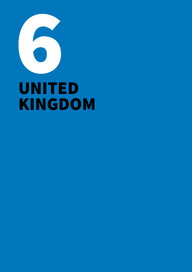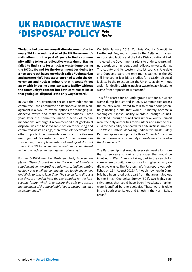# UK RADIOACTIVE WASTE 'DISPOSAL' POLICY *Pete Roche*

The launch of two new consultation documents<sup>1</sup> in Ja**nuary 2018 marked the start of the UK Government's sixth attempt in the past 42 years to find a community willing to host a radioactive waste dump. Having failed to find a site for a nuclear waste dump during the 1970s, 80s and 90s the Government decided to try a new approach based on what it called "voluntarism and partnership". Past experience had taught the Government and nuclear industry that it wouldn't get away with imposing a nuclear waste facility without the community's consent but both continue to insist that geological disposal is the only way forward.**<sup>2</sup>

In 2003 the UK Government set up a new independent committee – the Committee on Radioactive Waste Management (CoRWM) to review options for managing radioactive waste and make recommendations. Three years later the Committee made a series of recommendations. Although it recommended that geological disposal was the best available option for existing and committed waste arisings, there were lots of caveats and other important recommendations which the Government ignored. For instance it said "…*the uncertainties surrounding the implementation of geological disposal …lead CoRWM to recommend a continued commitment to the safe and secure management of wastes*."3

Former CoRWM member Professor Andy Blowers explains: "*Deep disposal may be the eventual long-term solution but demonstrating a safety case, finding suitable geology and a willing community are tough challenges and likely to take a long time. The search for a disposal site diverts attention from the real solution for the foreseeable future, which is to ensure the safe and secure management of the unavoidable legacy wastes that have to be managed*."4

On 30th January 2013, Cumbria County Council, in North-west England – home to the Sellafield nuclear reprocessing facility and the Lake District National Park - rejected the Government's plans to undertake preliminary work on an underground radioactive waste dump. The county and its western district councils Allerdale and Copeland were the only municipalities in the UK still involved in feasibility studies for a £12bn disposal facility. So the rejection left the UK once again, without a plan for dealing with its nuclear waste legacy, let alone waste from proposed new reactors.<sup>5</sup>

This fifth search for an underground site for a nuclear waste dump had started in 2008. Communities across the country were invited to talk to them about potentially hosting a site that would ultimately become a 'Geological Disposal Facility'. Allerdale Borough Council, Copeland Borough Council and Cumbria County Council were the only authorities to volunteer and agree to discuss the possibility of a search for a site in West Cumbria. The West Cumbria Managing Radioactive Waste Safely Partnership was set up by the three Councils "*to ensure that a wide range of community interests were involved in the discussions.*"6

The Partnership met roughly every six weeks for more than three years to look at the issues that would be involved in West Cumbria taking part in the search for somewhere to build a repository for higher activity radioactive waste. The Partnership's final report was published on 16th August 2012.<sup>7</sup> Although nowhere in Cumbria had been ruled out, apart from the areas ruled out by the British Geological Survey (BGS), two highly sensitive areas that could have been investigated further were identified by one geologist. These were Eskdale in the South West Lakes and Silloth in the North Lakes areas.<sup>8</sup>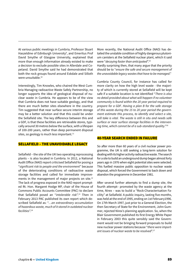At various public meetings in Cumbria, Professor Stuart Haszeldine of Edinburgh University<sup>9</sup>, and Emeritus Prof David Smythe of Glasgow University, explained that more than enough information already existed to make a decision to exclude possible sites in Allerdale and Copeland. David Smythe said he had demonstrated that both the rock groups found around Eskdale and Silloth were unsuitable.10

Interestingly, Tim Knowles, who chaired the West Cumbria Managing radioactive Waste Safely Partnership, no longer supports the idea of geological disposal of nuclear waste in Cumbria. He appears to be of the view that Cumbria does not have suitable geology, and that there are much better sites elsewhere in the country. Tim suggested that near surface secure interim storage may be a better solution and that this could be under the Sellafield site. The key difference between this and a GDF, is that these facilities are retrievable stores, typically around 30 metres below the surface, with a lifespan of 100-200 years, rather than deep permanent disposal sites, so geology is much less important. $11$ 

#### SELLAFIELD – THE UNAVOIDABLE LEGACY

Sellafield – the site of the UK two operating reprocessing plants – is also located in Cumbria. In 2012, a National Audit Office (NAO) report criticised Sellafield for posing a "*significant risk to people and the environment*" because of the deteriorating conditions of radioactive waste storage facilities and called for immediate improvements in the management of major projects on site.<sup>12</sup> The lack of progress exposed in the NAO report prompted Rt. Hon. Margaret Hodge MP, chair of the House of Commons Public Accounts Committee (PAC) to declare that Sellafield posed an "*intolerable risk*".13 Then in February 2013 PAC published its own report which described Sellafield as: "…*an extraordinary accumulation of hazardous waste, much of it stored in outdated nuclear facilities*".14

More recently, the National Audit Office (NAO) has detailed the unstable condition of highly dangerous plutonium canisters at the Sellafield nuclear plant, which it said were "*decaying faster than anticipated*".15

Hardly surprising then, that many argue that the priority should be to "*ensure the safe and secure management of the unavoidable legacy wastes that have to be managed*."

Cumbria County Council, for instance has called for more clarity on how the high level waste - the majority of which is currently stored at Sellafield will be kept safe if a suitable location is not identified "*There is also no detail provided about what will happen if no volunteer community is found within the 20 year period required to prepare for a GDF*. *Having a plan B for the safe storage of this waste during the 15 to 20 year period the government estimate this process, to identify and select a site, will take is vital. The waste is still in situ and needs safe surface or near surface storage facilities in the intervening time, which cannot be of a sub-standard quality*."16

#### 40-YEAR SEARCH ENDED IN FAILURE

So after more than 60 years of a civil nuclear power programme, the UK is still seeking a long-term solution for dealing with its higher activity radioactive waste. The search for a site to build an underground dump began almost forty years ago in 1976 when eight potential sites were selected. This fuelled massive public opposition to nuclear waste disposal, which forced the Government to back down and abandon the programme in December 1981.

After several further attempts to find a dump site, the fourth attempt– promoted by the waste agency at the time, Nirex – was to build a "Rock-Characterisation Facility" at Sellafield. A public inquiry, lasting five months, was held at the end of 1995, ending on 1st February1996. On 17th March 1997, just prior to a General Election, the then Secretary of State for the Environment, John Gummer, rejected Nirex's planning application. So, when the Blair Government published its first Energy White Paper in February 2003 this quite sensibly said the Government would not be bringing forward proposals to build new nuclear power stations because "*there were important issues of nuclear waste to be resolved*".17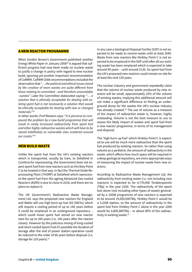## A NEW REACTOR PROGRAMME

When Gordon Brown's Government published another Energy White Paper in January 200818 it argued that sufficient progress had now been made on nuclear waste to justify a change in policy with regard to new nuclear build, ignoring yet another important recommendation of CoRWM. CoRWM 2006 recommendations included the observation that "… *the political and ethical issues raised by the creation of more wastes are quite different from those relating to committed – and therefore unavoidable –wastes*". Later the Committee elaborated saying: "… *a solution that is ethically acceptable for dealing with existing spent fuel is not necessarily a solution that would be ethically acceptable for dealing with new or changed materials*."19

In other words, Prof Blowers says: "*It is perverse to compound the problem by a new-build programme that will result in vastly increased radioactivity from spent fuel and other highly radioactive wastes which will have to be stored indefinitely at vulnerable sites scattered around our coasts*."20

#### NEW BUILD WASTE

Unlike the spent fuel from the UK's existing reactors which is transported, usually by train, to Sellafield in Cumbria for reprocessing, the Government does not expect spent fuel from new reactors such as Hin/kley Point C to be treated in that way. In fact the Thermal Oxide Reprocessing Plant (THORP) at Sellafield which reprocesses the spent fuel from the ageing Advanced Gas-cooled Reactors (AGRS) is due to close in 2018, and there are no plans to replace it.

The UK Government's Radioactive Waste Management Ltd. says the proposed new reactors for England and Wales will use high burn-up fuel (65 GW/tU) which will require a cooling period of up to 140 years before it could be emplaced in an underground repository – which could mean spent fuel stored on new reactor sites for up to 200 years (i.e. 140 years after the reactor closes). However by the judicious mixing of long-cooled and short-cooled Spent Fuel it's possible the duration of storage after the end of power station operation could be reduced to the order of 60 years before disposal (i.e. storage for 120 years).<sup>21</sup>

In any case a Geological Disposal Facility (GDF) is not expected to be ready to receive waste until at least 2040. Waste from new reactors like Hinkley Point C is not expected to be emplaced in the GDF until after all our existing waste has been emplaced which is expected to take around 90 years – until around 2130. So spent fuel from the UK's proposed new reactors could remain on site for at least the next 120 years.

The nuclear industry and government repeatedly claim that the volume of nuclear waste produced by new reactors will be small, approximately 10% of the volume of existing wastes; implying this additional amount will not make a significant difference to finding an underground dump for the wastes the UK's nuclear industry has already created.<sup>22</sup> The use of volume as a measure of the impact of radioactive waste is, however, highly misleading. Volume is not the best measure to use to assess the likely impact of wastes and spent fuel from a new reactor programme, in terms of its management and disposal.

The 'high burn-up fuel' which Hinkley Point C is expected to use will be much more radioactive than the spent fuel produced by existing reactors. So rather than using volume as a yardstick, the amount of radioactivity in the waste, which affects how much space will be required in a deep geological repository, are more appropriate ways of measuring the impact of nuclear waste from new reactors.

According to Radioactive Waste Management Ltd, the radioactivity from existing waste (i.e. not including new reactors) is expected to be 4,770,000 Terabecquerels (TBq) in the year 2200. The radioactivity of the spent fuel alone (not including other types of waste) generated by a 16GW programme of new reactors is expected to be around 19,000,000TBq. Hinkley Point C would be a 3.2GW station, so the amount of radioactivity in the spent fuel from Hinkley Point C alone in the year 2200 would be 3,800,000TBq – or about 80% of the radioactivity in existing waste. $23$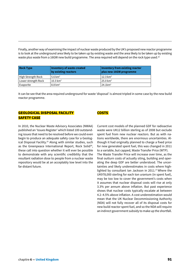Finally, another way of examining the impact of nuclear waste produced by the UK's proposed new reactor programme is to look at the underground area likely to be taken up by existing waste and the area likely to be taken up by existing waste plus waste from a 16GW new build programme. The area required will depend on the rock type used.<sup>24</sup>

| <b>Rock Type</b>    | <b>Inventory of waste created</b><br>by existing reactors | Inventory from existing reactor<br>plus new 16GW programme |
|---------------------|-----------------------------------------------------------|------------------------------------------------------------|
| High Strength Rock  | $5.6 \text{ km}^2$                                        | $12.3 \text{ km}^2$                                        |
| Lower strength Rock | $10.3 \text{ km}^2$                                       | $25.0 \text{ km}^2$                                        |
| Evaporite           | $8.8 \text{ km}^2$                                        | $24.1 \text{km}^2$                                         |

It can be see that the area required underground for waste 'disposal' is almost tripled in some case by the new build reactor programme.

## GEOLOGICAL DISPOSAL FACILITY SAFETY CASE

In 2010, the Nuclear Waste Advisory Associates (NWAA) published an 'Issues Register' which listed 100 outstanding issues that need to be resolved before we could even begin to produce an adequate safety case for a Geological Disposal Facility.<sup>25</sup> Along with similar studies, such as the Greenpeace International Report, Rock Solid<sup>26</sup>, these call into question whether it will ever be possible to demonstrate with any scientific credibility that the resultant radiation dose to people from a nuclear waste repository would be at an acceptably low level into the far distant future.

## **COSTS**

Current cost models of the planned GDF for radioactive waste were UK12 billion sterling as of 2008 but exclude spent fuel from new nuclear reactors. But as with nations worldwide, there are enormous uncertainties. Although it had originally planned to charge a fixed price for new generated spent fuel, this was changed in 2011 to a variable, but capped, Waste Transfer Price (WTP). The Waste Transfer Price will increase over time, as the final outturn costs of actually siting, building and operating the deep GDF are better understood. The uncertainties and likely underestimates in costs where highlighted by consultant Ian Jackson in 2011. $27$  Where the UK978,000 sterling for each ton uranium (in spent fuel), may be too low to cover the government's costs when it assumes that nuclear disposal costs will rise at only 3.3% per annum above inflation. But past experience shows that nuclear costs typically escalate at between 4.2–4.5% above inflation. A cost underestimation would mean that the UK Nuclear Decommissioning Authority (NDA) will not fully recover all of its disposal costs for new build reactor spent fuel, and so the NDA will require an indirect government subsidy to make up the shortfall.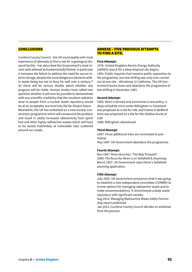## **CONCLUSIONS**

Cumbria County Council – the UK municipality with most experience of attempts to find a site for a geological disposal facility –has described the Government's most recent sixth attempt as fundamentally flawed. In particular it bemoans the failure to address the need for secure interim storage, despite the most dangerous elements within waste being too hot to bury for well over a century.<sup>28</sup> So there will be serious doubts about whether any progress will be made. Various studies have called into question whether it will ever be possible to demonstrate with any scientific credibility that the resultant radiation dose to people from a nuclear waste repository would be at an acceptably low level into the far distant future. Meanwhile, the UK has embarked on a new nuclear construction programme which will compound the problem and result in vastly increased radioactivity from spent fuel and other highly radioactive wastes which will have to be stored indefinitely at vulnerable sites scattered around our coasts.

## ANNEXE – FIVE PREVIOUS ATTEMPTS TO FIND A SITE.

#### **First Attempt:**

1976: United Kingdom Atomic Energy Authority (UKAEA) search for a deep disposal site begins. 1981: Public inquiries fuel massive public opposition to the programme, but test drilling was only ever carried out at one site – Altnabreac in Caithness. The UK Government backs down and abandons the programme of test drilling in December 1981.

#### **Second Attempt:**

1982: Nirex is formed and announces a new policy: a deep anhydrite mine under Billingham in Cleveland was proposed as a site for ILW, and Elstow in Bedfordshire was proposed as a site for the shallow burial of LLW.

1986: Billingham abandoned.

#### **Third Attempt:**

1987: Three additional sites are nominated to join Elstow. May 1987: UK Government abandons the programme.

#### **Fourth Attempt:**

Nov 1987: Nirex launches "The Way Forward". 1989: The focus for Nirex is on Sellafield & Dounreay. March 1997: UK Government reject Nirex's Sellafield planning application.

#### **Fifth Attempt:**

July 2002: UK Government announces that it was going to establish a new independent committee (CORWM) to review options for managing radioactive waste and to make recommendations. It recommends a deep waste repository with significant caveats.

Aug 2012: Managing Radioactive Waste Safely Partnership report published.

Jan 2013: Cumbria County Council decides to withdraw from the process.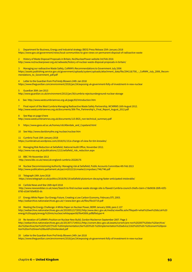1 Department for Business, Energy and Industrial strategy (BEIS) Press Release 25th January 2018 https://www.gov.uk/government/news/local-communities-to-give-views-on-permanent-disposal-of-radioactive-waste

2 History of Waste Disposal Proposals in Britain, No2NuclearPower website 3rd Feb 2016 http://www.no2nuclearpower.org.uk/radwaste/history-of-nuclear-waste-disposal-proposals-in-britain/

3 Managing our radioactive Waste Safely, CoRWM's Recommendations to Government July 2006 https://assets.publishing.service.gov.uk/government/uploads/system/uploads/attachment\_data/file/294118/700\_-\_CoRWM\_July\_2006\_Recommendations\_to\_Government\_pdf.pdf

4 Letter to the Guardian from Prof Andy Blowers 24th Jan 2018 https://www.theguardian.com/environment/2018/jan/24/exposing-uk-government-folly-of-investment-in-new-nuclear

#### 5 Guardian 30th Jan 2013

http://www.guardian.co.uk/environment/2013/jan/30/cumbria-rejectsunderground-nuclear-storage

6 See http://www.westcumbriamrws.org.uk/page/83/Introduction.htm

7 Final report of the West Cumbria Managing Radioactive Waste Safely Partnership, WCMRWS 16th August 2012. http://www.westcumbriamrws.org.uk/documents/306-The\_Partnership's\_Final\_Report\_August\_2012.pdf

#### 8 See Map on page 6 here

http://www.westcumbriamrws.org.uk/documents/115-BGS\_non-technical\_summary.pdf

9 https://www.geos.ed.ac.uk/homes/rsh/Allerdale\_and\_Copeland.html

10 See http://www.davidsmythe.org/nuclear/nuclear.htm

#### 11 Cumbria Trust 15th January 2018

https://cumbriatrust.wordpress.com/2018/01/15/a-change-of-view-for-tim-knowles/

12 Managing Risk Reduction at Sellafield, National Audit Office, November 2012. http://www.nao.org.uk/publications/1213/sellafield\_risk\_reduction.aspx

#### 13 BBC 7th November 2013

http://www.bbc.co.uk/news/uk-england-cumbria-20228176

14 Nuclear Decommissioning Authority: Managing risk at Sellafield, Public Accounts Committee 4th Feb 2013 http://www.publications.parliament.uk/pa/cm201213/cmselect/cmpubacc/746/746.pdf

15 Telegraph 19th June 2018

https://www.telegraph.co.uk/politics/2018/06/19/sellafield-plutonium-decaying-faster-anticipated-intolerable/

16 Carlisle News and Star 26th April 2018

 http://www.newsandstar.co.uk/news/Search-to-find-nuclear-waste-storage-site-is-flawed-Cumbria-council-chiefs-claim-c7de9658-2bf6-42f2- 8785-d1b67d5ef835-ds

17 Energy White Paper: Our Energy Future, Creating a Low Carbon Economy, February DTI, 2003. http://webarchive.nationalarchives.gov.uk/+/www.berr.gov.uk/files/file10719.pdf

18 Meeting the Energy Challenge: A White Paper on Nuclear Power, BERR January 2008, para 2.137 http://webarchive.nationalarchives.gov.uk/20100512172052/http:/www.decc.gov.uk/media/viewfile.ashx?filepath=what%20we%20do/uk%20 energy%20supply/energy%20mix/nuclear/whitepaper08/file43006.pdf&filetype=4

19 Re-iteration of CoRWM's Position on Nuclear New Build, Gordon Mackerron September 2007. Page 3 http://webarchive.nationalarchives.gov.uk/20130717140311/http://corwm.decc.gov.uk/assets/corwm/pre-nov%202007%20doc%20archive/ doc%20archive/tier%202%20(7)%20-%20implementation/tier%203%20-%20implementation%20advice/2162%202%20-%20corwm%20position%20on%20new%20build%20reiterated.pdf

20 Letter to the Guardian from Prof Andy Blowers 24th Jan 2018 https://www.theguardian.com/environment/2018/jan/24/exposing-uk-government-folly-of-investment-in-new-nuclear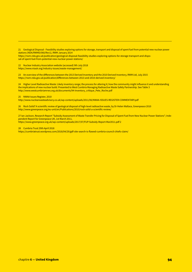21 Geological Disposal - Feasibility studies exploring options for storage, transport and disposal of spent fuel from potential new nuclear power stations (NDA/RWMD/060/Rev1), RWM January 2014

https://rwm.nda.gov.uk/publication/geological-disposal-feasibility-studies-exploring-options-for-storage-transport-and-disposal-of-spent-fuel-from-potential-new-nuclear-power-stations/

22 Nuclear Industry Association website (accessed) 9th July 2018 https://www.niauk.org/industry-issues/waste-management/

23 An overview of the differences between the 2013 Derived Inventory and the 2010 Derived Inventory, RWM Ltd, July 2015 https://rwm.nda.gov.uk/publication/differences-between-2013-and-2010-derived-inventory/

24 Higher Level Radioactive Waste: Likely inventory range; the process for altering it; how the community might influence it and understanding the implications of new nuclear build. Presented to West Cumbria Managing Radioactive Waste Safely Partnership. See Table 3 http://www.westcumbriamrws.org.uk/documents/94-Inventory\_critique\_Pete\_Roche.pdf

25 NWAA Issues Register, 2010

http://www.nuclearwasteadvisory.co.uk/wp-content/uploads/2011/06/NWAA-ISSUES-REGISTER-COMMENTARY.pdf

26 Rock Solid? A scientific review of geological disposal of high-level radioactive waste, by Dr Helen Wallace, Greenpeace 2010 http://www.greenpeace.org/eu-unit/en/Publications/2010/rock-solid-a-scientific-review/

27 Ian Jackson, Research Report "Subsidy Assessment of Waste Transfer Pricing for Disposal of Spent Fuel from New Nuclear Power Stations"; Independent Report for Greenpeace UK, 1st March 2011, https://www.greenpeace.org.uk/wp-content/uploads/2017/07/FUP-Subsidy-Report-Mar2011.pdf 2

28 Cumbria Trust 29th April 2018

https://cumbriatrust.wordpress.com/2018/04/29/gdf-site-search-is-flawed-cumbria-council-chiefs-claim/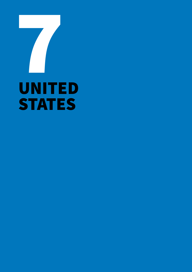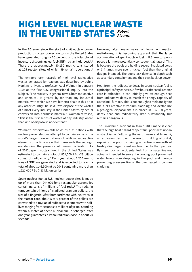# HIGH LEVEL NUCLEAR WASTE IN THE UNITED STATES *Robert Alvarez*

In the 60 years since the start of civil nuclear power production, nuclear power reactors in the United States have generated roughly 30 percent of the total global inventory of spent nuclear fuel (SNF) – by far the largest.  $^{1,2}$ There are approximately 80,150 metric tons stored at 125 reactor sites, of which 99 remain operational.<sup>3</sup>

The extraordinary hazards of high-level radioactive wastes generated by reactors was described by Johns Hopkins University professor Abel Wolman in January 1959 at the first U.S. congressional inquiry into the subject. "Their toxicity in general terms, both radioactive and chemical, is greater by far than any industrial material with which we have hitherto dealt in this or in any other country" he said. "We dispose of the wastes of almost every industry in the United States by actual conversion into harmless material," Wolman stressed, "This is the first series of wastes of any industry where that kind of disposal is nonexistent."

Wolman's observation still holds true as nations with nuclear power stations attempt to contain some of the world's largest concentrations of artificial radioactive elements on a time scale that transcends the geologic era defining the presence of human civilization. As of 2012, spent nuclear fuel in the United States was estimated to contain a total of 851,000 PBq (23 billion curies) of radioactivity.4 Each year about 2,200 metric tons of SNF are generated and is expected to reach a total of about 146,500 mt by 2048 containing more than 1,221,000 PBq (>33 billion curies).

Spent nuclear fuel at U.S. nuclear power sites is made up of more than 244,000 long rectangular assemblies containing tens of millions of fuel rods.<sup>5</sup> The rods, in turn, contain trillions of irradiated uranium pellets, the size of a fingertip. After bombardment with neutrons in the reactor core, about 5 to 6 percent of the pellets are converted to a myriad of radioactive elements with halflives ranging from seconds to millions of years. Standing within a meter of spent nuclear fuel discharged after one year guarantees a lethal radiation dose in about 20 seconds.<sup>6</sup>

However, after many years of focus on reactor melt-downs, it is becoming apparent that the large accumulation of spent nuclear fuel in U.S. reactor pools poses a far more potentially consequential hazard. This is because the pools are holding several irradiated cores or 3-4 times more spent nuclear fuel than the original designs intended. The pools lack defense-in-depth such as secondary containment and their own back-up power.

Heat from the radioactive decay in spent nuclear fuel is a principal safety concern. A few hours after a full reactor core is offloaded, it can initially give off enough heat from radioactive decay to match the energy capacity of a steel mill furnace. This is hot enough to melt and ignite the fuel's reactive zirconium cladding and destabilize a geological disposal site it is placed in. By 100 years, decay heat and radioactivity drop substantially but remains dangerous.

The Fukushima accident in March 2011 made it clear that the high heat hazard of spent fuel pools was not an abstract issue. Following the earthquake and tsunami, an explosion destroyed the reactor building of unit 4, exposing the pool containing an entire core-worth of freshly discharged spent nuclear fuel to the open air. By sheer luck, an accidental leak from a water line not actually intended to serve the cooling pool prevented water levels from dropping in the pool and thereby preventing a severe fire of the overheated zirconium cladding.7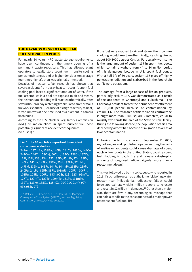# THE HAZARDS OF SPENT NUCLEAR FUEL STORAGE IN POOLS

For nearly 30 years, NRC waste-storage requirements have been contingent on the timely opening of a permanent waste repository. This has allowed plant operators to legally store spent fuel in onsite cooling ponds much longer, and at higher densities (on average four times higher), than was originally intended.

Decades of nuclear safety research has shown that severe accidents from decay heat can occur if a spent fuel cooling pool loses a significant amount of water. If the fuel assemblies in a pool are exposed to air and steam, their zirconium cladding will react exothermically, after several hours or days catching fire similar to an enormous fireworks sparkler. (Because of its high reactivity to heat, zirconium was at one time used as a filament in camera flash bulbs.)

According to the U.S. Nuclear Regulatory Commission (NRC) 69 radionuclides in spent nuclear fuel pose potentially significant accident consequences (See list 1).8

#### **List 1: the 69 nuclides important to accident consequence studies**

241Am, 137mBa, 139Ba, 140Ba, 141Ce, 143Ce, 144Ce, 242Cm, 244Cm, 58Co‡, 60Co‡, 134Cs, 136Cs, 137Cs, 131I, 132I, 133I, 134I, 135I, 85Kr, 85mKr, 87Kr, 88Kr, 140La, 141La, 142La, 99Mo, 95Nb, 97Nb, 97mNb, 147Nd, 239Np, 143Pr, 144Pr, 144mPr, 238Pu, 239Pu, 240Pu, 241Pu, 86Rb, 88Rb, 103mRh, 105Rh, 106Rh, 103Ru, 105Ru, 106Ru, 89Sr, 90Sr, 91Sr, 92Sr, 99mTc, 127Te, 127mTe, 129Te, 129mTe, 131Te, 131mTe, 132Te, 133Xe, 135Xe, 135mXe, 90Y, 91Y, 91mY, 92Y, 93Y, 95Zr, 97Zr

J. A. Rollstin, D. I. Chanin and H.-N. Jow, MELCOR Accident Consequence Code System (MACCS), Nuclear Regulatory Commission, NUREG/CR-4691 Vol.3, 2007

If the fuel were exposed to air and steam, the zirconium cladding would react exothermically, catching fire at about 800-1000 degrees Celsius. Particularly worrisome is the large amount of cesium-137 in spent fuel pools, which contain anywhere from 44 to 84 million curies of this dangerous isotope in U.S. spent fuel ponds. With a half-life of 30 years, cesium-137 gives off highly penetrating radiation and is absorbed in the food chain as if it were potassium.

The damage from a large release of fission products, particularly cesium-137, was demonstrated as a result of the accidents at Chernobyl and Fukushima. The Chernobyl accident forced the permanent resettlement of 100,000 people because of contamination by cesium-137. The total area of this radiation-control zone is huge: more than 1,000 square kilometers, equal to roughly two-thirds the area of the State of New Jersey. During the following decade, the population of this area declined by almost half because of migration to areas of lower contamination.

Following the terrorist attacks of September 11, 2001, my colleagues and I published a paper warning that acts of malice or accidents could cause drainage of spent nuclear fuel pools in the United States, causing spent fuel cladding to catch fire and release catastrophic amounts of long-lived radioactivity—far more than a reactor melt down.<sup>9</sup>

This was followed up by my colleagues, who reported in 2016, if such a fire occurred at the Limerick boiling water reactor near Philadelphia, radioactive fallout could force approximately eight million people to relocate and result in \$2 trillion in damages.<sup>10</sup> Other than a major war, there are few, if any, technological mishaps that can hold a candle to the consequences of a major power reactor spent fuel pool fire.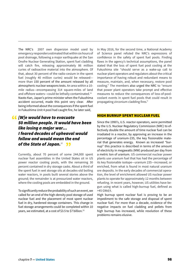The NRC's 2007 own dispersion model used by emergency responders estimated that within six hours of pool drainage, following a major earthquake at the San Onofre Nuclear Generating Station, spent fuel cladding will catch fire, releasing approximately 86 million curies of radioactive material into the atmosphere. Of that, about 30 percent of the radio-cesium in the spent fuel (roughly 40 million curies) would be released more than 150 percent of the amount released by all atmospheric nuclear weapons tests. An area within a 10 mile radius—encompassing 314 square-miles of land and offshore waters-could be lethally contaminated.<sup>11</sup> Naoto Kan, Japan's prime minister when the Fukushima accident occurred, made this point very clear. After being informed about the consequences if the spent fuel in Fukushima Unit 4 pool had caught fire, he later said,

*[W]e would have to evacuate*  " *50 million people. It would have been like losing a major war… I feared decades of upheaval would follow and would mean the end*  of the State of Japan.<sup>12</sup> 33

Currently, about 70 percent of some 244,000 spent nuclear fuel assemblies in the United States sit in US power reactor cooling pools, with the remaining 30 percent contained in dry storage casks. About a third of the spent fuel in wet storage sits at decades-old boiling water reactors, in pools built several stories above the ground; the remainder is at pressurized water reactors, where the cooling pools are embedded in the ground.

To significantly reduce the probability of such an event, we called for an end of the high-density pool storage of used nuclear fuel and the placement of most spent nuclear fuel in dry, hardened storage containers. This change in fuel storage arrangements could be completed within 10 years, we estimated, at a cost of \$3.5 to \$7 billion. 13

In May 2016, for the second time, a National Academy of Science panel refuted the NRC's expressions of confidence in the safety of spent fuel pools. Finding flaws in the agency's technical assumptions, the panel stated that the loss of spent fuel pool cooling at the Fukushima site "should serve as a wake-up call to nuclear plant operators and regulators about the critical importance of having robust and redundant means to measure, maintain, and, when necessary, restore pool cooling." The members also urged the NRC to "ensure that power plant operators take prompt and effective measures to reduce the consequences of loss-of-poolcoolant events in spent fuel pools that could result in propagating zirconium cladding fires."

#### HIGH BURNUP SPENT NUCLEAR FUEL

Since the 1990's, U.S. reactor operators, were permitted by the U.S. Nuclear Regulatory Commission (NRC) to effectively double the amount of time nuclear fuel can be irradiated in a reactor, by approving an increase in the percentage of uranium-235, the key fissionable material that generates energy. Known as increased "burnup" this practice is described in terms of the amount of electricity in megawatts (MW) produced per day from a metric ton of uranium. US commercial nuclear power plants use uranium fuel that has had the percentage of its key fissionable isotope—uranium 235—increased, or enriched, from what is found in most natural uranium ore deposits. In the early decades of commercial operation, the level of enrichment allowed US nuclear power plants to operate for approximately 12 months between refueling. In recent years, however, US utilities have begun using what is called high-burnup fuel, defined as >45 GWd/t.

High burnup spent nuclear fuel is proving to be an impediment to the safe storage and disposal of spent nuclear fuel. For more than a decade, evidence of the negative impacts on fuel cladding and pellets from high burnup has increased, while resolution of these problems remains elusive.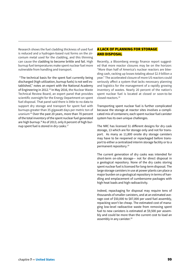Research shows the fuel cladding thickness of used fuel is reduced and a hydrogen-based rust forms on the zirconium metal used for the cladding, and this thinning can cause the cladding to become brittle and fail. High burnup fuel temperatures make spent nuclear fuel more vulnerable from handling and transport.

 "The technical basis for the spent fuel currently being discharged (high utilization, burnup fuels) is not well established," notes an expert with the National Academy of Engineering in 2012.<sup>14</sup> In May 2016, the Nuclear Waste Technical Review Board, an expert panel that provides scientific oversight for the Energy Department on spent fuel disposal. That panel said there is little to no data to support dry storage and transport for spent fuel with burnups greater than 35 gigawatt days per metric ton of uranium.15 Over the past 20 years, more than 70 percent of the total inventory of the spent nuclear fuel generated are high burnup.16 As of 2013, only 8 percent of high burnup spent fuel is stored in dry casks.<sup>17</sup>

# A LACK OF PLANNING FOR STORAGE AND DISPOSAL

Recently, a Bloomberg energy finance report suggested that more reactor closures may be on the horizon: "More than half of America's nuclear reactors are bleeding cash, racking up losses totaling about \$2.9 billion a year." The accelerated closure of more US reactors could seriously affect a system that lacks necessary planning and logistics for the management of a rapidly growing inventory of wastes. Nearly 20 percent of the nation's spent nuclear fuel is located at closed or soon-to-be closed reactors.18

Transporting spent nuclear fuel is further complicated because the storage at reactor sites involves a complicated mix of containers; each spent nuclear fuel canister system has its own unique challenges.

The NRC has licensed 51 different designs for dry cask storage, 13 which are for storage only and not for transport. As many as 11,800 onsite dry storage canisters may have to be reopened or repackaged before transport to either a centralized interim storage facility or to a permanent repository.19

The current generation of dry casks was intended for short-term on-site storage— not for direct disposal in a geological repository. None of the dry casks storing spent nuclear fuel is licensed for long-term disposal. The large storage canisters in use at power plants can place a major burden on a geological repository in terms of handling and emplacement of cumbersome packages with high heat loads and high radioactivity.

Indeed, repackaging for disposal may require tens of thousands of smaller canisters, and at an estimated average cost of \$50,000 to \$87,000 per used fuel assembly, repacking won't be cheap. The estimated cost of managing low-level radioactive waste from removing spent fuel to new canisters is estimated at \$9,500 per assembly and could be more than the current cost to load an assembly in any canister.<sup>20</sup>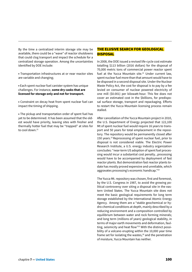By the time a centralized interim storage site may be available, there could be a "wave" of reactor shutdowns that could clog transport and impact the schedule for a centralized storage operation. Among the uncertainties identified by DOE include:

• Transportation infrastructures at or near reactor sites are variable and changing;

• Each spent nuclear fuel canister system has unique challenges. For instance, **some dry casks that are licensed for storage only and not for transport.**

• Constraint on decay heat from spent nuclear fuel can impact the timing of shipping.

• The pickup and transportation order of spent fuel has yet to be determined. It has been assumed that the oldest would have priority, leaving sites with fresher and thermally hotter fuel that may be "trapped" at sites for to cool down $21$ 

# THE ELUSIVE SEARCH FOR GEOLOGICAL DISPOSAL

In 2008, the DOE issued a revised life-cycle cost estimate totalling \$113 billion (2016 dollars) for the disposal of 70,000 metric tons of commercial power reactor spent fuel at the Yucca Mountain site.<sup>22</sup> Under current law. spent nuclear fuel more than that amount would have to be disposed in a second disposal site. Under the Nuclear Waste Policy Act, the cost for disposal is to pay by a fee levied on consumer of nuclear powered electricity of one mill (\$0.001) per kilowatt-hour. This fee does not cover an estimated cost in the \$billions, for predisposal surface storage, transport and repackaging. Efforts to restart the Yucca Mountain licensing process remain stalled.

After cancellation of the Yucca Mountain project in 2010, the U.S. Department of Energy projected that 122,100 Mt of spent nuclear fuel would require 16 years to transport and 50 years for total emplacement in the repository. The repository would be permanently closed after 150 years.<sup>23</sup> Reprocessing of spent nuclear fuel, prior to disposal is not considered viable. The Electric Power Research Institute, a U.S. energy industry organization concludes: "near-term US adoption of spent fuel processing would incur a substantial cost penalty...processing would have to be accompanied by deployment of fast reactor plants. But demonstration fast reactor plants todate has mostly proved expensive and unreliable, which aggravates processing's economic handicap."24

The Yucca Mt. repository was chosen, first and foremost, by the U.S. Congress in 1987, to avoid the growing political controversy over siting a disposal site in the eastern United States. The Yucca Mountain site does not meet the basic geological requirements for long term storage established by the International Atomic Energy Agency. Among them are a "stable geochemical or hydro chemical conditions at depth, mainly described by a reducing environment and a composition controlled by equilibrium between water and rock forming minerals; and long term (millions of years) geological stability, in terms of major earth movements and deformation, faulting, seismicity and heat flow"25 With the distinct possibility of a volcano erupting within the 10,000 year time frame set for isolating the wastes, $26$  and the penetration of moisture, Yucca Mountain has neither.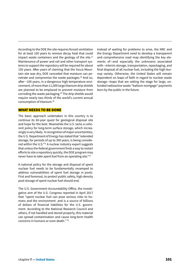According to the DOE the site requires forced ventilation for at least 100 years to remove decay heat that could impact waste containers and the geology of the site. $27$ Maintenance of power and rail and other transport systems to support the repository will be required for about 150 years. After years of claiming that the Yucca Mountain site was dry, DOE conceded that moisture can penetrate and compromise the waste packages.<sup>28</sup> And so, after ~100 years, in a dangerous high temperature environment, of more than 11,000 large titanium drip shields are planned to be emplaced to prevent moisture from corroding the waste packaging.29 The drip shields would require nearly two thirds of the world's current annual consumption of titanium.30

#### WHAT NEEDS TO BE DONE

The basic approach undertaken in this country is to continue its 60-year quest for geological disposal site and hope for the best. Meanwhile the U.S. lacks a coherent policy for long-term surface storage, which increasingly is very likely. In recognition of major uncertainties, the U.S. Department of Energy has stated that "extended storage, for periods of up to 300 years, is being considered within the U.S."31 A nuclear industry expert suggests that unless the federal government finds a way to restart efforts to site a repository quickly, the DOE program may never have to take spent fuel from an operating site."32

A national policy for the storage and disposal of spent nuclear fuel needs to be fundamentally revamped to address vulnerabilities of spent fuel storage in pools. First and foremost, to protect public safety, high density pool storage of spent nuclear fuel should end.

The U.S. Government Accountability Office, the investigative arm of the U.S. Congress reported in April 2017 that "spent nuclear fuel can pose serious risks to humans and the environment .and is a source of billions of dollars of financial liabilities for the U.S. government. According to the National Research Council and others, if not handled and stored properly, this material can spread contamination and cause long-term health concerns in humans or even death.*"* <sup>33</sup>

Instead of waiting for problems to arise, the NRC and the Energy Department need to develop a transparent and comprehensive road map identifying the key elements of—and especially the unknowns associated with—interim storage, transportation, repackaging, and final disposal of all nuclear fuel, including the high-burnup variety. Otherwise, the United States will remain dependent on leaps of faith in regard to nuclear waste storage—leaps that are setting the stage for large, unfunded radioactive waste "balloon mortgage" payments born by the public in the future.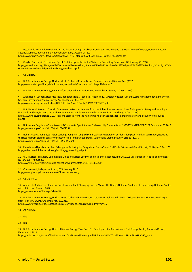1 Peter Swift, Recent developments in the disposal of high-level waste and spent nuclear fuel, U.S. Department of Energy, National Nuclear Security Administration, Sandia National Laboratory, October 18, 2017.

https://www.energy.gov/sites/prod/files/2017/11/f46/Peter%20Swift%20PRACoP%202017%20final.pdf

2 Carylyn Greene, An Overview of Spent Fuel Storage in the United States, Ux Consulting Company, LLC, January 23, 2018. https://www.inmm.org/INMM/media/Documents/Presenations/Spent%20Fuel%20Seminar/2018%20Spent%20Fuel%20Seminar/1-23-18\_1300-1- Greene-An-Overview-of-Spent-Fuel-Storage-in-the-US.pdf

3 Op Cit Ref 1.

4 U.S. Department of Energy, Nuclear Waste Technical Review Board, Commercial spent Nuclear Fuel (2017). http://www.nwtrb.gov/docs/default-source/facts-sheets/overview\_snf\_hlw.pdf?sfvrsn=15

5 U.S. Department of Energy, Energy Information Administration, Nuclear Fuel Data Survey, GC-859, (2013)

6 Allan Hedin, Spent nuclear fuel - how dangerous is it ?, Technical Report 97-12. Swedish Nuclear Fuel and Waste Management Co, Stockholm, Sweden, International Atomic Energy Agency, March 1997. P 21. http://www.iaea.org/inis/collection/NCLCollectionStore/\_Public/29/015/29015601.pdf

7 U.S. National Research Council, Committee on Lessons Learned from the Fukushima Nuclear Accident for improving Safety and Security at U.S. Nuclear Plants, Phase 2, the National Academies of Science, National Academies Press, Washington D.C. (2016). https://www.nap.edu/catalog/21874/lessons-learned-from-the-fukushima-nuclear-accident-for-improving-safety-and-security-of-us-nuclearplants

8 U.S. Nuclear Regulatory Commission, US Commercial Spent Nuclear Fuel Assembly Characteristics: 1968-2013, NUREG/CR-7227, September 28, 2016. https://www.nrc.gov/docs/ML1626/ML16267A351.pdf

9 Robert Alvarez, Jan Beyea, Klaus Janberg, Jungmin Kang, Ed Lyman, Allison Macfarlane, Gordon Thompson, Frank N. von Hippel, Reducing the Hazards from Stored Spent Power-Reactor Fuel in the United States, Science and Global Security, 11:1-51 (2003). https://www.nrc.gov/docs/ML1209/ML120960695.pdf

10 Frank N. von Hippel and Michael Schoeppner, Reducing the Danger from Fires in Spent Fuel Pools, Science and Global Security, Vol 24, No 3, 141-173. http://scienceandglobalsecurity.org/archive/sgs24vonhippel.pdf

11 U.S. Nuclear Regulatory Commission, Office of Nuclear Security and Incidence Response, RASCAL 3.0.5 Descriptions of Models and Methods, NUREG-1887, August 2007.

http://www.nrc.gov/reading-rm/doc-collections/nuregs/staff/sr1887/sr1887.pdf

12 Containment, Independent Lens, PBS, January 2016, http://www.pbs.org/independentlens/films/containment/

13 Op Cit. Ref 9.

14 Andrew C. Kadak, The Storage of Spent Nuclear Fuel, Managing Nuclear Waste, The Bridge, National Academy of Engineering, National Academies of Science, Summer 2012.

https://www.nae.edu/File.aspx?id=60739

15 U.S. Department of Energy, Nuclear Waste Technical Review Board, Letter to Mr. John Kotek, Acting Assistant Secretary for Nuclear Energy, from Rodney C. Ewing, Chairman, May 23, 2016.

https://www.nwtrb.gov/docs/default-source/correspondence/rce0516.pdf?sfvrsn=15

- 16 OP Cit Ref 6
- 17 Ibid
- 18 Ibid

19 U.S. Department of Energy, Office of Nuclear Energy, Task Order 11: Development of Consolidated Fuel Storage Facility Concepts Report, February 12, 2013.

https://curie.ornl.gov/system/files/documents/not%20yet%20assigned/AREVA%20-%20TO11%20-%20FINAL%20REPORT\_0.pdf